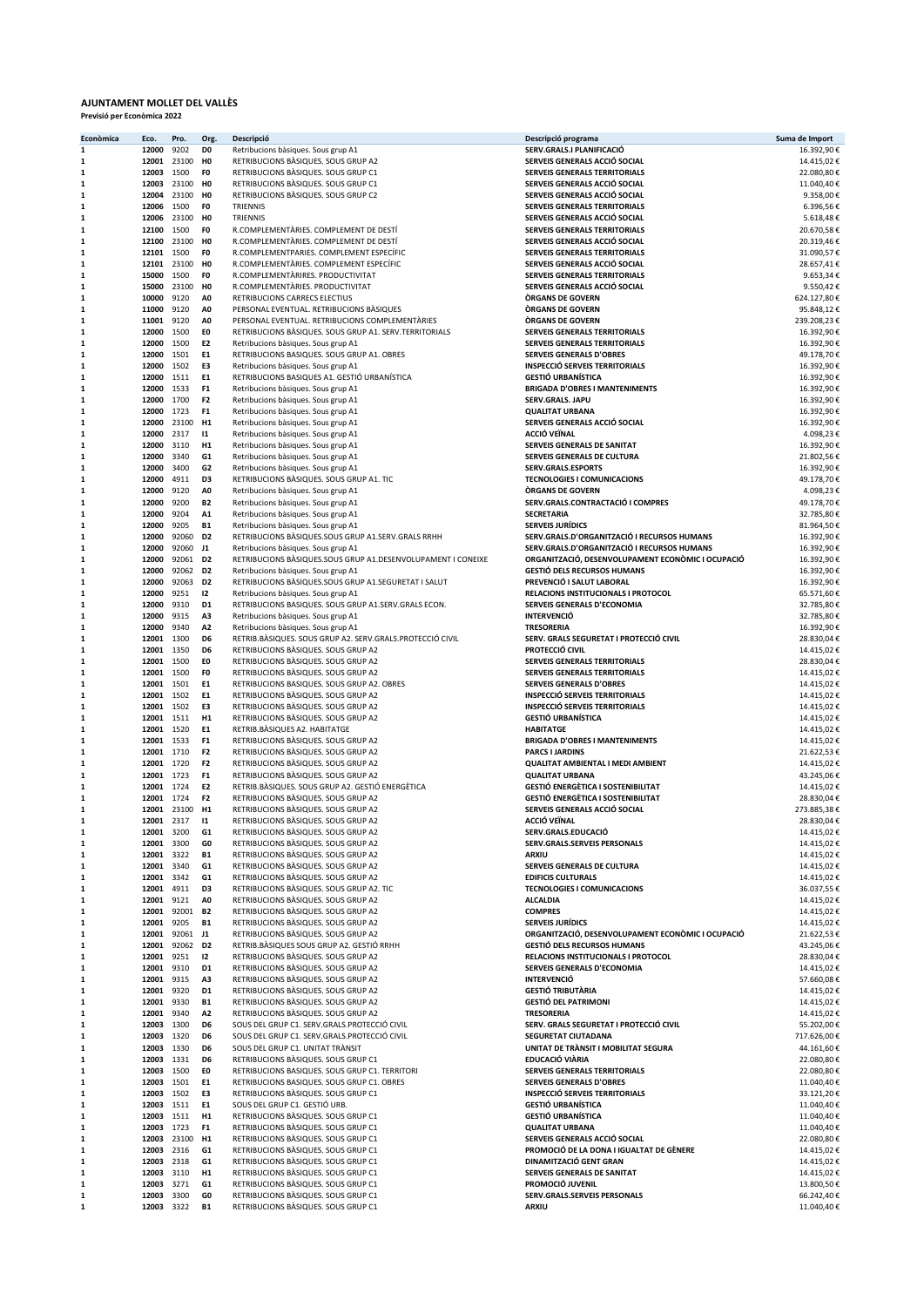## AJUNTAMENT MOLLET DEL VALLÈS Previsió per Econòmica 2022

| Econòmica        | Eco.                       | Pro.                   | Org.                             | Descripció                                                                                          | Descripció programa                                                                        | Suma de Import            |
|------------------|----------------------------|------------------------|----------------------------------|-----------------------------------------------------------------------------------------------------|--------------------------------------------------------------------------------------------|---------------------------|
| 1                | 12000                      | 9202                   | D <sub>0</sub>                   | Retribucions bàsiques. Sous grup A1                                                                 | SERV.GRALS.I PLANIFICACIÓ<br>SERVEIS GENERALS ACCIÓ SOCIAL                                 | 16.392,90€                |
| 1<br>1           | 12001 23100<br>12003 1500  |                        | H <sub>0</sub><br>F0             | RETRIBUCIONS BASIQUES. SOUS GRUP A2<br>RETRIBUCIONS BASIQUES. SOUS GRUP C1                          | <b>SERVEIS GENERALS TERRITORIALS</b>                                                       | 14.415,02€<br>22.080,80€  |
| 1                |                            | 12003 23100            | H <sub>0</sub>                   | RETRIBUCIONS BASIQUES. SOUS GRUP C1                                                                 | SERVEIS GENERALS ACCIÓ SOCIAL                                                              | 11.040,40€                |
| 1                | 12004 23100                |                        | H <sub>0</sub>                   | RETRIBUCIONS BASIQUES. SOUS GRUP C2                                                                 | SERVEIS GENERALS ACCIÓ SOCIAL                                                              | 9.358,00€                 |
| ${\bf 1}$        | 12006 1500                 |                        | F <sub>0</sub>                   | TRIENNIS                                                                                            | SERVEIS GENERALS TERRITORIALS                                                              | 6.396,56€                 |
| 1<br>1           | 12006 23100<br>12100 1500  |                        | H <sub>0</sub><br>F <sub>0</sub> | TRIENNIS<br>R.COMPLEMENTARIES. COMPLEMENT DE DESTÍ                                                  | SERVEIS GENERALS ACCIÓ SOCIAL<br>SERVEIS GENERALS TERRITORIALS                             | 5.618,48€<br>20.670,58€   |
| 1                | 12100 23100                |                        | H <sub>0</sub>                   | R.COMPLEMENTARIES. COMPLEMENT DE DESTÍ                                                              | SERVEIS GENERALS ACCIÓ SOCIAL                                                              | 20.319,46€                |
| 1                | 12101 1500                 |                        | F <sub>0</sub>                   | R.COMPLEMENTPARIES. COMPLEMENT ESPECÍFIC                                                            | SERVEIS GENERALS TERRITORIALS                                                              | 31.090,57€                |
| 1                |                            | 12101 23100            | H <sub>0</sub>                   | R.COMPLEMENTARIES. COMPLEMENT ESPECÍFIC                                                             | SERVEIS GENERALS ACCIÓ SOCIAL                                                              | 28.657,41€                |
| 1<br>1           | 15000 1500<br>15000 23100  |                        | F <sub>0</sub><br>H <sub>0</sub> | R.COMPLEMENTARIRES. PRODUCTIVITAT<br>R.COMPLEMENTARIES. PRODUCTIVITAT                               | <b>SERVEIS GENERALS TERRITORIALS</b><br>SERVEIS GENERALS ACCIÓ SOCIAL                      | 9.653,34€<br>9.550,42€    |
| 1                | 10000 9120                 |                        | A <sub>0</sub>                   | RETRIBUCIONS CARRECS ELECTIUS                                                                       | <b>ORGANS DE GOVERN</b>                                                                    | 624.127,80€               |
| $\mathbf 1$      | 11000 9120                 |                        | A <sub>0</sub>                   | PERSONAL EVENTUAL. RETRIBUCIONS BÀSIQUES                                                            | <b>ORGANS DE GOVERN</b>                                                                    | 95.848,12€                |
| 1                | 11001 9120                 |                        | A <sub>0</sub>                   | PERSONAL EVENTUAL. RETRIBUCIONS COMPLEMENTARIES                                                     | <b>ORGANS DE GOVERN</b>                                                                    | 239.208,23€               |
| 1                | 12000 1500                 |                        | EO                               | RETRIBUCIONS BASIQUES. SOUS GRUP A1. SERV. TERRITORIALS                                             | SERVEIS GENERALS TERRITORIALS                                                              | 16.392,90€                |
| 1<br>1           | 12000 1500<br>12000 1501   |                        | E <sub>2</sub><br>E1             | Retribucions bàsiques. Sous grup A1<br>RETRIBUCIONS BASIQUES. SOUS GRUP A1. OBRES                   | SERVEIS GENERALS TERRITORIALS<br><b>SERVEIS GENERALS D'OBRES</b>                           | 16.392,90€<br>49.178,70€  |
| 1                | 12000 1502                 |                        | E3                               | Retribucions bàsiques. Sous grup A1                                                                 | <b>INSPECCIÓ SERVEIS TERRITORIALS</b>                                                      | 16.392,90€                |
| 1                | 12000 1511                 |                        | E1                               | RETRIBUCIONS BASIQUES A1. GESTIÓ URBANÍSTICA                                                        | <b>GESTIÓ URBANÍSTICA</b>                                                                  | 16.392,90€                |
| 1                | 12000 1533                 |                        | F <sub>1</sub>                   | Retribucions bàsiques. Sous grup A1                                                                 | <b>BRIGADA D'OBRES I MANTENIMENTS</b>                                                      | 16.392,90€                |
| 1                | 12000 1700                 |                        | F <sub>2</sub>                   | Retribucions bàsiques. Sous grup A1                                                                 | SERV.GRALS. JAPU                                                                           | 16.392,90€                |
| $\mathbf 1$<br>1 | 12000 1723<br>12000 23100  |                        | F <sub>1</sub><br>H1             | Retribucions bàsiques. Sous grup A1<br>Retribucions bàsiques. Sous grup A1                          | <b>QUALITAT URBANA</b><br>SERVEIS GENERALS ACCIÓ SOCIAL                                    | 16.392,90€<br>16.392,90€  |
| 1                | 12000 2317                 |                        | $\mathbf{11}$                    | Retribucions bàsiques. Sous grup A1                                                                 | <b>ACCIÓ VEÏNAL</b>                                                                        | 4.098,23€                 |
| 1                | 12000 3110                 |                        | H1                               | Retribucions bàsiques. Sous grup A1                                                                 | SERVEIS GENERALS DE SANITAT                                                                | 16.392,90€                |
| 1                | 12000                      | 3340                   | G1                               | Retribucions bàsiques. Sous grup A1                                                                 | SERVEIS GENERALS DE CULTURA                                                                | 21.802,56€                |
| 1                | 12000 3400                 |                        | G <sub>2</sub><br>D3             | Retribucions bàsiques. Sous grup A1                                                                 | SERV.GRALS.ESPORTS                                                                         | 16.392,90€                |
| 1<br>1           | 12000<br>12000 9120        | 4911                   | A <sub>0</sub>                   | RETRIBUCIONS BASIQUES. SOUS GRUP A1. TIC<br>Retribucions bàsiques. Sous grup A1                     | <b>TECNOLOGIES I COMUNICACIONS</b><br><b>ORGANS DE GOVERN</b>                              | 49.178,70€<br>4.098,23€   |
| 1                | 12000 9200                 |                        | <b>B2</b>                        | Retribucions bàsiques. Sous grup A1                                                                 | SERV.GRALS.CONTRACTACIÓ I COMPRES                                                          | 49.178,70€                |
| $\mathbf 1$      | 12000 9204                 |                        | A1                               | Retribucions bàsiques. Sous grup A1                                                                 | <b>SECRETARIA</b>                                                                          | 32.785,80€                |
| $\mathbf{1}$     | 12000 9205                 |                        | <b>B1</b>                        | Retribucions bàsiques. Sous grup A1                                                                 | <b>SERVEIS JURÍDICS</b>                                                                    | 81.964,50€                |
| 1                | 12000 92060<br>12000 92060 |                        | D <sub>2</sub><br>J1             | RETRIBUCIONS BASIQUES.SOUS GRUP A1.SERV.GRALS RRHH                                                  | SERV.GRALS.D'ORGANITZACIÓ I RECURSOS HUMANS<br>SERV.GRALS.D'ORGANITZACIÓ I RECURSOS HUMANS | 16.392,90€                |
| 1<br>1           | 12000 92061                |                        | D <sub>2</sub>                   | Retribucions bàsiques. Sous grup A1<br>RETRIBUCIONS BASIQUES.SOUS GRUP A1.DESENVOLUPAMENT I CONEIXE | ORGANITZACIÓ, DESENVOLUPAMENT ECONÒMIC I OCUPACIÓ                                          | 16.392,90€<br>16.392,90€  |
| 1                |                            | 12000 92062 D2         |                                  | Retribucions bàsiques. Sous grup A1                                                                 | <b>GESTIÓ DELS RECURSOS HUMANS</b>                                                         | 16.392,90€                |
| 1                | 12000 92063                |                        | D <sub>2</sub>                   | RETRIBUCIONS BASIQUES.SOUS GRUP A1.SEGURETAT I SALUT                                                | PREVENCIÓ I SALUT LABORAL                                                                  | 16.392,90€                |
| 1                | 12000 9251                 |                        | 12                               | Retribucions bàsiques. Sous grup A1                                                                 | RELACIONS INSTITUCIONALS I PROTOCOL                                                        | 65.571,60€                |
| 1<br>${\bf 1}$   | 12000 9310<br>12000 9315   |                        | D1<br>A <sub>3</sub>             | RETRIBUCIONS BASIQUES. SOUS GRUP A1.SERV.GRALS ECON.<br>Retribucions bàsiques. Sous grup A1         | SERVEIS GENERALS D'ECONOMIA<br><b>INTERVENCIÓ</b>                                          | 32.785,80€<br>32.785,80€  |
| 1                | 12000 9340                 |                        | A <sub>2</sub>                   | Retribucions bàsiques. Sous grup A1                                                                 | <b>TRESORERIA</b>                                                                          | 16.392,90€                |
| 1                | 12001 1300                 |                        | D6                               | RETRIB.BÀSIQUES. SOUS GRUP A2. SERV.GRALS.PROTECCIÓ CIVIL                                           | SERV. GRALS SEGURETAT I PROTECCIÓ CIVIL                                                    | 28.830,04€                |
| 1                | 12001 1350                 |                        | D <sub>6</sub>                   | RETRIBUCIONS BASIQUES. SOUS GRUP A2                                                                 | PROTECCIÓ CIVIL                                                                            | 14.415,02€                |
| 1                | 12001 1500                 |                        | E0                               | RETRIBUCIONS BASIQUES. SOUS GRUP A2                                                                 | SERVEIS GENERALS TERRITORIALS                                                              | 28.830,04€                |
| 1<br>1           | 12001 1500<br>12001 1501   |                        | F <sub>0</sub><br>E1             | RETRIBUCIONS BASIQUES. SOUS GRUP A2<br>RETRIBUCIONS BASIQUES. SOUS GRUP A2. OBRES                   | SERVEIS GENERALS TERRITORIALS<br><b>SERVEIS GENERALS D'OBRES</b>                           | 14.415,02€<br>14.415,02€  |
| 1                | 12001 1502                 |                        | E1                               | RETRIBUCIONS BASIQUES. SOUS GRUP A2                                                                 | <b>INSPECCIÓ SERVEIS TERRITORIALS</b>                                                      | 14.415,02€                |
| 1                | 12001 1502                 |                        | E3                               | RETRIBUCIONS BASIQUES. SOUS GRUP A2                                                                 | <b>INSPECCIÓ SERVEIS TERRITORIALS</b>                                                      | 14.415,02€                |
| $\mathbf 1$      | 12001 1511                 |                        | H1                               | RETRIBUCIONS BASIQUES. SOUS GRUP A2                                                                 | <b>GESTIÓ URBANÍSTICA</b>                                                                  | 14.415,02€                |
| 1                | 12001 1520<br>12001 1533   |                        | E1<br>F <sub>1</sub>             | RETRIB.BASIQUES A2. HABITATGE<br>RETRIBUCIONS BASIQUES. SOUS GRUP A2                                | <b>HABITATGE</b><br><b>BRIGADA D'OBRES I MANTENIMENTS</b>                                  | 14.415,02€                |
| 1<br>1           | 12001 1710                 |                        | F <sub>2</sub>                   | RETRIBUCIONS BASIQUES. SOUS GRUP A2                                                                 | <b>PARCS I JARDINS</b>                                                                     | 14.415,02€<br>21.622,53€  |
| 1                | 12001 1720                 |                        | F <sub>2</sub>                   | RETRIBUCIONS BASIQUES. SOUS GRUP A2                                                                 | <b>QUALITAT AMBIENTAL I MEDI AMBIENT</b>                                                   | 14.415,02€                |
| 1                | 12001 1723                 |                        | F <sub>1</sub>                   | RETRIBUCIONS BASIQUES. SOUS GRUP A2                                                                 | <b>QUALITAT URBANA</b>                                                                     | 43.245,06€                |
| 1                | 12001 1724                 |                        | E <sub>2</sub>                   | RETRIB.BÀSIQUES. SOUS GRUP A2. GESTIÓ ENERGÈTICA                                                    | <b>GESTIÓ ENERGÈTICA I SOSTENIBILITAT</b>                                                  | 14.415,02€                |
| 1<br>1           | 12001 1724                 | 12001 23100            | F <sub>2</sub><br><b>H1</b>      | RETRIBUCIONS BASIQUES. SOUS GRUP A2<br>RETRIBUCIONS BASIQUES. SOUS GRUP A2                          | <b>GESTIÓ ENERGÈTICA I SOSTENIBILITAT</b><br>SERVEIS GENERALS ACCIÓ SOCIAL                 | 28.830,04€<br>273.885,38€ |
| 1                | 12001 2317                 |                        | $\mathbf{11}$                    | RETRIBUCIONS BASIQUES. SOUS GRUP A2                                                                 | ACCIÓ VEÏNAL                                                                               | 28.830,04€                |
| 1                | 12001                      | 3200                   | G1                               | RETRIBUCIONS BASIQUES. SOUS GRUP A2                                                                 | SERV.GRALS.EDUCACIÓ                                                                        | 14.415,02€                |
| 1                | 12001 3300                 |                        | GO                               | RETRIBUCIONS BASIQUES. SOUS GRUP A2                                                                 | SERV.GRALS.SERVEIS PERSONALS                                                               | 14.415,02€                |
| 1                | 12001 3322                 |                        | <b>B1</b>                        | RETRIBUCIONS BASIQUES. SOUS GRUP A2                                                                 | ARXIU                                                                                      | 14.415,02€                |
| 1<br>1           | 12001 3340<br>12001 3342   |                        | G1<br>G1                         | RETRIBUCIONS BASIQUES. SOUS GRUP A2<br>RETRIBUCIONS BASIQUES. SOUS GRUP A2                          | SERVEIS GENERALS DE CULTURA<br><b>EDIFICIS CULTURALS</b>                                   | 14.415,02€<br>14.415,02€  |
| 1                | 12001 4911                 |                        | D3                               | RETRIBUCIONS BASIQUES. SOUS GRUP A2. TIC                                                            | <b>TECNOLOGIES I COMUNICACIONS</b>                                                         | 36.037,55€                |
| 1                | 12001 9121                 |                        | A0                               | RETRIBUCIONS BASIQUES. SOUS GRUP A2                                                                 | <b>ALCALDIA</b>                                                                            | 14.415,02€                |
| 1                |                            | 12001 92001 B2         |                                  | RETRIBUCIONS BASIQUES. SOUS GRUP A2                                                                 | <b>COMPRES</b>                                                                             | 14.415,02€                |
| 1<br>1           | 12001                      | 9205<br>12001 92061 J1 | <b>B1</b>                        | RETRIBUCIONS BASIQUES. SOUS GRUP A2<br>RETRIBUCIONS BASIQUES. SOUS GRUP A2                          | <b>SERVEIS JURÍDICS</b><br>ORGANITZACIÓ, DESENVOLUPAMENT ECONÒMIC I OCUPACIÓ               | 14.415,02€<br>21.622,53€  |
| 1                |                            | 12001 92062            | D <sub>2</sub>                   | RETRIB.BASIQUES SOUS GRUP A2. GESTIÓ RRHH                                                           | <b>GESTIÓ DELS RECURSOS HUMANS</b>                                                         | 43.245,06€                |
| 1                | 12001 9251                 |                        | 12                               | RETRIBUCIONS BASIQUES. SOUS GRUP A2                                                                 | RELACIONS INSTITUCIONALS I PROTOCOL                                                        | 28.830,04€                |
| 1                | 12001 9310                 |                        | D1                               | RETRIBUCIONS BASIQUES. SOUS GRUP A2                                                                 | SERVEIS GENERALS D'ECONOMIA                                                                | 14.415,02€                |
| 1                | 12001 9315                 |                        | A3                               | RETRIBUCIONS BASIQUES. SOUS GRUP A2                                                                 | <b>INTERVENCIÓ</b>                                                                         | 57.660,08€                |
| 1<br>1           | 12001 9320<br>12001 9330   |                        | D1<br><b>B1</b>                  | RETRIBUCIONS BASIQUES. SOUS GRUP A2<br>RETRIBUCIONS BASIQUES. SOUS GRUP A2                          | <b>GESTIÓ TRIBUTÀRIA</b><br><b>GESTIÓ DEL PATRIMONI</b>                                    | 14.415,02€<br>14.415,02€  |
| 1                | 12001 9340                 |                        | A <sub>2</sub>                   | RETRIBUCIONS BASIQUES. SOUS GRUP A2                                                                 | <b>TRESORERIA</b>                                                                          | 14.415,02€                |
| 1                | 12003 1300                 |                        | D6                               | SOUS DEL GRUP C1. SERV.GRALS.PROTECCIÓ CIVIL                                                        | SERV. GRALS SEGURETAT I PROTECCIÓ CIVIL                                                    | 55.202,00€                |
| 1                | 12003 1320                 |                        | D6                               | SOUS DEL GRUP C1. SERV.GRALS.PROTECCIÓ CIVIL                                                        | SEGURETAT CIUTADANA                                                                        | 717.626,00€               |
| 1                | 12003 1330                 |                        | D6                               | SOUS DEL GRUP C1. UNITAT TRÀNSIT                                                                    | UNITAT DE TRÀNSIT I MOBILITAT SEGURA                                                       | 44.161,60€                |
| 1<br>1           | 12003 1331<br>12003 1500   |                        | D6<br>EO                         | RETRIBUCIONS BASIQUES. SOUS GRUP C1<br>RETRIBUCIONS BASIQUES. SOUS GRUP C1. TERRITORI               | EDUCACIÓ VIÀRIA<br>SERVEIS GENERALS TERRITORIALS                                           | 22.080,80€<br>22.080,80€  |
| 1                | 12003 1501                 |                        | E1                               | RETRIBUCIONS BASIQUES. SOUS GRUP C1. OBRES                                                          | <b>SERVEIS GENERALS D'OBRES</b>                                                            | 11.040,40€                |
| 1                | 12003 1502                 |                        | E3                               | RETRIBUCIONS BASIQUES. SOUS GRUP C1                                                                 | <b>INSPECCIÓ SERVEIS TERRITORIALS</b>                                                      | 33.121,20€                |
| 1                | 12003 1511                 |                        | E1                               | SOUS DEL GRUP C1. GESTIÓ URB.                                                                       | <b>GESTIÓ URBANÍSTICA</b>                                                                  | 11.040,40€                |
| 1                | 12003 1511                 |                        | H1                               | RETRIBUCIONS BASIQUES. SOUS GRUP C1                                                                 | <b>GESTIÓ URBANÍSTICA</b>                                                                  | 11.040,40€                |
| 1<br>1           | 12003 1723<br>12003 23100  |                        | F <sub>1</sub><br>H <sub>1</sub> | RETRIBUCIONS BASIQUES. SOUS GRUP C1                                                                 | <b>QUALITAT URBANA</b><br>SERVEIS GENERALS ACCIÓ SOCIAL                                    | 11.040,40€<br>22.080,80€  |
| 1                | 12003 2316                 |                        | G1                               | RETRIBUCIONS BASIQUES. SOUS GRUP C1<br>RETRIBUCIONS BASIQUES. SOUS GRUP C1                          | PROMOCIÓ DE LA DONA I IGUALTAT DE GÈNERE                                                   | 14.415,02€                |
| 1                | 12003 2318                 |                        | G1                               | RETRIBUCIONS BASIQUES. SOUS GRUP C1                                                                 | DINAMITZACIÓ GENT GRAN                                                                     | 14.415,02€                |
| 1                | 12003 3110                 |                        | H1                               | RETRIBUCIONS BASIQUES. SOUS GRUP C1                                                                 | SERVEIS GENERALS DE SANITAT                                                                | 14.415,02€                |
| 1                | 12003 3271                 |                        | G1                               | RETRIBUCIONS BASIQUES. SOUS GRUP C1                                                                 | PROMOCIÓ JUVENIL                                                                           | 13.800,50€                |
| 1                | 12003 3300                 |                        | GO                               | RETRIBUCIONS BASIQUES. SOUS GRUP C1                                                                 | SERV.GRALS.SERVEIS PERSONALS                                                               | 66.242,40€                |
| 1                | 12003 3322                 |                        | <b>B1</b>                        | RETRIBUCIONS BASIQUES. SOUS GRUP C1                                                                 | ARXIU                                                                                      | 11.040,40€                |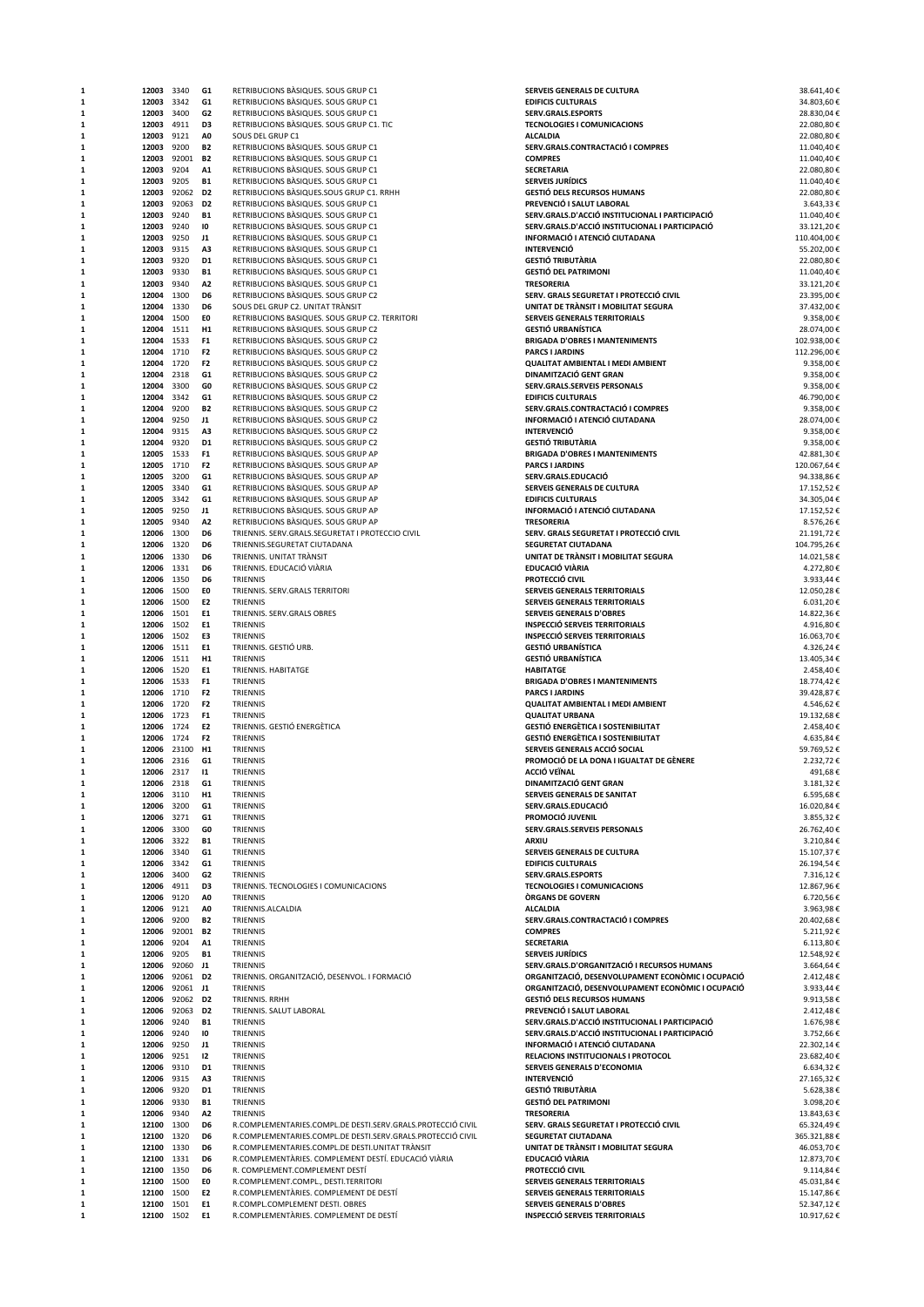| 1           | 12003 3340 |                | G1             | RETRIBUCIONS BASIQUES. SOUS GRUP C1                         | SERVEIS GENERALS DE CULTURA                       | 38.641,40€  |
|-------------|------------|----------------|----------------|-------------------------------------------------------------|---------------------------------------------------|-------------|
| 1           | 12003 3342 |                | G1             | RETRIBUCIONS BASIQUES. SOUS GRUP C1                         | <b>EDIFICIS CULTURALS</b>                         | 34.803,60€  |
| 1           | 12003 3400 |                | G <sub>2</sub> | RETRIBUCIONS BASIQUES. SOUS GRUP C1                         | SERV.GRALS.ESPORTS                                | 28.830,04€  |
| 1           | 12003 4911 |                | D3             | RETRIBUCIONS BASIQUES. SOUS GRUP C1. TIC                    | <b>TECNOLOGIES I COMUNICACIONS</b>                | 22.080,80€  |
| $\mathbf 1$ | 12003 9121 |                | A <sub>0</sub> | SOUS DEL GRUP C1                                            | <b>ALCALDIA</b>                                   | 22.080,80€  |
| ${\bf 1}$   | 12003 9200 |                | <b>B2</b>      | RETRIBUCIONS BASIQUES. SOUS GRUP C1                         | SERV.GRALS.CONTRACTACIÓ I COMPRES                 | 11.040,40€  |
| 1           |            | 12003 92001 B2 |                | RETRIBUCIONS BASIQUES. SOUS GRUP C1                         | <b>COMPRES</b>                                    | 11.040,40€  |
| 1           | 12003 9204 |                | A1             | RETRIBUCIONS BASIQUES. SOUS GRUP C1                         | <b>SECRETARIA</b>                                 | 22.080,80€  |
| 1           | 12003 9205 |                | <b>B1</b>      | RETRIBUCIONS BASIQUES. SOUS GRUP C1                         | <b>SERVEIS JURÍDICS</b>                           | 11.040,40€  |
| 1           |            | 12003 92062 D2 |                | RETRIBUCIONS BASIQUES.SOUS GRUP C1. RRHH                    | <b>GESTIÓ DELS RECURSOS HUMANS</b>                | 22.080,80€  |
| 1           |            | 12003 92063    | D <sub>2</sub> | RETRIBUCIONS BASIQUES. SOUS GRUP C1                         | PREVENCIÓ I SALUT LABORAL                         | 3.643,33 €  |
|             |            |                |                |                                                             |                                                   |             |
| 1           | 12003 9240 |                | <b>B1</b>      | RETRIBUCIONS BASIQUES. SOUS GRUP C1                         | SERV.GRALS.D'ACCIÓ INSTITUCIONAL I PARTICIPACIÓ   | 11.040,40€  |
| 1           | 12003 9240 |                | 10             | RETRIBUCIONS BASIQUES. SOUS GRUP C1                         | SERV.GRALS.D'ACCIÓ INSTITUCIONAL I PARTICIPACIÓ   | 33.121,20€  |
| $\mathbf 1$ | 12003 9250 |                | J1             | RETRIBUCIONS BASIQUES. SOUS GRUP C1                         | INFORMACIÓ I ATENCIÓ CIUTADANA                    | 110.404,00€ |
| $\mathbf 1$ | 12003 9315 |                | A3             | RETRIBUCIONS BASIQUES. SOUS GRUP C1                         | <b>INTERVENCIÓ</b>                                | 55.202,00€  |
| 1           | 12003 9320 |                | D <sub>1</sub> | RETRIBUCIONS BASIQUES. SOUS GRUP C1                         | <b>GESTIÓ TRIBUTÀRIA</b>                          | 22.080,80€  |
| 1           | 12003 9330 |                | <b>B1</b>      | RETRIBUCIONS BASIQUES. SOUS GRUP C1                         | <b>GESTIÓ DEL PATRIMONI</b>                       | 11.040,40€  |
| 1           | 12003 9340 |                | A <sub>2</sub> | RETRIBUCIONS BASIQUES. SOUS GRUP C1                         | <b>TRESORERIA</b>                                 | 33.121,20€  |
| 1           | 12004 1300 |                | D6             | RETRIBUCIONS BASIQUES. SOUS GRUP C2                         | SERV. GRALS SEGURETAT I PROTECCIÓ CIVIL           | 23.395,00€  |
|             |            |                | D6             |                                                             | UNITAT DE TRÀNSIT I MOBILITAT SEGURA              |             |
| 1           | 12004 1330 |                |                | SOUS DEL GRUP C2. UNITAT TRANSIT                            |                                                   | 37.432,00€  |
| 1           | 12004 1500 |                | EO             | RETRIBUCIONS BASIQUES. SOUS GRUP C2. TERRITORI              | SERVEIS GENERALS TERRITORIALS                     | 9.358,00€   |
| $\mathbf 1$ | 12004 1511 |                | H1             | RETRIBUCIONS BASIQUES. SOUS GRUP C2                         | <b>GESTIÓ URBANÍSTICA</b>                         | 28.074,00€  |
| $\mathbf 1$ | 12004 1533 |                | F <sub>1</sub> | RETRIBUCIONS BASIQUES. SOUS GRUP C2                         | <b>BRIGADA D'OBRES I MANTENIMENTS</b>             | 102.938,00€ |
| ${\bf 1}$   | 12004 1710 |                | F <sub>2</sub> | RETRIBUCIONS BASIQUES. SOUS GRUP C2                         | <b>PARCS I JARDINS</b>                            | 112.296,00€ |
| 1           | 12004 1720 |                | F <sub>2</sub> | RETRIBUCIONS BASIQUES. SOUS GRUP C2                         | QUALITAT AMBIENTAL I MEDI AMBIENT                 | 9.358,00€   |
| 1           | 12004 2318 |                | G1             | RETRIBUCIONS BASIQUES. SOUS GRUP C2                         | DINAMITZACIÓ GENT GRAN                            | 9.358,00€   |
| 1           | 12004 3300 |                | GO             | RETRIBUCIONS BASIQUES. SOUS GRUP C2                         | SERV.GRALS.SERVEIS PERSONALS                      | 9.358,00€   |
|             |            |                | G1             |                                                             |                                                   |             |
| 1           | 12004 3342 |                |                | RETRIBUCIONS BASIQUES. SOUS GRUP C2                         | <b>EDIFICIS CULTURALS</b>                         | 46.790,00€  |
| 1           | 12004 9200 |                | <b>B2</b>      | RETRIBUCIONS BASIQUES. SOUS GRUP C2                         | SERV.GRALS.CONTRACTACIÓ I COMPRES                 | 9.358,00€   |
| 1           | 12004 9250 |                | J1             | RETRIBUCIONS BASIQUES. SOUS GRUP C2                         | INFORMACIÓ I ATENCIÓ CIUTADANA                    | 28.074,00€  |
| 1           | 12004 9315 |                | A3             | RETRIBUCIONS BASIQUES. SOUS GRUP C2                         | <b>INTERVENCIÓ</b>                                | 9.358,00€   |
| $\mathbf 1$ | 12004 9320 |                | D1             | RETRIBUCIONS BASIQUES. SOUS GRUP C2                         | <b>GESTIÓ TRIBUTÀRIA</b>                          | 9.358,00€   |
| $\mathbf 1$ | 12005 1533 |                | F <sub>1</sub> | RETRIBUCIONS BASIQUES. SOUS GRUP AP                         | <b>BRIGADA D'OBRES I MANTENIMENTS</b>             | 42.881,30€  |
| 1           | 12005 1710 |                | F <sub>2</sub> | RETRIBUCIONS BASIQUES. SOUS GRUP AP                         | <b>PARCS I JARDINS</b>                            | 120.067,64€ |
| 1           | 12005 3200 |                | G1             | RETRIBUCIONS BASIQUES. SOUS GRUP AP                         | SERV.GRALS.EDUCACIÓ                               | 94.338,86€  |
|             |            |                |                |                                                             |                                                   |             |
| 1           | 12005 3340 |                | G1             | RETRIBUCIONS BASIQUES. SOUS GRUP AP                         | SERVEIS GENERALS DE CULTURA                       | 17.152,52€  |
| 1           | 12005 3342 |                | G1             | RETRIBUCIONS BASIQUES. SOUS GRUP AP                         | <b>EDIFICIS CULTURALS</b>                         | 34.305,04€  |
| 1           | 12005 9250 |                | J1             | RETRIBUCIONS BASIQUES. SOUS GRUP AP                         | INFORMACIÓ I ATENCIÓ CIUTADANA                    | 17.152,52€  |
| 1           | 12005 9340 |                | A <sub>2</sub> | RETRIBUCIONS BASIQUES. SOUS GRUP AP                         | <b>TRESORERIA</b>                                 | 8.576,26€   |
| 1           | 12006 1300 |                | D6             | TRIENNIS. SERV.GRALS.SEGURETAT I PROTECCIO CIVIL            | SERV. GRALS SEGURETAT I PROTECCIÓ CIVIL           | 21.191,72€  |
| $\mathbf 1$ | 12006 1320 |                | D <sub>6</sub> | TRIENNIS.SEGURETAT CIUTADANA                                | SEGURETAT CIUTADANA                               | 104.795,26€ |
| 1           | 12006 1330 |                | D6             | TRIENNIS. UNITAT TRANSIT                                    | UNITAT DE TRÀNSIT I MOBILITAT SEGURA              | 14.021,58€  |
| 1           | 12006 1331 |                | D6             | TRIENNIS. EDUCACIÓ VIÀRIA                                   | EDUCACIÓ VIÀRIA                                   | 4.272,80€   |
|             |            |                | D6             | TRIENNIS                                                    | PROTECCIÓ CIVIL                                   |             |
| 1           | 12006 1350 |                |                |                                                             |                                                   | 3.933,44 €  |
| 1           | 12006 1500 |                | E0             | TRIENNIS. SERV.GRALS TERRITORI                              | SERVEIS GENERALS TERRITORIALS                     | 12.050,28€  |
| $\mathbf 1$ | 12006 1500 |                | E <sub>2</sub> | TRIENNIS                                                    | SERVEIS GENERALS TERRITORIALS                     | 6.031,20€   |
| 1           | 12006 1501 |                | E1             | TRIENNIS. SERV.GRALS OBRES                                  | <b>SERVEIS GENERALS D'OBRES</b>                   | 14.822,36€  |
| 1           | 12006 1502 |                | E1             | TRIENNIS                                                    | <b>INSPECCIÓ SERVEIS TERRITORIALS</b>             | 4.916,80€   |
| $\mathbf 1$ | 12006 1502 |                | E3             | TRIENNIS                                                    | <b>INSPECCIÓ SERVEIS TERRITORIALS</b>             | 16.063,70€  |
| $\mathbf 1$ | 12006 1511 |                | E1             | TRIENNIS. GESTIÓ URB.                                       | <b>GESTIÓ URBANÍSTICA</b>                         | 4.326,24€   |
| 1           | 12006 1511 |                | H1             | TRIENNIS                                                    | <b>GESTIÓ URBANÍSTICA</b>                         | 13.405,34€  |
| 1           | 12006 1520 |                | E1             | TRIENNIS. HABITATGE                                         | <b>HABITATGE</b>                                  | 2.458,40€   |
| 1           |            |                | F1             | TRIENNIS                                                    |                                                   |             |
|             | 12006 1533 |                |                |                                                             | <b>BRIGADA D'OBRES I MANTENIMENTS</b>             | 18.774,42€  |
| 1           | 12006 1710 |                | F <sub>2</sub> | <b>TRIENNIS</b>                                             | <b>PARCS I JARDINS</b>                            | 39.428,87€  |
| 1           | 12006 1720 |                | F <sub>2</sub> | TRIENNIS                                                    | <b>QUALITAT AMBIENTAL I MEDI AMBIENT</b>          | 4.546,62€   |
| 1           | 12006 1723 |                | F1             | <b>TRIENNIS</b>                                             | <b>QUALITAT URBANA</b>                            | 19.132,68€  |
| 1           | 12006 1724 |                | E <sub>2</sub> | TRIENNIS. GESTIÓ ENERGÈTICA                                 | <b>GESTIÓ ENERGÈTICA I SOSTENIBILITAT</b>         | 2.458,40€   |
| 1           | 12006 1724 |                | F <sub>2</sub> | TRIENNIS                                                    | <b>GESTIÓ ENERGÈTICA I SOSTENIBILITAT</b>         | 4.635,84€   |
| 1           |            | 12006 23100 H1 |                | <b>TRIENNIS</b>                                             | SERVEIS GENERALS ACCIÓ SOCIAL                     | 59.769,52€  |
| 1           | 12006 2316 |                | G <sub>1</sub> | TRIENNIS                                                    | PROMOCIÓ DE LA DONA I IGUALTAT DE GÈNERE          | 2.232,72€   |
|             | 12006 2317 |                |                |                                                             | <b>ACCIÓ VEÏNAL</b>                               | 491.68€     |
| 1           |            |                | $\mathbf{11}$  | TRIENNIS                                                    |                                                   |             |
| 1           | 12006 2318 |                | G1             | TRIENNIS                                                    | DINAMITZACIÓ GENT GRAN                            | 3.181,32€   |
| 1           | 12006 3110 |                | H1             | TRIENNIS                                                    | SERVEIS GENERALS DE SANITAT                       | 6.595,68€   |
| $\mathbf 1$ | 12006 3200 |                | G1             | TRIENNIS                                                    | SERV.GRALS.EDUCACIÓ                               | 16.020,84€  |
| 1           | 12006 3271 |                | G1             | TRIENNIS                                                    | PROMOCIÓ JUVENIL                                  | 3.855,32€   |
| 1           | 12006 3300 |                | GO             | TRIENNIS                                                    | SERV.GRALS.SERVEIS PERSONALS                      | 26.762,40€  |
| ${\bf 1}$   | 12006      | 3322           | <b>B1</b>      | TRIENNIS                                                    | <b>ARXIU</b>                                      | 3.210,84€   |
| 1           | 12006 3340 |                | G1             | TRIENNIS                                                    | SERVEIS GENERALS DE CULTURA                       | 15.107,37€  |
|             |            |                |                |                                                             |                                                   |             |
| 1           | 12006 3342 |                | G1             | TRIENNIS                                                    | <b>EDIFICIS CULTURALS</b>                         | 26.194,54€  |
| 1           | 12006 3400 |                | G2             | TRIENNIS                                                    | SERV.GRALS.ESPORTS                                | 7.316,12€   |
| 1           | 12006      | 4911           | D3             | TRIENNIS. TECNOLOGIES I COMUNICACIONS                       | <b>TECNOLOGIES I COMUNICACIONS</b>                | 12.867,96€  |
| 1           | 12006      | 9120           | A0             | TRIENNIS                                                    | <b>ORGANS DE GOVERN</b>                           | 6.720,56€   |
| $\mathbf 1$ | 12006 9121 |                | A0             | TRIENNIS.ALCALDIA                                           | <b>ALCALDIA</b>                                   | 3.963,98€   |
| ${\bf 1}$   | 12006 9200 |                | <b>B2</b>      | TRIENNIS                                                    | SERV.GRALS.CONTRACTACIÓ I COMPRES                 | 20.402,68€  |
| 1           |            | 12006 92001 B2 |                | <b>TRIENNIS</b>                                             | <b>COMPRES</b>                                    | 5.211,92€   |
| 1           | 12006 9204 |                | A1             | TRIENNIS                                                    | <b>SECRETARIA</b>                                 | 6.113,80€   |
| 1           | 12006 9205 |                | <b>B1</b>      | TRIENNIS                                                    | <b>SERVEIS JURÍDICS</b>                           | 12.548,92€  |
| 1           |            | 12006 92060 J1 |                | TRIENNIS                                                    | SERV.GRALS.D'ORGANITZACIÓ I RECURSOS HUMANS       | 3.664,64€   |
|             |            |                |                |                                                             |                                                   |             |
| 1           |            | 12006 92061 D2 |                | TRIENNIS. ORGANITZACIÓ, DESENVOL. I FORMACIÓ                | ORGANITZACIÓ, DESENVOLUPAMENT ECONÒMIC I OCUPACIÓ | 2.412,48€   |
| 1           |            | 12006 92061 J1 |                | TRIENNIS                                                    | ORGANITZACIÓ, DESENVOLUPAMENT ECONÒMIC I OCUPACIÓ | 3.933,44 €  |
| 1           |            | 12006 92062 D2 |                | TRIENNIS. RRHH                                              | <b>GESTIÓ DELS RECURSOS HUMANS</b>                | 9.913,58€   |
| $\mathbf 1$ |            | 12006 92063 D2 |                | TRIENNIS. SALUT LABORAL                                     | PREVENCIÓ I SALUT LABORAL                         | 2.412,48€   |
| ${\bf 1}$   | 12006 9240 |                | <b>B1</b>      | TRIENNIS                                                    | SERV.GRALS.D'ACCIÓ INSTITUCIONAL I PARTICIPACIÓ   | 1.676,98€   |
| 1           | 12006 9240 |                | 10             | TRIENNIS                                                    | SERV.GRALS.D'ACCIÓ INSTITUCIONAL I PARTICIPACIÓ   | 3.752,66€   |
| 1           | 12006 9250 |                | J1             | TRIENNIS                                                    | INFORMACIÓ I ATENCIÓ CIUTADANA                    | 22.302,14€  |
| 1           | 12006 9251 |                | 12             | TRIENNIS                                                    | RELACIONS INSTITUCIONALS I PROTOCOL               | 23.682,40€  |
| 1           | 12006 9310 |                | D1             | TRIENNIS                                                    | SERVEIS GENERALS D'ECONOMIA                       | 6.634,32€   |
|             |            |                |                |                                                             |                                                   |             |
| 1           | 12006 9315 |                | A3             | TRIENNIS                                                    | <b>INTERVENCIÓ</b>                                | 27.165,32€  |
| 1           | 12006 9320 |                | D1             | TRIENNIS                                                    | <b>GESTIÓ TRIBUTÀRIA</b>                          | 5.628,38€   |
| 1           | 12006 9330 |                | <b>B1</b>      | TRIENNIS                                                    | <b>GESTIÓ DEL PATRIMONI</b>                       | 3.098,20€   |
| ${\bf 1}$   | 12006 9340 |                | A <sub>2</sub> | TRIENNIS                                                    | <b>TRESORERIA</b>                                 | 13.843,63€  |
| ${\bf 1}$   | 12100 1300 |                | D6             | R.COMPLEMENTARIES.COMPL.DE DESTI.SERV.GRALS.PROTECCIÓ CIVIL | SERV. GRALS SEGURETAT I PROTECCIÓ CIVIL           | 65.324,49€  |
| 1           | 12100 1320 |                | D6             | R.COMPLEMENTARIES.COMPL.DE DESTI.SERV.GRALS.PROTECCIÓ CIVIL | SEGURETAT CIUTADANA                               | 365.321,88€ |
| 1           | 12100 1330 |                | D6             | R.COMPLEMENTARIES.COMPL.DE DESTI.UNITAT TRANSIT             | UNITAT DE TRÀNSIT I MOBILITAT SEGURA              | 46.053,70€  |
| 1           | 12100      | 1331           | D6             | R.COMPLEMENTÀRIES. COMPLEMENT DESTÍ. EDUCACIÓ VIÀRIA        | EDUCACIÓ VIÀRIA                                   | 12.873,70€  |
|             |            |                |                |                                                             |                                                   |             |
| 1           | 12100      | 1350           | D6             | R. COMPLEMENT.COMPLEMENT DESTÍ                              | PROTECCIÓ CIVIL                                   | 9.114,84€   |
| 1           | 12100      | 1500           | EO             | R.COMPLEMENT.COMPL., DESTI.TERRITORI                        | SERVEIS GENERALS TERRITORIALS                     | 45.031,84€  |
| 1           | 12100 1500 |                | E <sub>2</sub> | R.COMPLEMENTARIES. COMPLEMENT DE DESTÍ                      | SERVEIS GENERALS TERRITORIALS                     | 15.147,86€  |
| 1           | 12100 1501 |                | E1             | R.COMPL.COMPLEMENT DESTI. OBRES                             | <b>SERVEIS GENERALS D'OBRES</b>                   | 52.347,12€  |
| $\mathbf 1$ | 12100 1502 |                | E1             | R.COMPLEMENTARIES. COMPLEMENT DE DESTÍ                      | <b>INSPECCIÓ SERVEIS TERRITORIALS</b>             | 10.917,62€  |
|             |            |                |                |                                                             |                                                   |             |

| SERVEIS GENERALS DE CULTURA<br><b>EDIFICIS CULTURALS</b>                                           | 38.641,40€<br>34.803,60€ |
|----------------------------------------------------------------------------------------------------|--------------------------|
| <b>SERV.GRALS.ESPORTS</b>                                                                          | 28.830,04€               |
| <b>TECNOLOGIES I COMUNICACIONS</b>                                                                 | 22.080,80€               |
| <b>ALCALDIA</b>                                                                                    | 22.080,80€               |
| SERV.GRALS.CONTRACTACIÓ I COMPRES<br>COMPRES                                                       | 11.040,40€<br>11.040,40€ |
| SECRETARIA                                                                                         | 22.080,80€               |
| SERVEIS JURÍDICS                                                                                   | 11.040,40€               |
| GESTIÓ DELS RECURSOS HUMANS                                                                        | 22.080,80€               |
| PREVENCIÓ I SALUT LABORAL                                                                          | 3.643,33 €               |
| SERV.GRALS.D'ACCIÓ INSTITUCIONAL I PARTICIPACIÓ<br>SERV.GRALS.D'ACCIÓ INSTITUCIONAL I PARTICIPACIÓ | 11.040,40€<br>33.121,20€ |
| INFORMACIÓ I ATENCIÓ CIUTADANA                                                                     | 110.404,00 €             |
| INTERVENCIÓ                                                                                        | 55.202,00€               |
| GESTIÓ TRIBUTÀRIA                                                                                  | 22.080,80€               |
| GESTIÓ DEL PATRIMONI                                                                               | 11.040,40 €              |
| <b>TRESORERIA</b><br>SERV. GRALS SEGURETAT I PROTECCIÓ CIVIL                                       | 33.121,20€<br>23.395,00€ |
| UNITAT DE TRÀNSIT I MOBILITAT SEGURA                                                               | 37.432,00€               |
| SERVEIS GENERALS TERRITORIALS                                                                      | 9.358,00€                |
| GESTIÓ URBANÍSTICA                                                                                 | 28.074,00€               |
| <b>BRIGADA D'OBRES I MANTENIMENTS</b>                                                              | 102.938,00 €             |
| <b>PARCS I JARDINS</b><br>QUALITAT AMBIENTAL I MEDI AMBIENT                                        | 112.296,00€<br>9.358,00€ |
| DINAMITZACIÓ GENT GRAN                                                                             | 9.358,00€                |
| SERV.GRALS.SERVEIS PERSONALS                                                                       | 9.358,00€                |
| <b>EDIFICIS CULTURALS</b>                                                                          | 46.790,00€               |
| SERV.GRALS.CONTRACTACIÓ I COMPRES                                                                  | 9.358,00€                |
| INFORMACIÓ I ATENCIÓ CIUTADANA<br>INTERVENCIÓ                                                      | 28.074,00€<br>9.358,00€  |
| GESTIÓ TRIBUTÀRIA                                                                                  | 9.358,00€                |
| <b>BRIGADA D'OBRES I MANTENIMENTS</b>                                                              | 42.881,30€               |
| <b>PARCS I JARDINS</b>                                                                             | 120.067,64€              |
| SERV.GRALS.EDUCACIÓ                                                                                | 94.338,86€               |
| <b>SERVEIS GENERALS DE CULTURA</b><br><b>EDIFICIS CULTURALS</b>                                    | 17.152,52€<br>34.305,04€ |
| INFORMACIÓ I ATENCIÓ CIUTADANA                                                                     | 17.152,52€               |
| TRESORERIA                                                                                         | 8.576,26€                |
| SERV. GRALS SEGURETAT I PROTECCIÓ CIVIL                                                            | 21.191,72€               |
| SEGURETAT CIUTADANA                                                                                | 104.795,26€              |
| UNITAT DE TRÀNSIT I MOBILITAT SEGURA<br>EDUCACIÓ VIÀRIA                                            | 14.021,58€<br>4.272,80€  |
| PROTECCIÓ CIVIL                                                                                    | 3.933,44 €               |
| <b>SERVEIS GENERALS TERRITORIALS</b>                                                               | 12.050,28€               |
| SERVEIS GENERALS TERRITORIALS                                                                      | 6.031,20€                |
| SERVEIS GENERALS D'OBRES                                                                           | 14.822,36€               |
| INSPECCIÓ SERVEIS TERRITORIALS<br>INSPECCIÓ SERVEIS TERRITORIALS                                   | 4.916,80€<br>16.063,70€  |
| GESTIÓ URBANÍSTICA                                                                                 | 4.326,24€                |
| GESTIÓ URBANÍSTICA                                                                                 | 13.405,34 €              |
| <b>HABITATGE</b>                                                                                   | 2.458,40€                |
| BRIGADA D'OBRES I MANTENIMENTS                                                                     | 18.774,42€               |
| <b>PARCS I JARDINS</b><br>QUALITAT AMBIENTAL I MEDI AMBIENT                                        | 39.428,87€<br>4.546,62€  |
| <b>QUALITAT URBANA</b>                                                                             | 19.132,68€               |
| GESTIÓ ENERGÈTICA I SOSTENIBILITAT                                                                 | 2.458,40€                |
| GESTIÓ ENERGÈTICA I SOSTENIBILITAT                                                                 | 4.635,84 €               |
| SERVEIS GENERALS ACCIÓ SOCIAL<br>PROMOCIÓ DE LA DONA I IGUALTAT DE GÈNERE                          | 59.769,52€<br>2.232,72€  |
| ACCIÓ VEÏNAL                                                                                       | 491,68€                  |
| DINAMITZACIÓ GENT GRAN                                                                             | 3.181,32€                |
| SERVEIS GENERALS DE SANITAT                                                                        | 6.595,68€                |
| SERV.GRALS.EDUCACIÓ                                                                                | 16.020,84€               |
| PROMOCIÓ JUVENIL                                                                                   | 3.855,32€                |
| SERV.GRALS.SERVEIS PERSONALS<br>ARXIU                                                              | 26.762,40€<br>3.210,84€  |
| SERVEIS GENERALS DE CULTURA                                                                        | 15.107,37€               |
| <b>EDIFICIS CULTURALS</b>                                                                          | 26.194,54€               |
| <b>SERV.GRALS.ESPORTS</b>                                                                          | 7.316,12€                |
| <b>TECNOLOGIES I COMUNICACIONS</b>                                                                 | 12.867,96€               |
| ÒRGANS DE GOVERN<br>ALCALDIA                                                                       | 6.720,56€<br>3.963,98€   |
| SERV.GRALS.CONTRACTACIÓ I COMPRES                                                                  | 20.402,68€               |
| COMPRES                                                                                            | 5.211,92€                |
| SECRETARIA                                                                                         | $6.113,80\ \epsilon$     |
| SERVEIS JURÍDICS                                                                                   | 12.548,92€               |
| SERV.GRALS.D'ORGANITZACIÓ I RECURSOS HUMANS<br>ORGANITZACIÓ, DESENVOLUPAMENT ECONÒMIC I OCUPACIÓ   | 3.664,64€<br>2.412,48€   |
| ORGANITZACIÓ, DESENVOLUPAMENT ECONÒMIC I OCUPACIÓ                                                  | 3.933,44 €               |
| GESTIÓ DELS RECURSOS HUMANS                                                                        | 9.913,58€                |
| PREVENCIÓ I SALUT LABORAL                                                                          | 2.412,48€                |
| SERV.GRALS.D'ACCIÓ INSTITUCIONAL I PARTICIPACIÓ                                                    | 1.676,98€                |
| SERV.GRALS.D'ACCIÓ INSTITUCIONAL I PARTICIPACIÓ<br>INFORMACIÓ I ATENCIÓ CIUTADANA                  | 3.752,66€<br>22.302,14€  |
| RELACIONS INSTITUCIONALS I PROTOCOL                                                                | 23.682,40€               |
| SERVEIS GENERALS D'ECONOMIA                                                                        | 6.634,32€                |
| INTERVENCIÓ                                                                                        | 27.165,32€               |
| GESTIÓ TRIBUTÀRIA                                                                                  | 5.628,38€                |
| GESTIÓ DEL PATRIMONI<br>TRESORERIA                                                                 | 3.098,20€<br>13.843,63€  |
| SERV. GRALS SEGURETAT I PROTECCIÓ CIVIL                                                            | 65.324,49€               |
| SEGURETAT CIUTADANA                                                                                | 365.321,88€              |
| UNITAT DE TRÀNSIT I MOBILITAT SEGURA                                                               | 46.053,70€               |
| EDUCACIÓ VIÀRIA                                                                                    | 12.873,70€               |
| PROTECCIÓ CIVIL<br>SERVEIS GENERALS TERRITORIALS                                                   | 9.114,84€<br>45.031,84€  |
| SERVEIS GENERALS TERRITORIALS                                                                      | 15.147,86€               |
| SERVEIS GENERALS D'OBRES                                                                           | 52.347,12€               |
| INSPECCIÓ SERVEIS TERRITORIALS                                                                     | 10.917,62€               |
|                                                                                                    |                          |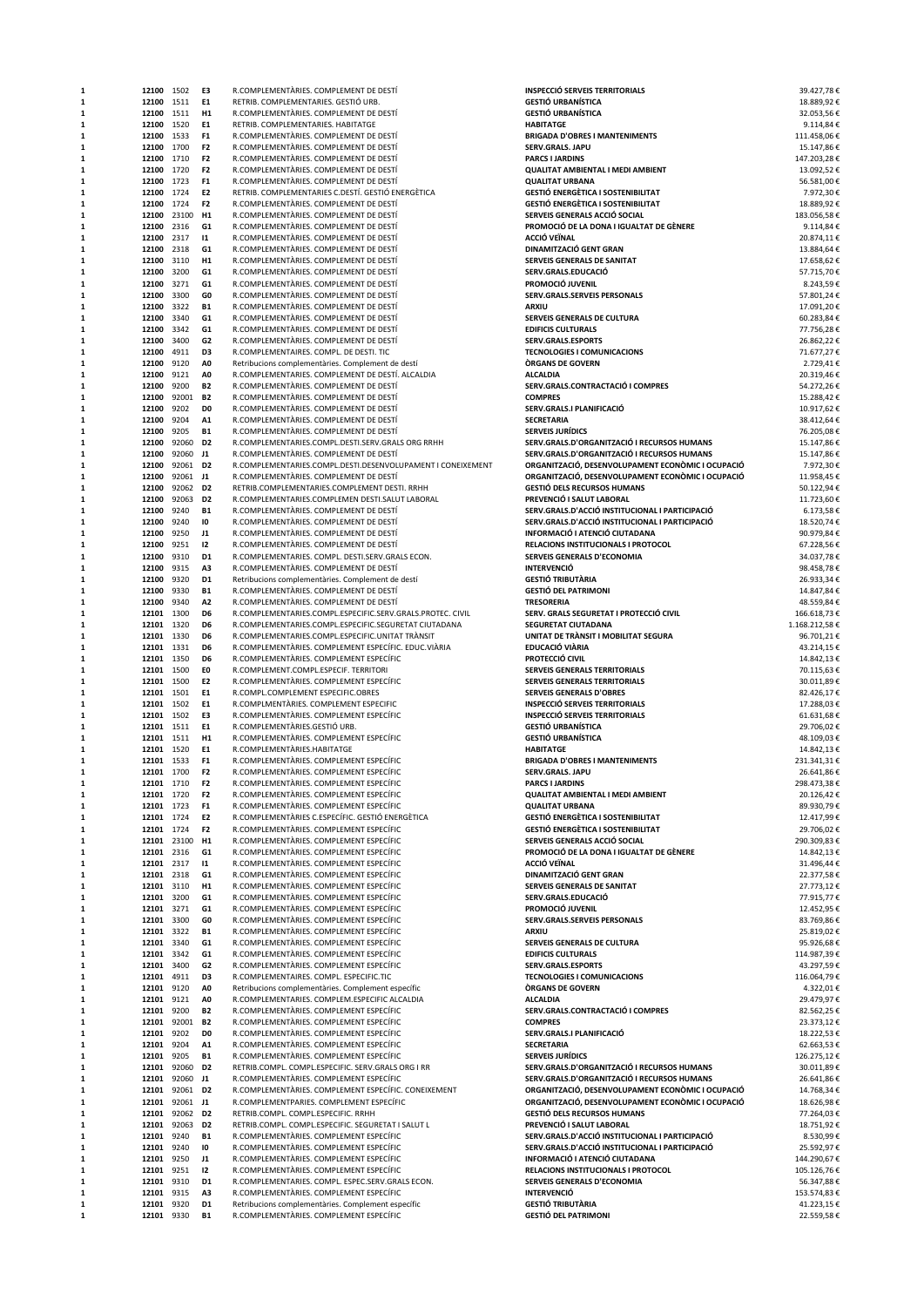| 1      | 12100                    | 1502              | E3                               | R.COMPLEMENTARIES. COMPLEMENT DE DESTÍ                                                  | <b>INSPECCIÓ SERVEIS TERRITORIALS</b>                                                                  | 39.427,78€               |
|--------|--------------------------|-------------------|----------------------------------|-----------------------------------------------------------------------------------------|--------------------------------------------------------------------------------------------------------|--------------------------|
| 1      | 12100                    | 1511              | E1                               | RETRIB. COMPLEMENTARIES. GESTIÓ URB.                                                    | <b>GESTIÓ URBANÍSTICA</b>                                                                              | 18.889,92€               |
| 1      | 12100                    | 1511              | H1                               | R.COMPLEMENTARIES. COMPLEMENT DE DESTÍ                                                  | <b>GESTIÓ URBANÍSTICA</b>                                                                              | 32.053,56€               |
| 1      | 12100                    | 1520              | E1                               | RETRIB. COMPLEMENTARIES. HABITATGE                                                      | <b>HABITATGE</b>                                                                                       | 9.114,84€                |
| 1      | 12100                    | 1533              | F <sub>1</sub>                   | R.COMPLEMENTARIES. COMPLEMENT DE DESTÍ                                                  | <b>BRIGADA D'OBRES I MANTENIMENTS</b>                                                                  | 111.458,06€              |
| 1      | 12100                    | 1700              | F <sub>2</sub>                   | R.COMPLEMENTARIES. COMPLEMENT DE DESTÍ                                                  | SERV.GRALS. JAPU                                                                                       | 15.147,86€               |
| 1<br>1 | 12100                    | 1710              | F <sub>2</sub><br>F <sub>2</sub> | R.COMPLEMENTARIES. COMPLEMENT DE DESTÍ                                                  | <b>PARCS I JARDINS</b><br><b>QUALITAT AMBIENTAL I MEDI AMBIENT</b>                                     | 147.203,28€              |
| 1      | 12100<br>12100           | 1720<br>1723      | F <sub>1</sub>                   | R.COMPLEMENTARIES. COMPLEMENT DE DESTÍ<br>R.COMPLEMENTÀRIES. COMPLEMENT DE DESTÍ        | <b>QUALITAT URBANA</b>                                                                                 | 13.092,52€<br>56.581,00€ |
| 1      | 12100                    | 1724              | E <sub>2</sub>                   | RETRIB. COMPLEMENTARIES C.DESTÍ. GESTIÓ ENERGÈTICA                                      | <b>GESTIÓ ENERGÈTICA I SOSTENIBILITAT</b>                                                              | 7.972,30€                |
| 1      | 12100                    | 1724              | F <sub>2</sub>                   | R.COMPLEMENTARIES. COMPLEMENT DE DESTÍ                                                  | <b>GESTIÓ ENERGÈTICA I SOSTENIBILITAT</b>                                                              | 18.889,92€               |
| 1      | 12100                    | 23100             | H <sub>1</sub>                   | R.COMPLEMENTARIES. COMPLEMENT DE DESTÍ                                                  | SERVEIS GENERALS ACCIÓ SOCIAL                                                                          | 183.056,58€              |
| 1      | 12100                    | 2316              | G1                               | R.COMPLEMENTARIES. COMPLEMENT DE DESTÍ                                                  | PROMOCIÓ DE LA DONA I IGUALTAT DE GÈNERE                                                               | 9.114,84€                |
| 1      | 12100                    | 2317              | $\mathbf{11}$                    | R.COMPLEMENTARIES. COMPLEMENT DE DESTÍ                                                  | ACCIÓ VEÏNAL                                                                                           | 20.874,11€               |
| 1      | 12100                    | 2318              | G1                               | R.COMPLEMENTARIES, COMPLEMENT DE DESTÍ                                                  | DINAMITZACIÓ GENT GRAN                                                                                 | 13.884,64€               |
| 1      | 12100                    | 3110              | H1                               | R.COMPLEMENTARIES. COMPLEMENT DE DESTÍ                                                  | SERVEIS GENERALS DE SANITAT                                                                            | 17.658,62€               |
| 1      | 12100                    | 3200              | G1                               | R.COMPLEMENTARIES. COMPLEMENT DE DESTÍ                                                  | SERV.GRALS.EDUCACIÓ                                                                                    | 57.715,70€               |
| 1      | 12100                    | 3271              | G1                               | R.COMPLEMENTARIES. COMPLEMENT DE DESTÍ                                                  | PROMOCIÓ JUVENIL                                                                                       | 8.243,59€                |
| 1      | 12100                    | 3300              | GO                               | R.COMPLEMENTARIES. COMPLEMENT DE DESTÍ                                                  | SERV.GRALS.SERVEIS PERSONALS                                                                           | 57.801,24€               |
| 1<br>1 | 12100<br>12100           | 3322<br>3340      | <b>B1</b><br>G1                  | R.COMPLEMENTARIES. COMPLEMENT DE DESTÍ<br>R.COMPLEMENTARIES. COMPLEMENT DE DESTÍ        | <b>ARXIU</b><br>SERVEIS GENERALS DE CULTURA                                                            | 17.091,20€               |
| 1      | 12100                    | 3342              | G1                               | R.COMPLEMENTARIES. COMPLEMENT DE DESTÍ                                                  | <b>EDIFICIS CULTURALS</b>                                                                              | 60.283,84€<br>77.756,28€ |
| 1      | 12100                    | 3400              | G <sub>2</sub>                   | R.COMPLEMENTARIES. COMPLEMENT DE DESTÍ                                                  | SERV.GRALS.ESPORTS                                                                                     | 26.862,22€               |
| 1      | 12100                    | 4911              | D <sub>3</sub>                   | R.COMPLEMENTAIRES. COMPL. DE DESTI. TIC                                                 | <b>TECNOLOGIES I COMUNICACIONS</b>                                                                     | 71.677,27€               |
| 1      | 12100                    | 9120              | A0                               | Retribucions complementàries. Complement de destí                                       | <b>ORGANS DE GOVERN</b>                                                                                | 2.729,41€                |
| 1      | 12100                    | 9121              | A0                               | R.COMPLEMENTARIES. COMPLEMENT DE DESTÍ. ALCALDIA                                        | <b>ALCALDIA</b>                                                                                        | 20.319,46€               |
| 1      | 12100                    | 9200              | <b>B2</b>                        | R.COMPLEMENTARIES. COMPLEMENT DE DESTÍ                                                  | SERV.GRALS.CONTRACTACIÓ I COMPRES                                                                      | 54.272,26€               |
| 1      | 12100                    | 92001             | <b>B2</b>                        | R.COMPLEMENTARIES. COMPLEMENT DE DESTÍ                                                  | <b>COMPRES</b>                                                                                         | 15.288,42€               |
| 1      | 12100                    | 9202              | D <sub>0</sub>                   | R.COMPLEMENTARIES. COMPLEMENT DE DESTÍ                                                  | SERV.GRALS.I PLANIFICACIÓ                                                                              | 10.917,62€               |
| 1      | 12100                    | 9204              | A1                               | R.COMPLEMENTÀRIES. COMPLEMENT DE DESTÍ                                                  | <b>SECRETARIA</b>                                                                                      | 38.412,64€               |
| 1      | 12100                    | 9205              | <b>B1</b>                        | R.COMPLEMENTARIES. COMPLEMENT DE DESTÍ                                                  | <b>SERVEIS JURÍDICS</b>                                                                                | 76.205,08€               |
| 1      | 12100                    | 92060             | D <sub>2</sub>                   | R.COMPLEMENTARIES.COMPL.DESTI.SERV.GRALS ORG RRHH                                       | SERV.GRALS.D'ORGANITZACIÓ I RECURSOS HUMANS                                                            | 15.147,86€               |
| 1      | 12100                    | 92060             | J1                               | R.COMPLEMENTARIES. COMPLEMENT DE DESTÍ                                                  | SERV.GRALS.D'ORGANITZACIÓ I RECURSOS HUMANS                                                            | 15.147,86€               |
| 1      | 12100                    | 92061<br>92061 J1 | D2                               | R.COMPLEMENTARIES.COMPL.DESTI.DESENVOLUPAMENT I CONEIXEMENT                             | ORGANITZACIÓ, DESENVOLUPAMENT ECONÒMIC I OCUPACIÓ<br>ORGANITZACIÓ, DESENVOLUPAMENT ECONÒMIC I OCUPACIÓ | 7.972,30€<br>11.958,45€  |
| 1      | 12100<br>12100           | 92062             | D <sub>2</sub>                   | R.COMPLEMENTARIES. COMPLEMENT DE DESTÍ<br>RETRIB.COMPLEMENTARIES.COMPLEMENT DESTI. RRHH | <b>GESTIÓ DELS RECURSOS HUMANS</b>                                                                     | 50.122,94€               |
| 1      | 12100                    | 92063             | D <sub>2</sub>                   | R.COMPLEMENTARIES.COMPLEMEN DESTI.SALUT LABORAL                                         | PREVENCIÓ I SALUT LABORAL                                                                              | 11.723,60€               |
| 1      | 12100                    | 9240              | <b>B1</b>                        | R.COMPLEMENTARIES, COMPLEMENT DE DESTÍ                                                  | SERV.GRALS.D'ACCIÓ INSTITUCIONAL I PARTICIPACIÓ                                                        | 6.173,58€                |
| 1      | 12100                    | 9240              | 10                               | R.COMPLEMENTARIES. COMPLEMENT DE DESTÍ                                                  | SERV.GRALS.D'ACCIÓ INSTITUCIONAL I PARTICIPACIÓ                                                        | 18.520,74€               |
| 1      | 12100                    | 9250              | J1                               | R.COMPLEMENTÀRIES. COMPLEMENT DE DESTÍ                                                  | INFORMACIÓ I ATENCIÓ CIUTADANA                                                                         | 90.979,84€               |
| 1      | 12100                    | 9251              | 12                               | R.COMPLEMENTARIES. COMPLEMENT DE DESTÍ                                                  | RELACIONS INSTITUCIONALS I PROTOCOL                                                                    | 67.228,56€               |
| 1      | 12100                    | 9310              | D1                               | R.COMPLEMENTARIES. COMPL. DESTI.SERV.GRALS ECON.                                        | SERVEIS GENERALS D'ECONOMIA                                                                            | 34.037,78€               |
| 1      | 12100                    | 9315              | A3                               | R.COMPLEMENTARIES. COMPLEMENT DE DESTÍ                                                  | <b>INTERVENCIÓ</b>                                                                                     | 98.458,78€               |
| 1      | 12100                    | 9320              | D1                               | Retribucions complementàries. Complement de destí                                       | <b>GESTIÓ TRIBUTÀRIA</b>                                                                               | 26.933,34€               |
| 1      | 12100                    | 9330              | <b>B1</b>                        | R.COMPLEMENTARIES. COMPLEMENT DE DESTÍ                                                  | <b>GESTIÓ DEL PATRIMONI</b>                                                                            | 14.847,84€               |
| 1      | 12100                    | 9340              | A2                               | R.COMPLEMENTARIES. COMPLEMENT DE DESTÍ                                                  | <b>TRESORERIA</b>                                                                                      | 48.559,84€               |
| 1      | 12101 1300               |                   | D <sub>6</sub>                   | R.COMPLEMENTARIES.COMPL.ESPECIFIC.SERV.GRALS.PROTEC. CIVIL                              | SERV. GRALS SEGURETAT I PROTECCIÓ CIVIL                                                                | 166.618,73€              |
| 1      | 12101 1320               |                   | D <sub>6</sub>                   | R.COMPLEMENTARIES.COMPL.ESPECIFIC.SEGURETAT CIUTADANA                                   | SEGURETAT CIUTADANA                                                                                    | 1.168.212,58€            |
| 1      | 12101 1330               |                   | D6                               | R.COMPLEMENTARIES.COMPL.ESPECIFIC.UNITAT TRANSIT                                        | UNITAT DE TRÀNSIT I MOBILITAT SEGURA                                                                   | 96.701,21€               |
| 1      | 12101 1331               |                   | D6                               | R.COMPLEMENTÀRIES. COMPLEMENT ESPECÍFIC. EDUC.VIÀRIA                                    | EDUCACIÓ VIÀRIA                                                                                        | 43.214,15€               |
| 1      | 12101                    | 1350              | D6                               | R.COMPLEMENTARIES. COMPLEMENT ESPECIFIC                                                 | PROTECCIÓ CIVIL                                                                                        | 14.842,13€               |
| 1      | 12101 1500               |                   | E0                               | R.COMPLEMENT.COMPL.ESPECIF. TERRITORI                                                   | SERVEIS GENERALS TERRITORIALS                                                                          | 70.115,63€               |
| 1      | 12101 1500               |                   | E <sub>2</sub>                   | R.COMPLEMENTARIES. COMPLEMENT ESPECÍFIC                                                 | SERVEIS GENERALS TERRITORIALS                                                                          | 30.011,89€               |
| 1<br>1 | 12101 1501               |                   | E1<br>E1                         | R.COMPL.COMPLEMENT ESPECIFIC.OBRES<br>R.COMPLMENTÀRIES. COMPLEMENT ESPECIFIC            | <b>SERVEIS GENERALS D'OBRES</b>                                                                        | 82.426,17€               |
| 1      | 12101 1502<br>12101 1502 |                   | E3                               | R.COMPLEMENTARIES. COMPLEMENT ESPECÍFIC                                                 | <b>INSPECCIÓ SERVEIS TERRITORIALS</b><br><b>INSPECCIÓ SERVEIS TERRITORIALS</b>                         | 17.288,03€<br>61.631,68€ |
| 1      | 12101 1511               |                   | E1                               | R.COMPLEMENTARIES.GESTIÓ URB.                                                           | <b>GESTIÓ URBANÍSTICA</b>                                                                              | 29.706,02€               |
| 1      | 12101 1511               |                   | H1                               | R.COMPLEMENTARIES. COMPLEMENT ESPECÍFIC                                                 | <b>GESTIÓ URBANÍSTICA</b>                                                                              | 48.109.03€               |
| 1      | 12101 1520               |                   | E1                               | R.COMPLEMENTARIES.HABITATGE                                                             | <b>HABITATGE</b>                                                                                       | 14.842,13€               |
| 1      | 12101 1533               |                   | F1                               | R.COMPLEMENTARIES. COMPLEMENT ESPECÍFIC                                                 | <b>BRIGADA D'OBRES I MANTENIMENTS</b>                                                                  | 231.341,31€              |
| 1      | 12101 1700               |                   | F <sub>2</sub>                   | R.COMPLEMENTÀRIES. COMPLEMENT ESPECÍFIC                                                 | SERV.GRALS. JAPU                                                                                       | 26.641,86€               |
|        | 12101 1710               |                   | F2                               | R.COMPLEMENTARIES. COMPLEMENT ESPECIFIC                                                 | <b>PARCS I JARDINS</b>                                                                                 | 298.473,38€              |
| 1      | 12101 1720               |                   | F <sub>2</sub>                   | R.COMPLEMENTÀRIES. COMPLEMENT ESPECÍFIC                                                 | <b>QUALITAT AMBIENTAL I MEDI AMBIENT</b>                                                               | 20.126,42€               |
| 1      | 12101 1723               |                   | F <sub>1</sub>                   | R.COMPLEMENTÀRIES. COMPLEMENT ESPECÍFIC                                                 | <b>QUALITAT URBANA</b>                                                                                 | 89.930,79€               |
| 1      | 12101 1724               |                   | E2                               | R.COMPLEMENTÀRIES C.ESPECÍFIC. GESTIÓ ENERGÈTICA                                        | <b>GESTIÓ ENERGÈTICA I SOSTENIBILITAT</b>                                                              | 12.417,99€               |
| 1      | 12101 1724               |                   | F <sub>2</sub>                   | R.COMPLEMENTARIES. COMPLEMENT ESPECÍFIC                                                 | <b>GESTIÓ ENERGÈTICA I SOSTENIBILITAT</b>                                                              | 29.706,02€               |
| 1      | 12101 23100              |                   | H <sub>1</sub>                   | R.COMPLEMENTARIES. COMPLEMENT ESPECÍFIC                                                 | SERVEIS GENERALS ACCIÓ SOCIAL                                                                          | 290.309,83€              |
| 1      | 12101 2316               |                   | G1                               | R.COMPLEMENTARIES. COMPLEMENT ESPECIFIC                                                 | PROMOCIÓ DE LA DONA I IGUALTAT DE GÈNERE                                                               | 14.842,13€               |
| 1      | 12101 2317               |                   | $\mathbf{11}$                    | R.COMPLEMENTARIES. COMPLEMENT ESPECÍFIC                                                 | <b>ACCIÓ VEÏNAL</b>                                                                                    | 31.496,44€               |
| 1      | 12101 2318               |                   | G1                               | R.COMPLEMENTÀRIES. COMPLEMENT ESPECÍFIC                                                 | DINAMITZACIÓ GENT GRAN                                                                                 | 22.377,58€               |
| 1      | 12101 3110               |                   | H1                               | R.COMPLEMENTARIES. COMPLEMENT ESPECÍFIC<br>R.COMPLEMENTÀRIES. COMPLEMENT ESPECÍFIC      | SERVEIS GENERALS DE SANITAT                                                                            | 27.773,12€               |
| 1<br>1 | 12101 3200               |                   | G1<br>G1                         | R.COMPLEMENTARIES. COMPLEMENT ESPECÍFIC                                                 | SERV.GRALS.EDUCACIÓ<br>PROMOCIÓ JUVENIL                                                                | 77.915,77€               |
| 1      | 12101 3271<br>12101 3300 |                   | GO                               | R.COMPLEMENTARIES. COMPLEMENT ESPECÍFIC                                                 | SERV.GRALS.SERVEIS PERSONALS                                                                           | 12.452,95€<br>83.769,86€ |
| 1      | 12101 3322               |                   | <b>B1</b>                        | R.COMPLEMENTÀRIES. COMPLEMENT ESPECÍFIC                                                 | ARXIU                                                                                                  | 25.819,02€               |
| 1      | 12101                    | 3340              | G1                               | R.COMPLEMENTARIES. COMPLEMENT ESPECÍFIC                                                 | SERVEIS GENERALS DE CULTURA                                                                            | 95.926,68€               |
| 1      | 12101                    | 3342              | G1                               | R.COMPLEMENTARIES. COMPLEMENT ESPECÍFIC                                                 | <b>EDIFICIS CULTURALS</b>                                                                              | 114.987,39€              |
| 1      | 12101 3400               |                   | G <sub>2</sub>                   | R.COMPLEMENTÀRIES. COMPLEMENT ESPECÍFIC                                                 | SERV.GRALS.ESPORTS                                                                                     | 43.297,59€               |
| 1      | 12101 4911               |                   | D <sub>3</sub>                   | R.COMPLEMENTAIRES, COMPL. ESPECIFIC.TIC                                                 | <b>TECNOLOGIES I COMUNICACIONS</b>                                                                     | 116.064,79€              |
| 1      | 12101 9120               |                   | A <sub>0</sub>                   | Retribucions complementàries. Complement específic                                      | <b>ORGANS DE GOVERN</b>                                                                                | 4.322,01€                |
| 1      | 12101 9121               |                   | A <sub>0</sub>                   | R.COMPLEMENTARIES. COMPLEM.ESPECIFIC ALCALDIA                                           | <b>ALCALDIA</b>                                                                                        | 29.479,97€               |
| 1      | 12101 9200               |                   | <b>B2</b>                        | R.COMPLEMENTARIES. COMPLEMENT ESPECÍFIC                                                 | SERV.GRALS.CONTRACTACIÓ I COMPRES                                                                      | 82.562,25€               |
| 1      | 12101                    | 92001             | <b>B2</b>                        | R.COMPLEMENTARIES. COMPLEMENT ESPECÍFIC                                                 | <b>COMPRES</b>                                                                                         | 23.373,12€               |
| 1      | 12101 9202               |                   | D <sub>0</sub>                   | R.COMPLEMENTARIES. COMPLEMENT ESPECÍFIC                                                 | SERV.GRALS.I PLANIFICACIÓ                                                                              | 18.222,53€               |
|        | 12101                    | 9204              | A1                               | R.COMPLEMENTÀRIES. COMPLEMENT ESPECÍFIC                                                 | <b>SECRETARIA</b>                                                                                      | 62.663,53€               |
| 1      | 12101 9205               |                   | <b>B1</b>                        | R.COMPLEMENTARIES. COMPLEMENT ESPECÍFIC                                                 | <b>SERVEIS JURIDICS</b>                                                                                | 126.275,12€              |
| 1      | 12101                    | 92060             | D <sub>2</sub>                   | RETRIB.COMPL. COMPL.ESPECIFIC. SERV.GRALS ORG I RR                                      | SERV.GRALS.D'ORGANITZACIÓ I RECURSOS HUMANS                                                            | 30.011,89€               |
| 1      | 12101 92060              |                   | J1                               | R.COMPLEMENTARIES. COMPLEMENT ESPECÍFIC                                                 | SERV.GRALS.D'ORGANITZACIÓ I RECURSOS HUMANS                                                            | 26.641,86€               |
| 1      | 12101 92061              |                   | D <sub>2</sub>                   | R.COMPLEMENTÀRIES. COMPLEMENT ESPECÍFIC. CONEIXEMENT                                    | ORGANITZACIÓ, DESENVOLUPAMENT ECONÒMIC I OCUPACIÓ                                                      | 14.768,34€               |
| 1<br>1 | 12101 92062              | 12101 92061 J1    | D <sub>2</sub>                   | R.COMPLEMENTPARIES. COMPLEMENT ESPECÍFIC<br>RETRIB.COMPL. COMPL.ESPECIFIC. RRHH         | ORGANITZACIÓ, DESENVOLUPAMENT ECONÒMIC I OCUPACIÓ<br><b>GESTIÓ DELS RECURSOS HUMANS</b>                | 18.626,98€               |
| 1      | 12101                    | 92063             | D <sub>2</sub>                   | RETRIB.COMPL. COMPL.ESPECIFIC. SEGURETAT I SALUT L                                      | PREVENCIÓ I SALUT LABORAL                                                                              | 77.264,03€<br>18.751,92€ |
| 1      | 12101 9240               |                   | <b>B1</b>                        | R.COMPLEMENTARIES. COMPLEMENT ESPECIFIC                                                 | SERV.GRALS.D'ACCIÓ INSTITUCIONAL I PARTICIPACIÓ                                                        | 8.530,99€                |
|        | 12101                    | 9240              | 10                               | R.COMPLEMENTÀRIES. COMPLEMENT ESPECÍFIC                                                 | SERV.GRALS.D'ACCIÓ INSTITUCIONAL I PARTICIPACIÓ                                                        | 25.592,97€               |
| 1      | 12101 9250               |                   | J1                               | R.COMPLEMENTARIES. COMPLEMENT ESPECÍFIC                                                 | INFORMACIÓ I ATENCIÓ CIUTADANA                                                                         | 144.290,67€              |
| 1      | 12101                    | 9251              | 12                               | R.COMPLEMENTARIES. COMPLEMENT ESPECÍFIC                                                 | RELACIONS INSTITUCIONALS I PROTOCOL                                                                    | 105.126,76€              |
| 1      | 12101 9310               |                   | D <sub>1</sub>                   | R.COMPLEMENTARIES. COMPL. ESPEC.SERV.GRALS ECON.                                        | SERVEIS GENERALS D'ECONOMIA                                                                            | 56.347,88€               |
| 1      | 12101 9315               |                   | A3                               | R.COMPLEMENTARIES. COMPLEMENT ESPECÍFIC                                                 | <b>INTERVENCIÓ</b>                                                                                     | 153.574,83€              |
|        | 12101                    | 9320              | D1                               | Retribucions complementàries. Complement específic                                      | <b>GESTIÓ TRIBUTÀRIA</b>                                                                               | 41.223,15€               |
| 1      | 12101 9330               |                   | <b>B1</b>                        | R.COMPLEMENTARIES. COMPLEMENT ESPECÍFIC                                                 | <b>GESTIÓ DEL PATRIMONI</b>                                                                            | 22.559,58€               |
|        |                          |                   |                                  |                                                                                         |                                                                                                        |                          |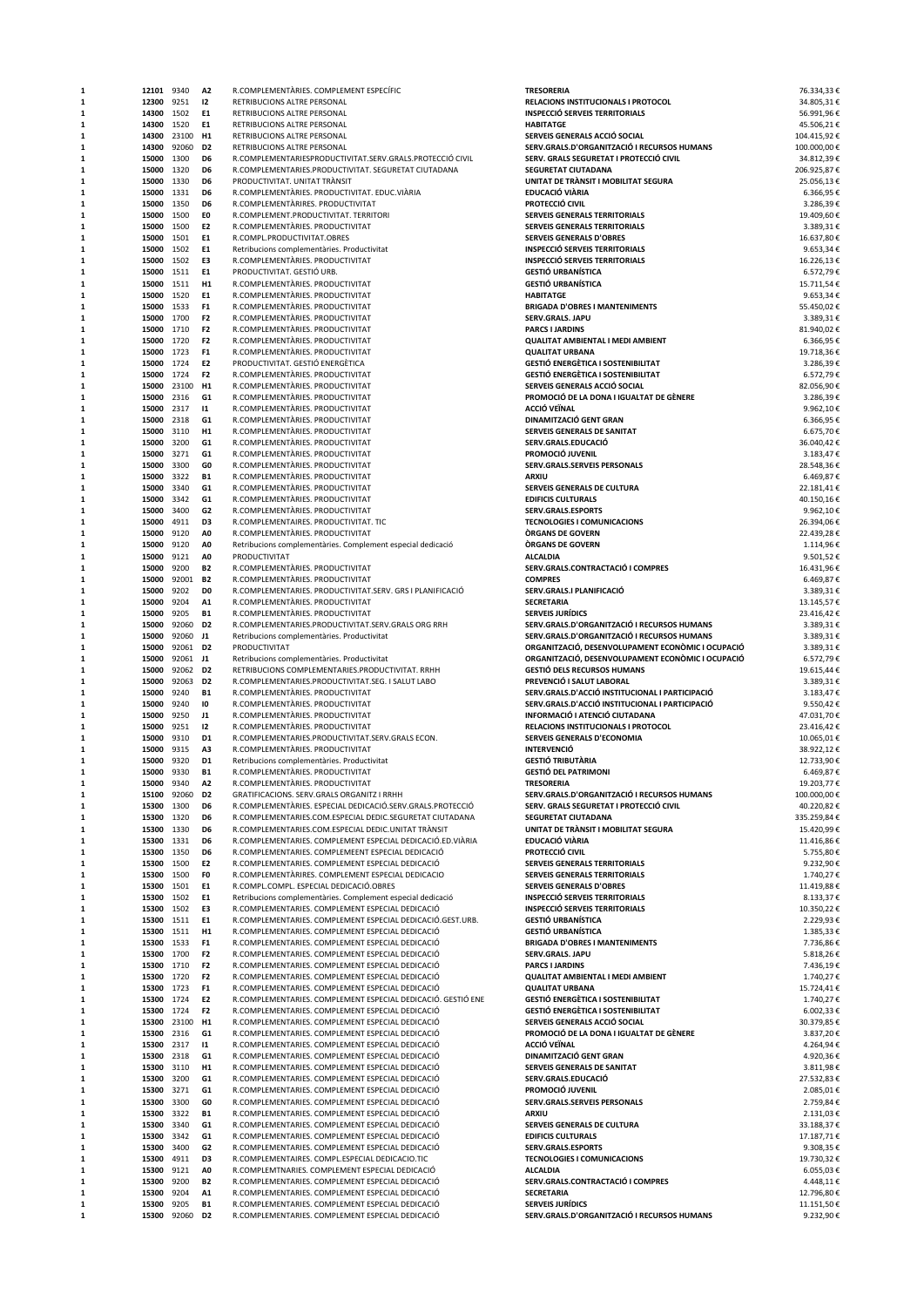| 1      | 12101          | 9340           | A2                               | R.COMPLEMENTARIES. COMPLEMENT ESPECIFIC                                                                         | <b>TRESORERIA</b>                                                      | 76.334,33 €                |
|--------|----------------|----------------|----------------------------------|-----------------------------------------------------------------------------------------------------------------|------------------------------------------------------------------------|----------------------------|
| 1      | 12300          | 9251           | 12                               | RETRIBUCIONS ALTRE PERSONAL                                                                                     | <b>RELACIONS INSTITUCIONALS I PROTOCOL</b>                             | 34.805,31€                 |
| 1      | 14300          | 1502           | E1                               | RETRIBUCIONS ALTRE PERSONAL                                                                                     | <b>INSPECCIÓ SERVEIS TERRITORIALS</b>                                  | 56.991,96€                 |
| 1      | 14300          | 1520           | E1                               | RETRIBUCIONS ALTRE PERSONAL                                                                                     | <b>HABITATGE</b><br>SERVEIS GENERALS ACCIÓ SOCIAL                      | 45.506,21€                 |
| 1<br>1 | 14300<br>14300 | 23100<br>92060 | H <sub>1</sub><br>D <sub>2</sub> | RETRIBUCIONS ALTRE PERSONAL<br>RETRIBUCIONS ALTRE PERSONAL                                                      | SERV.GRALS.D'ORGANITZACIÓ I RECURSOS HUMANS                            | 104.415,92€<br>100.000,00€ |
| 1      | 15000          | 1300           | D6                               | R.COMPLEMENTARIESPRODUCTIVITAT.SERV.GRALS.PROTECCIÓ CIVIL                                                       | SERV. GRALS SEGURETAT I PROTECCIÓ CIVIL                                | 34.812,39€                 |
| 1      | 15000          | 1320           | D6                               | R.COMPLEMENTARIES.PRODUCTIVITAT. SEGURETAT CIUTADANA                                                            | SEGURETAT CIUTADANA                                                    | 206.925,87€                |
| 1      | 15000          | 1330           | D6                               | PRODUCTIVITAT. UNITAT TRÀNSIT                                                                                   | UNITAT DE TRÀNSIT I MOBILITAT SEGURA                                   | 25.056,13€                 |
| 1      | 15000          | 1331           | D <sub>6</sub>                   | R.COMPLEMENTÀRIES. PRODUCTIVITAT. EDUC.VIÀRIA                                                                   | EDUCACIÓ VIÀRIA                                                        | 6.366,95€                  |
| 1      | 15000          | 1350           | D <sub>6</sub>                   | R.COMPLEMENTARIRES. PRODUCTIVITAT                                                                               | PROTECCIÓ CIVIL                                                        | 3.286,39€                  |
| 1      | 15000          | 1500           | E0                               | R.COMPLEMENT.PRODUCTIVITAT. TERRITORI                                                                           | SERVEIS GENERALS TERRITORIALS                                          | 19.409,60€                 |
| 1      | 15000          | 1500           | E <sub>2</sub>                   | R.COMPLEMENTARIES. PRODUCTIVITAT                                                                                | SERVEIS GENERALS TERRITORIALS                                          | 3.389,31€                  |
| 1      | 15000          | 1501           | E1                               | R.COMPL.PRODUCTIVITAT.OBRES                                                                                     | <b>SERVEIS GENERALS D'OBRES</b>                                        | 16.637,80€                 |
| 1      | 15000          | 1502           | E1                               | Retribucions complementàries. Productivitat                                                                     | <b>INSPECCIÓ SERVEIS TERRITORIALS</b>                                  | 9.653,34€                  |
| 1      | 15000          | 1502           | E3                               | R.COMPLEMENTÀRIES. PRODUCTIVITAT                                                                                | <b>INSPECCIÓ SERVEIS TERRITORIALS</b><br><b>GESTIÓ URBANÍSTICA</b>     | 16.226,13€                 |
| 1<br>1 | 15000          | 1511<br>1511   | E1<br>H <sub>1</sub>             | PRODUCTIVITAT. GESTIÓ URB.<br>R.COMPLEMENTÀRIES. PRODUCTIVITAT                                                  | <b>GESTIÓ URBANÍSTICA</b>                                              | 6.572,79€<br>15.711,54€    |
| 1      | 15000<br>15000 | 1520           | E1                               | R.COMPLEMENTARIES. PRODUCTIVITAT                                                                                | <b>HABITATGE</b>                                                       | 9.653,34€                  |
| 1      | 15000          | 1533           | F <sub>1</sub>                   | R.COMPLEMENTARIES, PRODUCTIVITAT                                                                                | <b>BRIGADA D'OBRES I MANTENIMENTS</b>                                  | 55.450,02€                 |
| 1      | 15000          | 1700           | F <sub>2</sub>                   | R.COMPLEMENTARIES. PRODUCTIVITAT                                                                                | SERV.GRALS. JAPU                                                       | 3.389,31€                  |
| 1      | 15000          | 1710           | F <sub>2</sub>                   | R.COMPLEMENTARIES. PRODUCTIVITAT                                                                                | <b>PARCS I JARDINS</b>                                                 | 81.940,02€                 |
| 1      | 15000          | 1720           | F <sub>2</sub>                   | R.COMPLEMENTARIES. PRODUCTIVITAT                                                                                | <b>QUALITAT AMBIENTAL I MEDI AMBIENT</b>                               | 6.366,95€                  |
| 1      | 15000          | 1723           | F <sub>1</sub>                   | R.COMPLEMENTÀRIES. PRODUCTIVITAT                                                                                | <b>QUALITAT URBANA</b>                                                 | 19.718,36€                 |
| 1      | 15000          | 1724           | E2                               | PRODUCTIVITAT. GESTIÓ ENERGÈTICA                                                                                | <b>GESTIÓ ENERGÈTICA I SOSTENIBILITAT</b>                              | 3.286,39€                  |
| 1      | 15000          | 1724           | F <sub>2</sub>                   | R.COMPLEMENTARIES. PRODUCTIVITAT                                                                                | <b>GESTIÓ ENERGÈTICA I SOSTENIBILITAT</b>                              | 6.572,79€                  |
| 1      | 15000          | 23100          | H <sub>1</sub>                   | R.COMPLEMENTÀRIES. PRODUCTIVITAT                                                                                | SERVEIS GENERALS ACCIÓ SOCIAL                                          | 82.056,90€                 |
| 1      | 15000          | 2316           | G1                               | R.COMPLEMENTARIES. PRODUCTIVITAT                                                                                | PROMOCIÓ DE LA DONA I IGUALTAT DE GÈNERE                               | 3.286,39€                  |
| 1      | 15000          | 2317           | $\mathbf{11}$                    | R.COMPLEMENTARIES. PRODUCTIVITAT                                                                                | <b>ACCIÓ VEÏNAL</b>                                                    | 9.962,10€                  |
| 1      | 15000          | 2318           | G1                               | R.COMPLEMENTARIES. PRODUCTIVITAT                                                                                | DINAMITZACIÓ GENT GRAN                                                 | 6.366,95€                  |
| 1<br>1 | 15000<br>15000 | 3110<br>3200   | H1<br>G1                         | R.COMPLEMENTARIES. PRODUCTIVITAT<br>R.COMPLEMENTARIES. PRODUCTIVITAT                                            | SERVEIS GENERALS DE SANITAT<br>SERV.GRALS.EDUCACIÓ                     | 6.675,70€<br>36.040,42€    |
| 1      |                | 3271           | G1                               |                                                                                                                 | PROMOCIÓ JUVENIL                                                       |                            |
| 1      | 15000<br>15000 | 3300           | GO                               | R.COMPLEMENTARIES. PRODUCTIVITAT<br>R.COMPLEMENTÀRIES. PRODUCTIVITAT                                            | SERV.GRALS.SERVEIS PERSONALS                                           | 3.183,47€<br>28.548,36€    |
| 1      | 15000          | 3322           | <b>B1</b>                        | R.COMPLEMENTARIES. PRODUCTIVITAT                                                                                | ARXIU                                                                  | 6.469,87€                  |
| 1      | 15000          | 3340           | G1                               | R.COMPLEMENTÀRIES. PRODUCTIVITAT                                                                                | SERVEIS GENERALS DE CULTURA                                            | 22.181,41€                 |
| 1      | 15000          | 3342           | G1                               | R.COMPLEMENTARIES. PRODUCTIVITAT                                                                                | <b>EDIFICIS CULTURALS</b>                                              | 40.150,16€                 |
| 1      | 15000          | 3400           | G <sub>2</sub>                   | R.COMPLEMENTARIES, PRODUCTIVITAT                                                                                | SERV.GRALS.ESPORTS                                                     | 9.962,10€                  |
| 1      | 15000          | 4911           | D3                               | R.COMPLEMENTAIRES. PRODUCTIVITAT. TIC                                                                           | <b>TECNOLOGIES I COMUNICACIONS</b>                                     | 26.394,06€                 |
| 1      | 15000          | 9120           | A <sub>0</sub>                   | R.COMPLEMENTARIES. PRODUCTIVITAT                                                                                | <b>ORGANS DE GOVERN</b>                                                | 22.439,28€                 |
|        | 15000          | 9120           | A <sub>0</sub>                   | Retribucions complementàries. Complement especial dedicació                                                     | <b>ORGANS DE GOVERN</b>                                                | 1.114,96€                  |
| 1      | 15000          | 9121           | A0                               | PRODUCTIVITAT                                                                                                   | <b>ALCALDIA</b>                                                        | 9.501,52€                  |
| 1      | 15000          | 9200           | <b>B2</b>                        | R.COMPLEMENTARIES. PRODUCTIVITAT                                                                                | SERV.GRALS.CONTRACTACIÓ I COMPRES                                      | 16.431,96€                 |
| 1      | 15000          | 92001          | <b>B2</b>                        | R.COMPLEMENTARIES. PRODUCTIVITAT                                                                                | <b>COMPRES</b>                                                         | 6.469,87€                  |
| 1      | 15000          | 9202           | D <sub>0</sub>                   | R.COMPLEMENTARIES. PRODUCTIVITAT.SERV. GRS I PLANIFICACIÓ                                                       | SERV.GRALS.I PLANIFICACIÓ                                              | 3.389,31€                  |
| 1      | 15000          | 9204           | A1                               | R.COMPLEMENTARIES. PRODUCTIVITAT                                                                                | <b>SECRETARIA</b>                                                      | 13.145,57€                 |
| 1<br>1 | 15000<br>15000 | 9205<br>92060  | <b>B1</b><br>D <sub>2</sub>      | R.COMPLEMENTARIES. PRODUCTIVITAT<br>R.COMPLEMENTARIES.PRODUCTIVITAT.SERV.GRALS ORG RRH                          | <b>SERVEIS JURÍDICS</b><br>SERV.GRALS.D'ORGANITZACIÓ I RECURSOS HUMANS | 23.416,42€<br>3.389,31€    |
| 1      | 15000          | 92060          | J1                               | Retribucions complementàries. Productivitat                                                                     | SERV.GRALS.D'ORGANITZACIÓ I RECURSOS HUMANS                            | 3.389,31€                  |
|        | 15000          | 92061          | D2                               | PRODUCTIVITAT                                                                                                   | ORGANITZACIÓ, DESENVOLUPAMENT ECONÒMIC I OCUPACIÓ                      | 3.389,31€                  |
| 1      | 15000          | 92061          | J1                               | Retribucions complementàries. Productivitat                                                                     | ORGANITZACIÓ, DESENVOLUPAMENT ECONÒMIC I OCUPACIÓ                      | 6.572,79€                  |
| 1      | 15000          | 92062          | D <sub>2</sub>                   | RETRIBUCIONS COMPLEMENTARIES.PRODUCTIVITAT. RRHH                                                                | <b>GESTIÓ DELS RECURSOS HUMANS</b>                                     | 19.615,44€                 |
| 1      | 15000          | 92063          | D <sub>2</sub>                   | R.COMPLEMENTARIES.PRODUCTIVITAT.SEG. I SALUT LABO                                                               | PREVENCIÓ I SALUT LABORAL                                              | 3.389,31€                  |
| 1      | 15000          | 9240           | <b>B1</b>                        | R.COMPLEMENTARIES. PRODUCTIVITAT                                                                                | SERV.GRALS.D'ACCIÓ INSTITUCIONAL I PARTICIPACIÓ                        | 3.183,47€                  |
| 1      | 15000          | 9240           | 10                               | R.COMPLEMENTÀRIES. PRODUCTIVITAT                                                                                | SERV.GRALS.D'ACCIÓ INSTITUCIONAL I PARTICIPACIÓ                        | 9.550,42€                  |
| 1      | 15000          | 9250           | J1                               | R.COMPLEMENTARIES. PRODUCTIVITAT                                                                                | INFORMACIÓ I ATENCIÓ CIUTADANA                                         | 47.031,70€                 |
| 1      | 15000          | 9251           | 12                               | R.COMPLEMENTARIES. PRODUCTIVITAT                                                                                | RELACIONS INSTITUCIONALS I PROTOCOL                                    | 23.416,42€                 |
| 1      | 15000          | 9310           | D1                               | R.COMPLEMENTARIES.PRODUCTIVITAT.SERV.GRALS ECON.                                                                | SERVEIS GENERALS D'ECONOMIA                                            | 10.065,01€                 |
| 1      | 15000          | 9315           | A3                               | R.COMPLEMENTARIES. PRODUCTIVITAT                                                                                | <b>INTERVENCIÓ</b>                                                     | 38.922,12€                 |
| 1      | 15000          | 9320           | D1                               | Retribucions complementàries. Productivitat                                                                     | <b>GESTIÓ TRIBUTÀRIA</b>                                               | 12.733,90€                 |
| 1      | 15000          | 9330           | <b>B1</b>                        | R.COMPLEMENTARIES. PRODUCTIVITAT                                                                                | <b>GESTIÓ DEL PATRIMONI</b>                                            | 6.469,87€                  |
|        | 15000          | 9340           | A2                               | R.COMPLEMENTÀRIES. PRODUCTIVITAT                                                                                | TRESORERIA                                                             | 19.203,//€                 |
| 1      | 15100          | 92060          | D <sub>2</sub>                   | GRATIFICACIONS. SERV.GRALS ORGANITZ I RRHH                                                                      | SERV.GRALS.D'ORGANITZACIÓ I RECURSOS HUMANS                            | 100.000,00€                |
| 1      | 15300          | 1300           | D6                               | R.COMPLEMENTÀRIES. ESPECIAL DEDICACIÓ.SERV.GRALS.PROTECCIÓ                                                      | SERV. GRALS SEGURETAT I PROTECCIÓ CIVIL                                | 40.220,82€                 |
| 1      | 15300          | 1320           | D6                               | R.COMPLEMENTARIES.COM.ESPECIAL DEDIC.SEGURETAT CIUTADANA                                                        | SEGURETAT CIUTADANA                                                    | 335.259,84€                |
| 1      | 15300          | 1330           | D6                               | R.COMPLEMENTARIES.COM.ESPECIAL DEDIC.UNITAT TRANSIT                                                             | UNITAT DE TRÀNSIT I MOBILITAT SEGURA                                   | 15.420,99€                 |
| 1<br>1 | 15300<br>15300 | 1331<br>1350   | D6<br>D6                         | R.COMPLEMENTARIES. COMPLEMENT ESPECIAL DEDICACIÓ.ED.VIÀRIA<br>R.COMPLEMENTARIES. COMPLEMEENT ESPECIAL DEDICACIÓ | EDUCACIÓ VIÀRIA<br>PROTECCIÓ CIVIL                                     | 11.416,86€<br>5.755,80€    |
| 1      | 15300          | 1500           | E2                               | R.COMPLEMENTARIES. COMPLEMENT ESPECIAL DEDICACIÓ                                                                | SERVEIS GENERALS TERRITORIALS                                          | 9.232,90€                  |
| 1      | 15300          | 1500           | F <sub>0</sub>                   | R.COMPLEMENTÀRIRES. COMPLEMENT ESPECIAL DEDICACIO                                                               | <b>SERVEIS GENERALS TERRITORIALS</b>                                   | 1.740,27€                  |
| 1      | 15300          | 1501           | E1                               | R.COMPL.COMPL. ESPECIAL DEDICACIÓ.OBRES                                                                         | <b>SERVEIS GENERALS D'OBRES</b>                                        | 11.419,88€                 |
| 1      | 15300          | 1502           | E1                               | Retribucions complementàries. Complement especial dedicació                                                     | <b>INSPECCIÓ SERVEIS TERRITORIALS</b>                                  | 8.133,37€                  |
| 1      | 15300          | 1502           | E3                               | R.COMPLEMENTARIES. COMPLEMENT ESPECIAL DEDICACIÓ                                                                | <b>INSPECCIÓ SERVEIS TERRITORIALS</b>                                  | 10.350,22€                 |
| 1      | 15300          | 1511           | E1                               | R.COMPLEMENTARIES. COMPLEMENT ESPECIAL DEDICACIÓ.GEST.URB.                                                      | <b>GESTIÓ URBANÍSTICA</b>                                              | 2.229,93€                  |
| 1      | 15300          | 1511           | H1                               | R.COMPLEMENTARIES. COMPLEMENT ESPECIAL DEDICACIÓ                                                                | <b>GESTIÓ URBANÍSTICA</b>                                              | 1.385,33 €                 |
| 1      | 15300          | 1533           | F <sub>1</sub>                   | R.COMPLEMENTARIES. COMPLEMENT ESPECIAL DEDICACIÓ                                                                | <b>BRIGADA D'OBRES I MANTENIMENTS</b>                                  | 7.736,86€                  |
| 1      | 15300          | 1700           | F <sub>2</sub>                   | R.COMPLEMENTARIES. COMPLEMENT ESPECIAL DEDICACIÓ                                                                | SERV.GRALS. JAPU                                                       | 5.818,26€                  |
| 1      | 15300          | 1710           | F <sub>2</sub>                   | R.COMPLEMENTARIES. COMPLEMENT ESPECIAL DEDICACIÓ                                                                | <b>PARCS I JARDINS</b>                                                 | 7.436,19€                  |
| 1      | 15300          | 1720           | F <sub>2</sub>                   | R.COMPLEMENTARIES. COMPLEMENT ESPECIAL DEDICACIÓ                                                                | <b>QUALITAT AMBIENTAL I MEDI AMBIENT</b>                               | 1.740,27€                  |
| 1      | 15300          | 1723           | F <sub>1</sub>                   | R.COMPLEMENTARIES. COMPLEMENT ESPECIAL DEDICACIÓ                                                                | <b>QUALITAT URBANA</b>                                                 | 15.724,41€                 |
| 1      | 15300          | 1724           | E <sub>2</sub>                   | R.COMPLEMENTARIES. COMPLEMENT ESPECIAL DEDICACIÓ. GESTIÓ ENE                                                    | <b>GESTIÓ ENERGÈTICA I SOSTENIBILITAT</b>                              | 1.740,27€                  |
| 1      | 15300          | 1724           | F <sub>2</sub>                   | R.COMPLEMENTARIES. COMPLEMENT ESPECIAL DEDICACIÓ                                                                | <b>GESTIÓ ENERGÈTICA I SOSTENIBILITAT</b>                              | 6.002,33€                  |
| 1      | 15300          | 23100          | H <sub>1</sub>                   | R.COMPLEMENTARIES. COMPLEMENT ESPECIAL DEDICACIÓ                                                                | SERVEIS GENERALS ACCIÓ SOCIAL                                          | 30.379,85€                 |
| 1      | 15300          | 2316           | G1<br>$\mathbf{11}$              | R.COMPLEMENTARIES. COMPLEMENT ESPECIAL DEDICACIÓ                                                                | PROMOCIÓ DE LA DONA I IGUALTAT DE GÈNERE<br>ACCIÓ VEÏNAL               | 3.837,20€                  |
| 1      | 15300          | 2317<br>2318   | G1                               | R.COMPLEMENTARIES. COMPLEMENT ESPECIAL DEDICACIÓ<br>R.COMPLEMENTARIES. COMPLEMENT ESPECIAL DEDICACIÓ            | DINAMITZACIÓ GENT GRAN                                                 | 4.264,94€                  |
| 1      | 15300<br>15300 | 3110           | H <sub>1</sub>                   | R.COMPLEMENTARIES. COMPLEMENT ESPECIAL DEDICACIÓ                                                                | SERVEIS GENERALS DE SANITAT                                            | 4.920,36€<br>3.811,98€     |
| 1      | 15300          | 3200           | G1                               | R.COMPLEMENTARIES. COMPLEMENT ESPECIAL DEDICACIÓ                                                                | SERV.GRALS.EDUCACIÓ                                                    | 27.532,83€                 |
| 1      | 15300          | 3271           | G1                               | R.COMPLEMENTARIES. COMPLEMENT ESPECIAL DEDICACIÓ                                                                | PROMOCIÓ JUVENIL                                                       | 2.085,01€                  |
| 1      | 15300          | 3300           | GO                               | R.COMPLEMENTARIES. COMPLEMENT ESPECIAL DEDICACIÓ                                                                | SERV.GRALS.SERVEIS PERSONALS                                           | 2.759,84€                  |
|        | 15300          | 3322           | <b>B1</b>                        | R.COMPLEMENTARIES. COMPLEMENT ESPECIAL DEDICACIÓ                                                                | ARXIU                                                                  | 2.131,03€                  |
| 1      | 15300          | 3340           | G1                               | R.COMPLEMENTARIES. COMPLEMENT ESPECIAL DEDICACIÓ                                                                | SERVEIS GENERALS DE CULTURA                                            | 33.188,37€                 |
| 1      | 15300          | 3342           | G1                               | R.COMPLEMENTARIES. COMPLEMENT ESPECIAL DEDICACIÓ                                                                | <b>EDIFICIS CULTURALS</b>                                              | 17.187,71€                 |
| 1      | 15300          | 3400           | G <sub>2</sub>                   | R.COMPLEMENTARIES. COMPLEMENT ESPECIAL DEDICACIÓ                                                                | SERV.GRALS.ESPORTS                                                     | 9.308,35€                  |
| 1      | 15300          | 4911           | D3                               | R.COMPLEMENTAIRES. COMPL.ESPECIAL DEDICACIO.TIC                                                                 | <b>TECNOLOGIES I COMUNICACIONS</b>                                     | 19.730,32€                 |
| 1      | 15300          | 9121           | A <sub>0</sub>                   | R.COMPLEMTNARIES. COMPLEMENT ESPECIAL DEDICACIÓ                                                                 | <b>ALCALDIA</b>                                                        | 6.055,03€                  |
| 1      | 15300          | 9200           | <b>B2</b>                        | R.COMPLEMENTARIES. COMPLEMENT ESPECIAL DEDICACIÓ                                                                | SERV.GRALS.CONTRACTACIÓ I COMPRES                                      | 4.448,11€                  |
| 1      | 15300          | 9204           | A1                               | R.COMPLEMENTARIES. COMPLEMENT ESPECIAL DEDICACIÓ                                                                | <b>SECRETARIA</b>                                                      | 12.796,80€                 |
|        | 15300          | 9205           | <b>B1</b>                        | R.COMPLEMENTARIES. COMPLEMENT ESPECIAL DEDICACIÓ                                                                | <b>SERVEIS JURIDICS</b>                                                | 11.151,50€                 |
|        | 15300          | 92060          | D2                               | R.COMPLEMENTARIES. COMPLEMENT ESPECIAL DEDICACIÓ                                                                | SERV.GRALS.D'ORGANITZACIÓ I RECURSOS HUMANS                            | 9.232,90€                  |

| <b>TRESORERIA</b>                                                                          | 76.334,33€                |
|--------------------------------------------------------------------------------------------|---------------------------|
| RELACIONS INSTITUCIONALS I PROTOCOL<br><b>INSPECCIÓ SERVEIS TERRITORIALS</b>               | 34.805,31€<br>56.991,96€  |
| <b>HABITATGE</b>                                                                           | 45.506,21€                |
| SERVEIS GENERALS ACCIÓ SOCIAL                                                              | 104.415,92€               |
| SERV.GRALS.D'ORGANITZACIÓ I RECURSOS HUMANS<br>SERV. GRALS SEGURETAT I PROTECCIÓ CIVIL     | 100.000,00€<br>34.812,39€ |
| <b>SEGURETAT CIUTADANA</b>                                                                 | 206.925,87€               |
| UNITAT DE TRANSIT I MOBILITAT SEGURA<br>EDUCACIÓ VIÀRIA                                    | 25.056,13€<br>6.366,95€   |
| PROTECCIÓ CIVIL                                                                            | 3.286,39€                 |
| SERVEIS GENERALS TERRITORIALS                                                              | 19.409,60€                |
| SERVEIS GENERALS TERRITORIALS<br><b>SERVEIS GENERALS D'OBRES</b>                           | 3.389,31€<br>16.637,80€   |
| <b>INSPECCIÓ SERVEIS TERRITORIALS</b>                                                      | 9.653,34€                 |
| <b>INSPECCIÓ SERVEIS TERRITORIALS</b><br><b>GESTIÓ URBANÍSTICA</b>                         | 16.226,13€<br>6.572,79€   |
| <b>GESTIÓ URBANÍSTICA</b>                                                                  | 15.711,54€                |
| <b>HABITATGE</b>                                                                           | 9.653,34€                 |
| <b>BRIGADA D'OBRES I MANTENIMENTS</b><br>SERV.GRALS. JAPU                                  | 55.450,02€<br>3.389,31€   |
| <b>PARCS I JARDINS</b>                                                                     | 81.940,02€                |
| <b>QUALITAT AMBIENTAL I MEDI AMBIENT</b><br><b>QUALITAT URBANA</b>                         | 6.366,95€<br>19.718,36€   |
| <b>GESTIÓ ENERGÉTICA I SOSTENIBILITAT</b>                                                  | 3.286,39€                 |
| <b>GESTIÓ ENERGÈTICA I SOSTENIBILITAT</b>                                                  | 6.572,79€                 |
| SERVEIS GENERALS ACCIÓ SOCIAL<br>PROMOCIÓ DE LA DONA I IGUALTAT DE GÈNERE                  | 82.056,90€<br>3.286,39€   |
| <b>ACCIÓ VEÏNAL</b>                                                                        | 9.962,10€                 |
| DINAMITZACIÓ GENT GRAN<br>SERVEIS GENERALS DE SANITAT                                      | 6.366,95€<br>6.675,70€    |
| SERV.GRALS.EDUCACIÓ                                                                        | 36.040,42€                |
| PROMOCIÓ JUVENIL                                                                           | 3.183,47€                 |
| SERV.GRALS.SERVEIS PERSONALS<br>ARXIU                                                      | 28.548,36€<br>6.469,87€   |
| SERVEIS GENERALS DE CULTURA                                                                | 22.181,41€                |
| <b>EDIFICIS CULTURALS</b>                                                                  | 40.150,16€                |
| SERV.GRALS.ESPORTS<br><b>TECNOLOGIES I COMUNICACIONS</b>                                   | 9.962,10€<br>26.394,06€   |
| <b>ORGANS DE GOVERN</b>                                                                    | 22.439,28€                |
| <b>ORGANS DE GOVERN</b><br><b>ALCALDIA</b>                                                 | 1.114,96€<br>9.501,52€    |
| SERV.GRALS.CONTRACTACIÓ I COMPRES                                                          | 16.431,96€                |
| <b>COMPRES</b>                                                                             | 6.469,87€                 |
| SERV.GRALS.I PLANIFICACIÓ<br><b>SECRETARIA</b>                                             | 3.389,31€<br>13.145,57€   |
| <b>SERVEIS JURIDICS</b>                                                                    | 23.416,42€                |
| SERV.GRALS.D'ORGANITZACIÓ I RECURSOS HUMANS<br>SERV.GRALS.D'ORGANITZACIÓ I RECURSOS HUMANS | 3.389,31€<br>3.389,31€    |
| ORGANITZACIÓ, DESENVOLUPAMENT ECONÒMIC I OCUPACIÓ                                          | 3.389,31€                 |
| ORGANITZACIÓ, DESENVOLUPAMENT ECONÒMIC I OCUPACIÓ                                          | 6.572,79€                 |
| <b>GESTIÓ DELS RECURSOS HUMANS</b><br>PREVENCIÓ I SALUT LABORAL                            | 19.615,44€<br>3.389,31€   |
| SERV.GRALS.D'ACCIÓ INSTITUCIONAL I PARTICIPACIÓ                                            | 3.183,47€                 |
| SERV.GRALS.D'ACCIÓ INSTITUCIONAL I PARTICIPACIÓ<br>INFORMACIÓ I ATENCIÓ CIUTADANA          | 9.550,42€                 |
| RELACIONS INSTITUCIONALS I PROTOCOL                                                        | 47.031,70€<br>23.416,42€  |
| <b>SERVEIS GENERALS D'ECONOMIA</b>                                                         | 10.065,01€                |
| <b>INTERVENCIÓ</b><br><b>GESTIÓ TRIBUTÀRIA</b>                                             | 38.922,12€<br>12.733,90€  |
| <b>GESTIÓ DEL PATRIMONI</b>                                                                | 6.469,87€                 |
| <b>TRESORERIA</b>                                                                          | 19.203,77€                |
| SERV.GRALS.D'ORGANITZACIÓ I RECURSOS HUMANS<br>SERV. GRALS SEGURETAT I PROTECCIÓ CIVIL     | 100.000,00€<br>40.220,82€ |
| <b>SEGURETAT CIUTADANA</b>                                                                 | 335.259,84€               |
| UNITAT DE TRÀNSIT I MOBILITAT SEGURA<br>EDUCACIÓ VIÀRIA                                    | 15.420,99€<br>11.416,86€  |
| PROTECCIÓ CIVIL                                                                            | 5.755,80€                 |
| SERVEIS GENERALS TERRITORIALS                                                              | 9.232,90€                 |
| SERVEIS GENERALS TERRITORIALS<br><b>SERVEIS GENERALS D'OBRES</b>                           | 1.740,27€<br>11.419,88€   |
| <b>INSPECCIÓ SERVEIS TERRITORIALS</b>                                                      | 8.133,37€                 |
| <b>INSPECCIÓ SERVEIS TERRITORIALS</b>                                                      | 10.350,22€                |
| <b>GESTIÓ URBANÍSTICA</b><br><b>GESTIÓ URBANÍSTICA</b>                                     | 2.229,93€<br>1.385,33€    |
| <b>BRIGADA D'OBRES I MANTENIMENTS</b>                                                      | 7.736,86€                 |
| SERV.GRALS. JAPU<br><b>PARCS I JARDINS</b>                                                 | 5.818,26€<br>7.436,19€    |
| QUALITAT AMBIENTAL I MEDI AMBIENT                                                          | 1.740,27€                 |
| <b>QUALITAT URBANA</b>                                                                     | 15.724,41€                |
| <b>GESTIÓ ENERGÈTICA I SOSTENIBILITAT</b><br><b>GESTIÓ ENERGÈTICA I SOSTENIBILITAT</b>     | 1.740,27€<br>6.002,33€    |
| SERVEIS GENERALS ACCIÓ SOCIAL                                                              | 30.379,85€                |
| PROMOCIÓ DE LA DONA I IGUALTAT DE GÈNERE<br><b>ACCIÓ VEÏNAL</b>                            | 3.837,20€<br>4.264,94€    |
| DINAMITZACIÓ GENT GRAN                                                                     | 4.920,36€                 |
| SERVEIS GENERALS DE SANITAT                                                                | 3.811,98€                 |
| SERV.GRALS.EDUCACIÓ<br>PROMOCIÓ JUVENIL                                                    | 27.532,83€<br>2.085,01€   |
| SERV.GRALS.SERVEIS PERSONALS                                                               | 2.759,84€                 |
| <b>ARXIU</b>                                                                               | 2.131,03€                 |
| SERVEIS GENERALS DE CULTURA<br><b>EDIFICIS CULTURALS</b>                                   | 33.188,37€<br>17.187,71€  |
| SERV.GRALS.ESPORTS                                                                         | 9.308,35€                 |
| <b>TECNOLOGIES I COMUNICACIONS</b><br><b>ALCALDIA</b>                                      | 19.730,32€<br>6.055,03€   |
| SERV.GRALS.CONTRACTACIÓ I COMPRES                                                          | 4.448,11€                 |
| <b>SECRETARIA</b>                                                                          | 12.796,80€                |
| <b>SERVEIS JURIDICS</b><br>SERV.GRALS.D'ORGANITZACIÓ I RECURSOS HUMANS                     | 11.151,50€<br>9.232,90€   |
|                                                                                            |                           |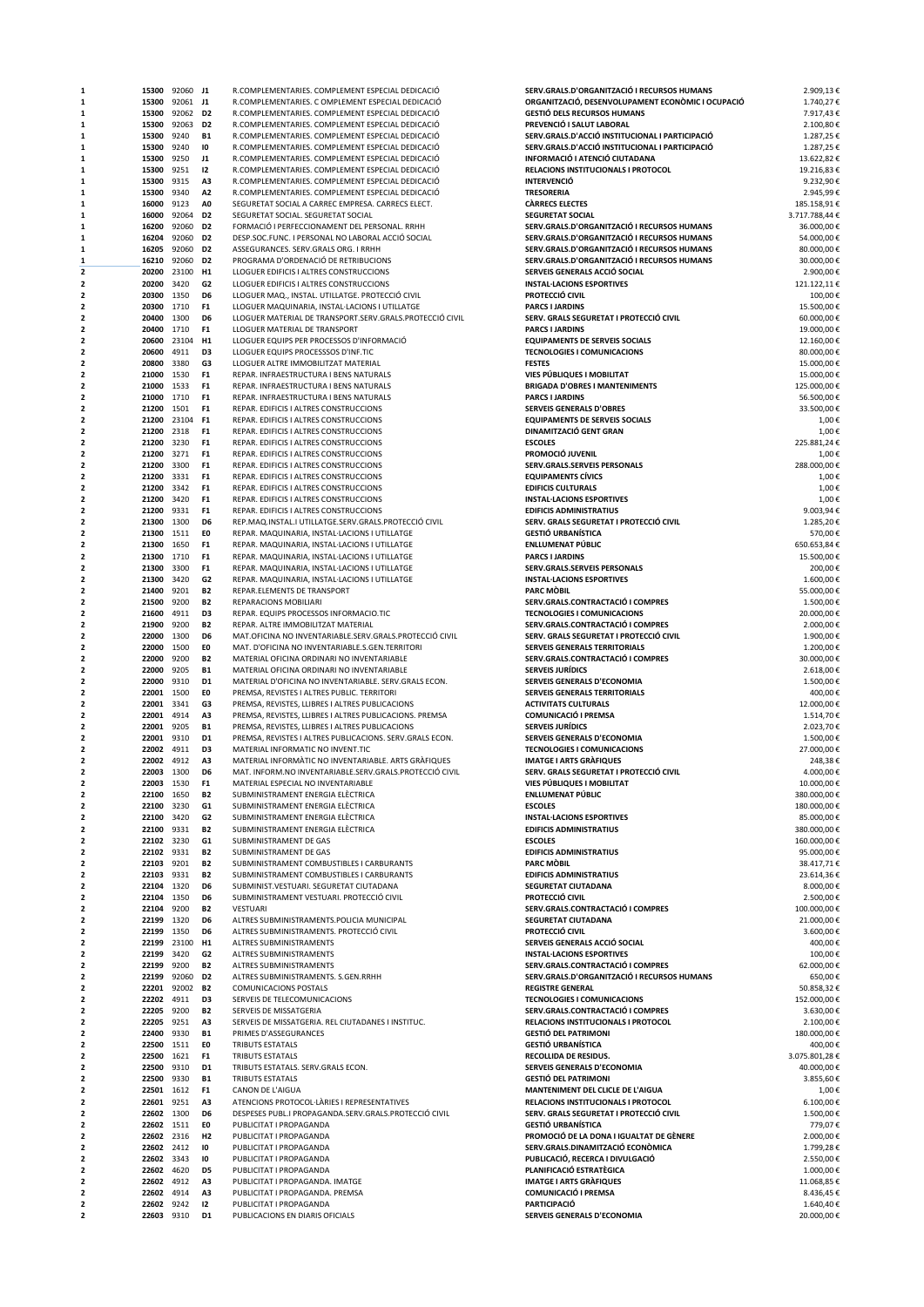| 1                   | 15300          | 92060 J1     |                                  | R.COMPLEMENTARIES. COMPLEMENT ESPECIAL DEDICACIÓ                                                            | SERV.GRALS.D'ORGANITZACIÓ I RECURSOS HUMANS                                  | 2.909,13€                |
|---------------------|----------------|--------------|----------------------------------|-------------------------------------------------------------------------------------------------------------|------------------------------------------------------------------------------|--------------------------|
| 1                   | 15300          | 92061 J1     |                                  | R.COMPLEMENTARIES. C OMPLEMENT ESPECIAL DEDICACIÓ                                                           | ORGANITZACIÓ, DESENVOLUPAMENT ECONÒMIC I OCUPACIÓ                            | 1.740,27€                |
| 1                   | 15300          | 92062        | D <sub>2</sub>                   | R.COMPLEMENTARIES. COMPLEMENT ESPECIAL DEDICACIÓ                                                            | <b>GESTIÓ DELS RECURSOS HUMANS</b>                                           | 7.917,43€                |
| 1                   | 15300          | 92063        | D <sub>2</sub>                   | R.COMPLEMENTARIES. COMPLEMENT ESPECIAL DEDICACIÓ                                                            | PREVENCIÓ I SALUT LABORAL<br>SERV.GRALS.D'ACCIÓ INSTITUCIONAL I PARTICIPACIÓ | 2.100,80€                |
| 1<br>1              | 15300<br>15300 | 9240<br>9240 | <b>B1</b><br>10                  | R.COMPLEMENTARIES. COMPLEMENT ESPECIAL DEDICACIÓ<br>R.COMPLEMENTARIES. COMPLEMENT ESPECIAL DEDICACIÓ        | SERV.GRALS.D'ACCIÓ INSTITUCIONAL I PARTICIPACIÓ                              | 1.287,25€<br>1.287,25€   |
| 1                   | 15300          | 9250         | J1                               | R.COMPLEMENTARIES. COMPLEMENT ESPECIAL DEDICACIÓ                                                            | INFORMACIÓ I ATENCIÓ CIUTADANA                                               | 13.622,82€               |
| 1                   | 15300          | 9251         | 12                               | R.COMPLEMENTARIES. COMPLEMENT ESPECIAL DEDICACIÓ                                                            | RELACIONS INSTITUCIONALS I PROTOCOL                                          | 19.216,83€               |
| 1                   | 15300          | 9315         | A3                               | R.COMPLEMENTARIES. COMPLEMENT ESPECIAL DEDICACIÓ                                                            | <b>INTERVENCIÓ</b>                                                           | 9.232,90€                |
| 1                   | 15300          | 9340         | A <sub>2</sub>                   | R.COMPLEMENTARIES. COMPLEMENT ESPECIAL DEDICACIÓ                                                            | <b>TRESORERIA</b>                                                            | 2.945,99€                |
| 1                   | 16000          | 9123         | A <sub>0</sub>                   | SEGURETAT SOCIAL A CARREC EMPRESA. CARRECS ELECT.                                                           | <b>CARRECS ELECTES</b>                                                       | 185.158,91€              |
| 1                   | 16000          | 92064        | D <sub>2</sub>                   | SEGURETAT SOCIAL. SEGURETAT SOCIAL                                                                          | <b>SEGURETAT SOCIAL</b>                                                      | 3.717.788,44 €           |
| 1                   | 16200          | 92060        | D <sub>2</sub>                   | FORMACIÓ I PERFECCIONAMENT DEL PERSONAL. RRHH                                                               | SERV.GRALS.D'ORGANITZACIÓ I RECURSOS HUMANS                                  | 36.000,00€               |
| 1                   | 16204          | 92060        | D <sub>2</sub>                   | DESP.SOC.FUNC. I PERSONAL NO LABORAL ACCIÓ SOCIAL                                                           | SERV.GRALS.D'ORGANITZACIÓ I RECURSOS HUMANS                                  | 54.000,00€               |
| 1                   | 16205          | 92060        | D <sub>2</sub>                   | ASSEGURANCES. SERV.GRALS ORG. I RRHH                                                                        | SERV.GRALS.D'ORGANITZACIÓ I RECURSOS HUMANS                                  | 80.000,00€               |
| 1                   | 16210          | 92060        | D <sub>2</sub>                   | PROGRAMA D'ORDENACIÓ DE RETRIBUCIONS                                                                        | SERV.GRALS.D'ORGANITZACIÓ I RECURSOS HUMANS                                  | 30.000,00€               |
| 2                   | 20200          | 23100        | H1                               | LLOGUER EDIFICIS I ALTRES CONSTRUCCIONS                                                                     | SERVEIS GENERALS ACCIÓ SOCIAL                                                | 2.900,00€                |
| 2                   | 20200          | 3420         | G <sub>2</sub>                   | LLOGUER EDIFICIS I ALTRES CONSTRUCCIONS                                                                     | <b>INSTAL·LACIONS ESPORTIVES</b>                                             | 121.122,11€              |
| 2                   | 20300          | 1350         | D <sub>6</sub>                   | LLOGUER MAQ., INSTAL. UTILLATGE. PROTECCIÓ CIVIL                                                            | PROTECCIÓ CIVIL                                                              | 100,00€                  |
| 2                   | 20300          | 1710         | F <sub>1</sub>                   | LLOGUER MAQUINARIA, INSTAL·LACIONS I UTILLATGE                                                              | <b>PARCS I JARDINS</b>                                                       | 15,500.00€               |
| 2                   | 20400          | 1300         | D6                               | LLOGUER MATERIAL DE TRANSPORT.SERV.GRALS.PROTECCIÓ CIVIL                                                    | SERV. GRALS SEGURETAT I PROTECCIÓ CIVIL                                      | 60.000,00€               |
| 2                   | 20400          | 1710         | F <sub>1</sub>                   | LLOGUER MATERIAL DE TRANSPORT                                                                               | <b>PARCS I JARDINS</b>                                                       | 19.000,00€               |
| 2                   | 20600          | 23104        | H1                               | LLOGUER EQUIPS PER PROCESSOS D'INFORMACIÓ                                                                   | <b>EQUIPAMENTS DE SERVEIS SOCIALS</b>                                        | 12.160,00€               |
| 2                   | 20600          | 4911         | D3                               | LLOGUER EQUIPS PROCESSSOS D'INF.TIC                                                                         | <b>TECNOLOGIES I COMUNICACIONS</b>                                           | 80.000,00€               |
| 2                   | 20800          | 3380         | G3                               | LLOGUER ALTRE IMMOBILITZAT MATERIAL                                                                         | <b>FESTES</b>                                                                | 15.000,00€               |
| 2<br>$\overline{a}$ | 21000          | 1530         | F <sub>1</sub>                   | REPAR. INFRAESTRUCTURA I BENS NATURALS                                                                      | VIES PÚBLIQUES I MOBILITAT                                                   | 15.000,00€               |
| $\overline{a}$      | 21000          | 1533         | F <sub>1</sub><br>F <sub>1</sub> | REPAR. INFRAESTRUCTURA I BENS NATURALS                                                                      | <b>BRIGADA D'OBRES I MANTENIMENTS</b>                                        | 125.000,00€              |
| 2                   | 21000<br>21200 | 1710<br>1501 | F <sub>1</sub>                   | REPAR. INFRAESTRUCTURA I BENS NATURALS<br>REPAR. EDIFICIS I ALTRES CONSTRUCCIONS                            | <b>PARCS I JARDINS</b><br><b>SERVEIS GENERALS D'OBRES</b>                    | 56.500,00€<br>33.500,00€ |
| 2                   | 21200          | 23104        | F <sub>1</sub>                   | REPAR. EDIFICIS I ALTRES CONSTRUCCIONS                                                                      | <b>EQUIPAMENTS DE SERVEIS SOCIALS</b>                                        | 1,00€                    |
| 2                   | 21200          | 2318         | F <sub>1</sub>                   | REPAR. EDIFICIS I ALTRES CONSTRUCCIONS                                                                      | <b>DINAMITZACIÓ GENT GRAN</b>                                                | 1,00€                    |
| 2                   | 21200          | 3230         | F <sub>1</sub>                   | REPAR. EDIFICIS I ALTRES CONSTRUCCIONS                                                                      | <b>ESCOLES</b>                                                               | 225.881,24€              |
| 2                   | 21200          | 3271         | F <sub>1</sub>                   | REPAR. EDIFICIS I ALTRES CONSTRUCCIONS                                                                      | PROMOCIÓ JUVENIL                                                             | 1,00€                    |
| 2                   | 21200          | 3300         | F <sub>1</sub>                   | REPAR. EDIFICIS I ALTRES CONSTRUCCIONS                                                                      | SERV.GRALS.SERVEIS PERSONALS                                                 | 288.000,00€              |
| 2                   | 21200          | 3331         | F <sub>1</sub>                   | REPAR. EDIFICIS I ALTRES CONSTRUCCIONS                                                                      | <b>EQUIPAMENTS CÍVICS</b>                                                    | 1,00€                    |
| $\overline{a}$      | 21200          | 3342         | F <sub>1</sub>                   | REPAR. EDIFICIS I ALTRES CONSTRUCCIONS                                                                      | <b>EDIFICIS CULTURALS</b>                                                    | 1,00€                    |
| $\overline{a}$      | 21200          | 3420         | F <sub>1</sub>                   | REPAR. EDIFICIS I ALTRES CONSTRUCCIONS                                                                      | <b>INSTAL·LACIONS ESPORTIVES</b>                                             | 1,00€                    |
| 2                   | 21200          | 9331         | F <sub>1</sub>                   | REPAR. EDIFICIS I ALTRES CONSTRUCCIONS                                                                      | <b>EDIFICIS ADMINISTRATIUS</b>                                               | 9.003,94€                |
| 2                   | 21300          | 1300         | D6                               | REP.MAQ.INSTAL.I UTILLATGE.SERV.GRALS.PROTECCIÓ CIVIL                                                       | SERV. GRALS SEGURETAT I PROTECCIÓ CIVIL                                      | 1.285,20€                |
| 2                   | 21300          | 1511         | E0                               | REPAR. MAQUINARIA, INSTAL·LACIONS I UTILLATGE                                                               | <b>GESTIÓ URBANÍSTICA</b>                                                    | 570,00€                  |
| 2                   | 21300          | 1650         | F <sub>1</sub>                   | REPAR. MAQUINARIA, INSTAL·LACIONS I UTILLATGE                                                               | ENLLUMENAT PÚBLIC                                                            | 650.653,84€              |
| 2                   | 21300          | 1710         | F <sub>1</sub>                   | REPAR. MAQUINARIA, INSTAL·LACIONS I UTILLATGE                                                               | <b>PARCS I JARDINS</b>                                                       | 15.500,00€               |
| 2                   | 21300          | 3300         | F <sub>1</sub>                   | REPAR. MAQUINARIA, INSTAL·LACIONS I UTILLATGE                                                               | SERV.GRALS.SERVEIS PERSONALS                                                 | 200,00€                  |
| $\overline{a}$      | 21300          | 3420         | G <sub>2</sub>                   | REPAR. MAQUINARIA, INSTAL·LACIONS I UTILLATGE                                                               | <b>INSTAL·LACIONS ESPORTIVES</b>                                             | 1.600,00€                |
| $\overline{a}$      | 21400          | 9201         | <b>B2</b>                        | REPAR.ELEMENTS DE TRANSPORT                                                                                 | <b>PARC MOBIL</b>                                                            | 55.000,00€               |
| 2                   | 21500          | 9200         | <b>B2</b>                        | REPARACIONS MOBILIARI                                                                                       | SERV.GRALS.CONTRACTACIÓ I COMPRES                                            | 1.500,00€                |
| 2                   | 21600          | 4911         | D3                               | REPAR. EQUIPS PROCESSOS INFORMACIO.TIC                                                                      | <b>TECNOLOGIES I COMUNICACIONS</b>                                           | 20.000,00€               |
| 2                   | 21900          | 9200         | <b>B2</b>                        | REPAR. ALTRE IMMOBILITZAT MATERIAL                                                                          | SERV.GRALS.CONTRACTACIÓ I COMPRES                                            | 2.000,00€                |
| 2                   | 22000          | 1300         | D6                               | MAT.OFICINA NO INVENTARIABLE.SERV.GRALS.PROTECCIÓ CIVIL                                                     | SERV. GRALS SEGURETAT I PROTECCIÓ CIVIL                                      | 1.900,00€                |
| 2                   | 22000          | 1500         | EO                               | MAT. D'OFICINA NO INVENTARIABLE.S.GEN.TERRITORI                                                             | <b>SERVEIS GENERALS TERRITORIALS</b>                                         | 1.200,00€                |
| 2                   | 22000          | 9200         | <b>B2</b>                        | MATERIAL OFICINA ORDINARI NO INVENTARIABLE                                                                  | SERV.GRALS.CONTRACTACIÓ I COMPRES                                            | 30.000,00€               |
| 2                   | 22000          | 9205         | <b>B1</b>                        | MATERIAL OFICINA ORDINARI NO INVENTARIABLE                                                                  | <b>SERVEIS JURÍDICS</b>                                                      | 2.618,00€                |
| 2                   | 22000          | 9310         | D <sub>1</sub>                   | MATERIAL D'OFICINA NO INVENTARIABLE. SERV.GRALS ECON.                                                       | SERVEIS GENERALS D'ECONOMIA                                                  | 1.500,00€                |
| $\overline{a}$      | 22001          | 1500         | E0                               | PREMSA, REVISTES I ALTRES PUBLIC. TERRITORI                                                                 | SERVEIS GENERALS TERRITORIALS                                                | 400,00€                  |
| 2                   | 22001          | 3341         | G3                               | PREMSA, REVISTES, LLIBRES I ALTRES PUBLICACIONS                                                             | <b>ACTIVITATS CULTURALS</b>                                                  | 12.000,00€               |
| 2<br>2              | 22001          | 4914         | A3                               | PREMSA, REVISTES, LLIBRES I ALTRES PUBLICACIONS. PREMSA                                                     | <b>COMUNICACIÓ I PREMSA</b><br><b>SERVEIS JURÍDICS</b>                       | 1.514,70€                |
| 2                   | 22001          | 9205<br>9310 | <b>B1</b><br>D1                  | PREMSA, REVISTES, LLIBRES I ALTRES PUBLICACIONS<br>PREMSA, REVISTES I ALTRES PUBLICACIONS. SERV.GRALS ECON. |                                                                              | 2.023,70€                |
| 2                   | 22001<br>22002 | 4911         | D3                               | MATERIAL INFORMATIC NO INVENT.TIC                                                                           | SERVEIS GENERALS D'ECONOMIA<br><b>TECNOLOGIES I COMUNICACIONS</b>            | 1.500,00€<br>27.000,00€  |
| 2                   | 22002          | 4912         | A3                               | MATERIAL INFORMATIC NO INVENTARIABLE. ARTS GRAFIQUES                                                        | <b>IMATGE I ARTS GRAFIQUES</b>                                               | 248,38€                  |
| $\overline{a}$      | 22003 1300     |              | D <sub>6</sub>                   | MAT. INFORM.NO INVENTARIABLE.SERV.GRALS.PROTECCIÓ CIVIL                                                     | SERV. GRALS SEGURETAT I PROTECCIÓ CIVIL                                      | 4.000.00€                |
|                     | 22003          | 1530         | F1                               | MATERIAL ESPECIAL NO INVENTARIABLE                                                                          | <b>VIES PUBLIQUES I MOBILITAT</b>                                            | 10.000,00€               |
| 2                   | 22100          | 1650         | <b>B2</b>                        | SUBMINISTRAMENT ENERGIA ELÉCTRICA                                                                           | <b>ENLLUMENAT PÚBLIC</b>                                                     | 380.000,00€              |
| $\overline{a}$      | 22100          | 3230         | G1                               | SUBMINISTRAMENT ENERGIA ELÈCTRICA                                                                           | <b>ESCOLES</b>                                                               | 180.000,00€              |
| 2                   | 22100          | 3420         | G <sub>2</sub>                   | SUBMINISTRAMENT ENERGIA ELÉCTRICA                                                                           | <b>INSTAL·LACIONS ESPORTIVES</b>                                             | 85.000,00€               |
| 2                   | 22100          | 9331         | <b>B2</b>                        | SUBMINISTRAMENT ENERGIA ELÈCTRICA                                                                           | <b>EDIFICIS ADMINISTRATIUS</b>                                               | 380.000,00€              |
| 2                   | 22102          | 3230         | G1                               | SUBMINISTRAMENT DE GAS                                                                                      | <b>ESCOLES</b>                                                               | 160.000,00€              |
| 2                   | 22102          | 9331         | <b>B2</b>                        | SUBMINISTRAMENT DE GAS                                                                                      | <b>EDIFICIS ADMINISTRATIUS</b>                                               | 95.000,00€               |
| 2                   | 22103 9201     |              | <b>B2</b>                        | SUBMINISTRAMENT COMBUSTIBLES I CARBURANTS                                                                   | <b>PARC MOBIL</b>                                                            | 38.417,71€               |
| $\overline{a}$      | 22103 9331     |              | <b>B2</b>                        | SUBMINISTRAMENT COMBUSTIBLES I CARBURANTS                                                                   | <b>EDIFICIS ADMINISTRATIUS</b>                                               | 23.614,36€               |
| $\overline{a}$      | 22104 1320     |              | D6                               | SUBMINIST.VESTUARI. SEGURETAT CIUTADANA                                                                     | <b>SEGURETAT CIUTADANA</b>                                                   | 8.000,00€                |
| 2                   | 22104          | 1350         | D6                               | SUBMINISTRAMENT VESTUARI. PROTECCIÓ CIVIL                                                                   | PROTECCIÓ CIVIL                                                              | 2.500,00€                |
| 2                   | 22104          | 9200         | <b>B2</b>                        | VESTUARI                                                                                                    | SERV.GRALS.CONTRACTACIÓ I COMPRES                                            | 100.000,00€              |
| 2                   | 22199          | 1320         | D6                               | ALTRES SUBMINISTRAMENTS.POLICIA MUNICIPAL                                                                   | SEGURETAT CIUTADANA                                                          | 21.000,00€               |
| 2                   | 22199          | 1350         | D6                               | ALTRES SUBMINISTRAMENTS. PROTECCIÓ CIVIL                                                                    | PROTECCIÓ CIVIL                                                              | 3.600,00€                |
| 2                   | 22199          | 23100        | H1                               | ALTRES SUBMINISTRAMENTS                                                                                     | SERVEIS GENERALS ACCIÓ SOCIAL                                                | 400,00€                  |
| 2                   | 22199          | 3420         | G <sub>2</sub>                   | ALTRES SUBMINISTRAMENTS                                                                                     | <b>INSTAL·LACIONS ESPORTIVES</b>                                             | 100,00€                  |
| $\overline{a}$      | 22199          | 9200         | <b>B2</b>                        | ALTRES SUBMINISTRAMENTS                                                                                     | SERV.GRALS.CONTRACTACIÓ I COMPRES                                            | 62.000,00€               |
| $\overline{a}$      | 22199          | 92060        | D <sub>2</sub>                   | ALTRES SUBMINISTRAMENTS. S.GEN.RRHH                                                                         | SERV.GRALS.D'ORGANITZACIÓ I RECURSOS HUMANS                                  | 650,00€                  |
| 2                   | 22201          | 92002        | <b>B2</b>                        | COMUNICACIONS POSTALS                                                                                       | <b>REGISTRE GENERAL</b>                                                      | 50.858,32€               |
| 2<br>2              | 22202          | 4911<br>9200 | D3<br><b>B2</b>                  | SERVEIS DE TELECOMUNICACIONS                                                                                | <b>TECNOLOGIES I COMUNICACIONS</b><br>SERV.GRALS.CONTRACTACIÓ I COMPRES      | 152.000,00€              |
|                     | 22205          |              |                                  | SERVEIS DE MISSATGERIA                                                                                      |                                                                              | 3.630,00€                |
| 2<br>2              | 22205<br>22400 | 9251<br>9330 | A3<br><b>B1</b>                  | SERVEIS DE MISSATGERIA. REL CIUTADANES I INSTITUC.<br>PRIMES D'ASSEGURANCES                                 | RELACIONS INSTITUCIONALS I PROTOCOL<br><b>GESTIÓ DEL PATRIMONI</b>           | 2.100,00€<br>180.000,00€ |
| 2                   | 22500          | 1511         | E0                               | TRIBUTS ESTATALS                                                                                            | <b>GESTIÓ URBANÍSTICA</b>                                                    | 400,00€                  |
| 2                   | 22500          | 1621         | F <sub>1</sub>                   | TRIBUTS ESTATALS                                                                                            | RECOLLIDA DE RESIDUS.                                                        | 3.075.801,28€            |
| $\overline{a}$      | 22500          | 9310         | D1                               | TRIBUTS ESTATALS. SERV.GRALS ECON.                                                                          | SERVEIS GENERALS D'ECONOMIA                                                  | 40.000,00€               |
| $\overline{a}$      | 22500          | 9330         | <b>B1</b>                        | TRIBUTS ESTATALS                                                                                            | <b>GESTIÓ DEL PATRIMONI</b>                                                  | 3.855,60€                |
| 2                   | 22501          | 1612         | F <sub>1</sub>                   | CANON DE L'AIGUA                                                                                            | MANTENIMENT DEL CLICLE DE L'AIGUA                                            | 1,00€                    |
| $\overline{a}$      | 22601          | 9251         | A3                               | ATENCIONS PROTOCOL·LARIES I REPRESENTATIVES                                                                 | RELACIONS INSTITUCIONALS I PROTOCOL                                          | 6.100,00€                |
|                     | 22602          | 1300         | D6                               | DESPESES PUBL.I PROPAGANDA.SERV.GRALS.PROTECCIÓ CIVIL                                                       | SERV. GRALS SEGURETAT I PROTECCIÓ CIVIL                                      | 1.500,00€                |
| 2                   | 22602 1511     |              | E0                               | PUBLICITAT I PROPAGANDA                                                                                     | <b>GESTIÓ URBANÍSTICA</b>                                                    | 779,07€                  |
| 2                   | 22602          | 2316         | H <sub>2</sub>                   | PUBLICITAT I PROPAGANDA                                                                                     | PROMOCIÓ DE LA DONA I IGUALTAT DE GÈNERE                                     | 2.000,00€                |
| 2                   | 22602 2412     |              | 10                               | PUBLICITAT I PROPAGANDA                                                                                     | SERV.GRALS.DINAMITZACIÓ ECONÒMICA                                            | 1.799,28€                |
| $\overline{a}$      | 22602 3343     |              | 10                               | PUBLICITAT I PROPAGANDA                                                                                     | PUBLICACIÓ, RECERCA I DIVULGACIÓ                                             | 2.550,00€                |
| $\overline{a}$      | 22602 4620     |              | D <sub>5</sub>                   | PUBLICITAT I PROPAGANDA                                                                                     | PLANIFICACIÓ ESTRATÈGICA                                                     | 1.000,00€                |
| 2                   | 22602          | 4912         | A3                               | PUBLICITAT I PROPAGANDA. IMATGE                                                                             | <b>IMATGE I ARTS GRAFIQUES</b>                                               | 11.068,85€               |
|                     |                | 4914         | A3                               | PUBLICITAT I PROPAGANDA. PREMSA                                                                             | COMUNICACIÓ I PREMSA                                                         | 8.436,45€                |
|                     | 22602          |              |                                  |                                                                                                             |                                                                              |                          |
| 2                   | 22602 9242     |              | 12                               | PUBLICITAT I PROPAGANDA                                                                                     | <b>PARTICIPACIÓ</b>                                                          | 1.640,40€                |
|                     | 22603 9310     |              | D1                               | PUBLICACIONS EN DIARIS OFICIALS                                                                             | SERVEIS GENERALS D'ECONOMIA                                                  | 20.000,00€               |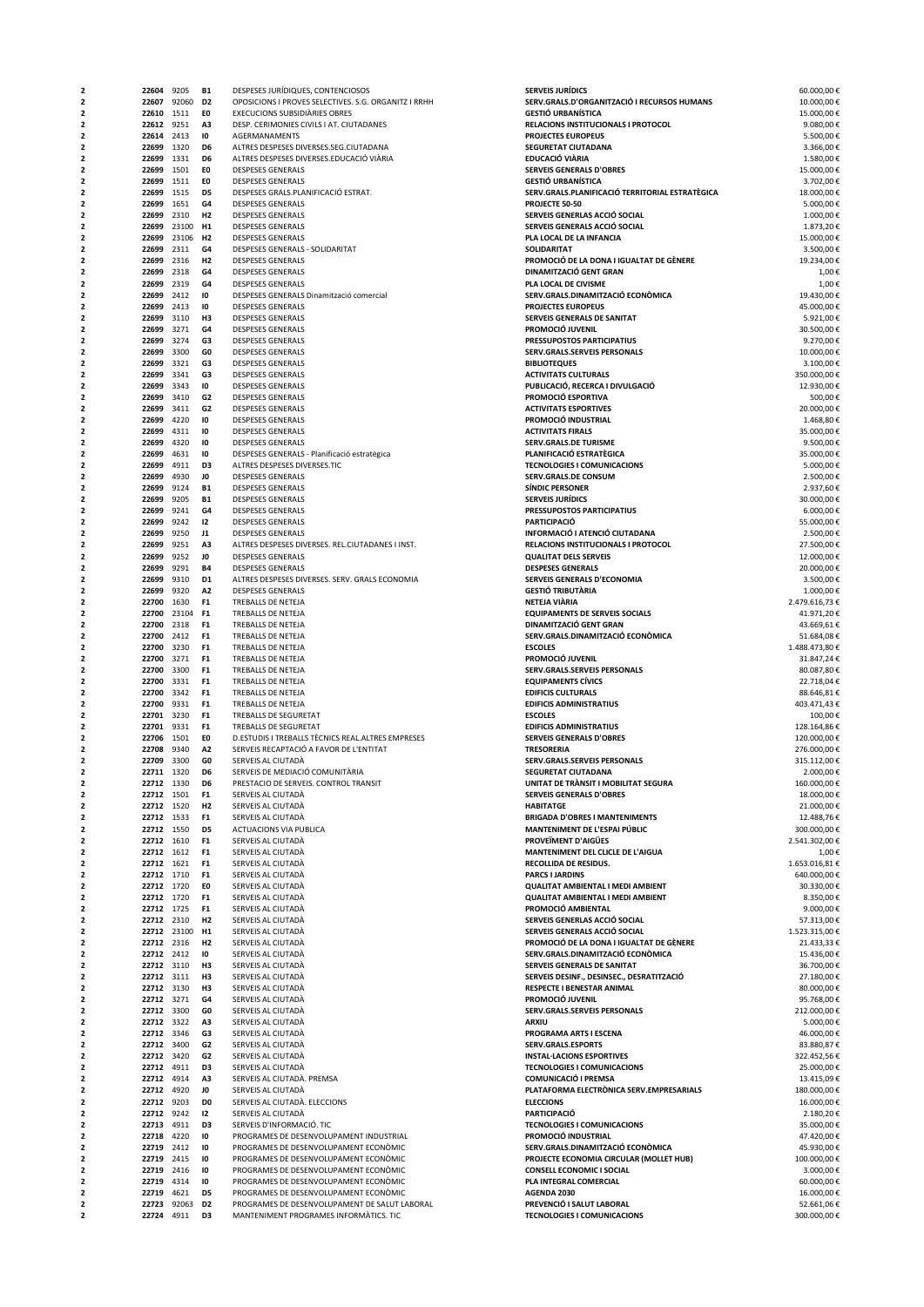| 2              | 22604      | 9205        | <b>B1</b>      | DESPESES JURÍDIQUES, CONTENCIOSOS                    | <b>SERVEIS JURÍDICS</b>                         | 60.000,00€    |
|----------------|------------|-------------|----------------|------------------------------------------------------|-------------------------------------------------|---------------|
| 2              | 22607      | 92060       | D <sub>2</sub> | OPOSICIONS I PROVES SELECTIVES. S.G. ORGANITZ I RRHH | SERV.GRALS.D'ORGANITZACIÓ I RECURSOS HUMANS     | 10.000,00€    |
| 2              | 22610      | 1511        | E0             | <b>EXECUCIONS SUBSIDIARIES OBRES</b>                 | <b>GESTIÓ URBANÍSTICA</b>                       | 15.000,00€    |
| 2              | 22612 9251 |             | A3             | DESP. CERIMONIES CIVILS I AT. CIUTADANES             | RELACIONS INSTITUCIONALS I PROTOCOL             | 9.080,00€     |
| 2              | 22614      | 2413        | 10             | AGERMANAMENTS                                        | PROJECTES EUROPEUS                              | 5.500,00€     |
| 2              |            |             | D6             |                                                      |                                                 |               |
|                | 22699      | 1320        |                | ALTRES DESPESES DIVERSES.SEG.CIUTADANA               | SEGURETAT CIUTADANA                             | 3.366,00€     |
| 2              | 22699      | 1331        | D6             | ALTRES DESPESES DIVERSES.EDUCACIÓ VIÀRIA             | EDUCACIÓ VIÀRIA                                 | 1.580,00€     |
| 2              | 22699      | 1501        | E0             | <b>DESPESES GENERALS</b>                             | <b>SERVEIS GENERALS D'OBRES</b>                 | 15.000,00€    |
| 2              | 22699      | 1511        | E0             | <b>DESPESES GENERALS</b>                             | <b>GESTIÓ URBANÍSTICA</b>                       | 3.702,00€     |
| $\overline{a}$ | 22699      | 1515        | D <sub>5</sub> | DESPESES GRALS.PLANIFICACIÓ ESTRAT.                  | SERV.GRALS.PLANIFICACIÓ TERRITORIAL ESTRATÈGICA | 18.000,00€    |
| $\overline{a}$ | 22699      | 1651        | G <sub>4</sub> | <b>DESPESES GENERALS</b>                             | PROJECTE 50-50                                  | 5.000,00€     |
| $\overline{a}$ | 22699      | 2310        | H2             | <b>DESPESES GENERALS</b>                             | SERVEIS GENERLAS ACCIÓ SOCIAL                   | 1.000,00€     |
| 2              | 22699      | 23100       | H <sub>1</sub> | <b>DESPESES GENERALS</b>                             | SERVEIS GENERALS ACCIÓ SOCIAL                   | 1.873,20€     |
| 2              | 22699      | 23106       | H <sub>2</sub> | <b>DESPESES GENERALS</b>                             | PLA LOCAL DE LA INFANCIA                        | 15.000,00€    |
| 2              |            | 2311        | G4             | DESPESES GENERALS - SOLIDARITAT                      | <b>SOLIDARITAT</b>                              |               |
|                | 22699      |             |                |                                                      |                                                 | 3.500,00€     |
| 2              | 22699      | 2316        | H <sub>2</sub> | <b>DESPESES GENERALS</b>                             | PROMOCIÓ DE LA DONA I IGUALTAT DE GÈNERE        | 19.234,00€    |
| 2              | 22699      | 2318        | G4             | <b>DESPESES GENERALS</b>                             | DINAMITZACIÓ GENT GRAN                          | 1,00€         |
| 2              | 22699      | 2319        | G4             | <b>DESPESES GENERALS</b>                             | PLA LOCAL DE CIVISME                            | 1,00€         |
| $\overline{a}$ | 22699      | 2412        | 10             | DESPESES GENERALS Dinamització comercial             | SERV.GRALS.DINAMITZACIÓ ECONÒMICA               | 19.430,00€    |
| $\overline{a}$ | 22699      | 2413        | 10             | <b>DESPESES GENERALS</b>                             | PROJECTES EUROPEUS                              | 45.000,00€    |
| 2              | 22699      | 3110        | H3             | <b>DESPESES GENERALS</b>                             | SERVEIS GENERALS DE SANITAT                     | 5.921,00€     |
| 2              | 22699      | 3271        | G4             | <b>DESPESES GENERALS</b>                             | PROMOCIÓ JUVENIL                                | 30.500,00€    |
|                |            |             |                |                                                      |                                                 |               |
| 2              | 22699      | 3274        | G3             | <b>DESPESES GENERALS</b>                             | PRESSUPOSTOS PARTICIPATIUS                      | 9.270,00€     |
| 2              | 22699      | 3300        | GO             | <b>DESPESES GENERALS</b>                             | SERV.GRALS.SERVEIS PERSONALS                    | 10.000,00€    |
| 2              | 22699      | 3321        | G3             | <b>DESPESES GENERALS</b>                             | <b>BIBLIOTEQUES</b>                             | 3.100,00€     |
| 2              | 22699      | 3341        | G3             | <b>DESPESES GENERALS</b>                             | <b>ACTIVITATS CULTURALS</b>                     | 350.000,00€   |
| $\overline{a}$ | 22699      | 3343        | 10             | <b>DESPESES GENERALS</b>                             | PUBLICACIÓ, RECERCA I DIVULGACIÓ                | 12.930,00€    |
| $\overline{a}$ | 22699      | 3410        | G <sub>2</sub> | <b>DESPESES GENERALS</b>                             | PROMOCIÓ ESPORTIVA                              | 500,00€       |
| 2              | 22699      | 3411        | G <sub>2</sub> | <b>DESPESES GENERALS</b>                             | <b>ACTIVITATS ESPORTIVES</b>                    | 20.000,00€    |
| 2              | 22699      | 4220        | 10             | <b>DESPESES GENERALS</b>                             | PROMOCIÓ INDUSTRIAL                             | 1.468,80€     |
|                |            |             |                |                                                      |                                                 |               |
| 2              | 22699      | 4311        | 10             | <b>DESPESES GENERALS</b>                             | <b>ACTIVITATS FIRALS</b>                        | 35.000,00€    |
| 2              | 22699      | 4320        | 10             | <b>DESPESES GENERALS</b>                             | SERV.GRALS.DE TURISME                           | 9.500,00€     |
| 2              | 22699      | 4631        | 10             | DESPESES GENERALS - Planificació estratègica         | PLANIFICACIÓ ESTRATÈGICA                        | 35.000,00€    |
| 2              | 22699      | 4911        | D3             | ALTRES DESPESES DIVERSES.TIC                         | <b>TECNOLOGIES I COMUNICACIONS</b>              | 5.000,00€     |
| 2              | 22699      | 4930        | JO             | <b>DESPESES GENERALS</b>                             | SERV.GRALS.DE CONSUM                            | 2.500,00€     |
| $\overline{a}$ | 22699      | 9124        | <b>B1</b>      | <b>DESPESES GENERALS</b>                             | <b>SÍNDIC PERSONER</b>                          | 2.937,60€     |
| $\overline{a}$ | 22699      | 9205        | <b>B1</b>      | <b>DESPESES GENERALS</b>                             | <b>SERVEIS JURÍDICS</b>                         | 30.000,00€    |
|                |            |             |                |                                                      |                                                 |               |
| 2              | 22699      | 9241        | G4             | <b>DESPESES GENERALS</b>                             | PRESSUPOSTOS PARTICIPATIUS                      | 6.000,00€     |
| 2              | 22699      | 9242        | 12             | <b>DESPESES GENERALS</b>                             | PARTICIPACIÓ                                    | 55.000.00€    |
| 2              | 22699      | 9250        | J1             | <b>DESPESES GENERALS</b>                             | INFORMACIÓ I ATENCIÓ CIUTADANA                  | 2.500,00€     |
| 2              | 22699      | 9251        | A3             | ALTRES DESPESES DIVERSES. REL.CIUTADANES I INST.     | RELACIONS INSTITUCIONALS I PROTOCOL             | 27.500,00€    |
| 2              | 22699      | 9252        | JO             | <b>DESPESES GENERALS</b>                             | <b>QUALITAT DELS SERVEIS</b>                    | 12.000,00€    |
| 2              | 22699      | 9291        | <b>B4</b>      | <b>DESPESES GENERALS</b>                             | <b>DESPESES GENERALS</b>                        | 20.000,00€    |
| $\overline{a}$ | 22699      | 9310        | D <sub>1</sub> | ALTRES DESPESES DIVERSES. SERV. GRALS ECONOMIA       | SERVEIS GENERALS D'ECONOMIA                     | 3.500,00€     |
| $\overline{a}$ | 22699      | 9320        | A <sub>2</sub> | <b>DESPESES GENERALS</b>                             | <b>GESTIÓ TRIBUTÀRIA</b>                        | 1.000,00€     |
|                |            |             |                |                                                      |                                                 |               |
| 2              | 22700      | 1630        | F <sub>1</sub> | TREBALLS DE NETEJA                                   | NETEJA VIARIA                                   | 2.479.616,73€ |
| 2              | 22700      | 23104       | <b>F1</b>      | TREBALLS DE NETEJA                                   | <b>EQUIPAMENTS DE SERVEIS SOCIALS</b>           | 41.971,20€    |
| 2              | 22700      | 2318        | F <sub>1</sub> | TREBALLS DE NETEJA                                   | DINAMITZACIÓ GENT GRAN                          | 43.669,61€    |
| 2              | 22700      | 2412        | F1             | TREBALLS DE NETEJA                                   | SERV.GRALS.DINAMITZACIÓ ECONÒMICA               | 51.684,08€    |
| 2              | 22700      | 3230        | F1             | TREBALLS DE NETEJA                                   | <b>ESCOLES</b>                                  | 1.488.473,80€ |
| 2              | 22700      | 3271        | F <sub>1</sub> | TREBALLS DE NETEJA                                   | PROMOCIÓ JUVENIL                                | 31.847,24€    |
| 2              | 22700      | 3300        | F <sub>1</sub> | TREBALLS DE NETEJA                                   | SERV.GRALS.SERVEIS PERSONALS                    | 80.087,80€    |
| 2              | 22700      | 3331        | F <sub>1</sub> | TREBALLS DE NETEJA                                   | <b>EQUIPAMENTS CÍVICS</b>                       | 22.718,04€    |
| $\overline{a}$ |            |             |                |                                                      |                                                 |               |
|                | 22700      | 3342        | F <sub>1</sub> | TREBALLS DE NETEJA                                   | <b>EDIFICIS CULTURALS</b>                       | 88.646,81€    |
| 2              | 22700      | 9331        | F <sub>1</sub> | TREBALLS DE NETEJA                                   | <b>EDIFICIS ADMINISTRATIUS</b>                  | 403.471,43€   |
| 2              | 22701      | 3230        | F <sub>1</sub> | <b>TREBALLS DE SEGURETAT</b>                         | <b>ESCOLES</b>                                  | 100,00€       |
| 2              | 22701      | 9331        | F1             | TREBALLS DE SEGURETAT                                | <b>EDIFICIS ADMINISTRATIUS</b>                  | 128.164,86€   |
| 2              | 22706      | 1501        | E0             | D.ESTUDIS I TREBALLS TÈCNICS REAL.ALTRES EMPRESES    | <b>SERVEIS GENERALS D'OBRES</b>                 | 120.000,00€   |
| 2              | 22708      | 9340        | A <sub>2</sub> | SERVEIS RECAPTACIÓ A FAVOR DE L'ENTITAT              | <b>TRESORERIA</b>                               | 276.000,00€   |
| 2              | 22709      | 3300        | GO             | SERVEIS AL CIUTADÀ                                   | SERV.GRALS.SERVEIS PERSONALS                    | 315.112,00€   |
| $\overline{a}$ | 22711 1320 |             | D <sub>6</sub> | SERVEIS DE MEDIACIÓ COMUNITÀRIA                      | SEGURETAT CIUTADANA                             | 2.000,00€     |
|                |            |             |                |                                                      |                                                 |               |
|                | 22712 1330 |             | D6             | PRESTACIO DE SERVEIS. CONTROL TRANSIT                | UNITAT DE TRANSIT I MOBILITAT SEGURA            | 160.000,00 €  |
| 2              | 22712 1501 |             | F1             | SERVEIS AL CIUTADÀ                                   | <b>SERVEIS GENERALS D'OBRES</b>                 | 18.000,00€    |
| $\overline{a}$ | 22712 1520 |             | H2             | SERVEIS AL CIUTADÀ                                   | <b>HABITATGE</b>                                | 21.000,00€    |
| 2              | 22712 1533 |             | F <sub>1</sub> | SERVEIS AL CIUTADÀ                                   | <b>BRIGADA D'OBRES I MANTENIMENTS</b>           | 12.488,76€    |
| 2              | 22712 1550 |             | D5             | <b>ACTUACIONS VIA PUBLICA</b>                        | MANTENIMENT DE L'ESPAI PÚBLIC                   | 300.000,00€   |
| 2              | 22712 1610 |             | F <sub>1</sub> | SERVEIS AL CIUTADÀ                                   | PROVEIMENT D'AIGÜES                             | 2.541.302,00€ |
| 2              | 22712 1612 |             | F1             | SERVEIS AL CIUTADÀ                                   | MANTENIMENT DEL CLICLE DE L'AIGUA               | 1,00€         |
|                |            |             |                |                                                      |                                                 |               |
| 2              | 22712 1621 |             | F <sub>1</sub> | SERVEIS AL CIUTADÀ                                   | RECOLLIDA DE RESIDUS.                           | 1.653.016,81€ |
| $\overline{a}$ | 22712 1710 |             | F <sub>1</sub> | SERVEIS AL CIUTADÀ                                   | <b>PARCS I JARDINS</b>                          | 640.000,00€   |
| $\overline{a}$ | 22712 1720 |             | E0             | SERVEIS AL CIUTADÀ                                   | <b>QUALITAT AMBIENTAL I MEDI AMBIENT</b>        | 30.330,00€    |
| 2              | 22712 1720 |             | F <sub>1</sub> | SERVEIS AL CIUTADÀ                                   | <b>QUALITAT AMBIENTAL I MEDI AMBIENT</b>        | 8.350,00€     |
| $\overline{a}$ | 22712 1725 |             | F <sub>1</sub> | SERVEIS AL CIUTADÀ                                   | PROMOCIÓ AMBIENTAL                              | 9.000,00€     |
| 2              | 22712 2310 |             | H <sub>2</sub> | SERVEIS AL CIUTADÀ                                   | SERVEIS GENERLAS ACCIÓ SOCIAL                   | 57.313,00€    |
| 2              |            | 22712 23100 | H <sub>1</sub> | SERVEIS AL CIUTADÀ                                   | SERVEIS GENERALS ACCIÓ SOCIAL                   | 1.523.315,00€ |
| 2              | 22712 2316 |             | H <sub>2</sub> | SERVEIS AL CIUTADÀ                                   | PROMOCIÓ DE LA DONA I IGUALTAT DE GÈNERE        | 21.433,33€    |
| 2              | 22712 2412 |             | 10             | SERVEIS AL CIUTADÀ                                   | SERV.GRALS.DINAMITZACIÓ ECONÒMICA               | 15.436,00€    |
| $\overline{a}$ |            |             |                |                                                      |                                                 |               |
|                | 22712 3110 |             | H3             | SERVEIS AL CIUTADÀ                                   | SERVEIS GENERALS DE SANITAT                     | 36.700,00€    |
| $\overline{a}$ | 22712 3111 |             | H3             | SERVEIS AL CIUTADÀ                                   | SERVEIS DESINF., DESINSEC., DESRATITZACIÓ       | 27.180,00€    |
| 2              | 22712 3130 |             | H3             | SERVEIS AL CIUTADÀ                                   | <b>RESPECTE I BENESTAR ANIMAL</b>               | 80.000,00€    |
| 2              | 22712 3271 |             | G4             | SERVEIS AL CIUTADÀ                                   | PROMOCIÓ JUVENIL                                | 95.768,00€    |
| 2              | 22712 3300 |             | GO             | SERVEIS AL CIUTADÀ                                   | SERV.GRALS.SERVEIS PERSONALS                    | 212.000,00€   |
| 2              | 22712 3322 |             | A3             | SERVEIS AL CIUTADÀ                                   | ARXIU                                           | 5.000,00€     |
| 2              | 22712 3346 |             | G3             | SERVEIS AL CIUTADÀ                                   | PROGRAMA ARTS I ESCENA                          | 46.000,00€    |
| 2              | 22712 3400 |             | G <sub>2</sub> | SERVEIS AL CIUTADÀ                                   | SERV.GRALS.ESPORTS                              | 83.880,87€    |
|                |            |             |                |                                                      |                                                 |               |
| 2              | 22712 3420 |             | G <sub>2</sub> | SERVEIS AL CIUTADÀ                                   | <b>INSTAL·LACIONS ESPORTIVES</b>                | 322.452,56€   |
| $\overline{a}$ | 22712 4911 |             | D3             | SERVEIS AL CIUTADÀ                                   | <b>TECNOLOGIES I COMUNICACIONS</b>              | 25.000,00€    |
| $\overline{a}$ | 22712 4914 |             | A3             | SERVEIS AL CIUTADÀ. PREMSA                           | COMUNICACIÓ I PREMSA                            | 13.415,09€    |
| 2              | 22712 4920 |             | JO.            | SERVEIS AL CIUTADÀ                                   | PLATAFORMA ELECTRÒNICA SERV.EMPRESARIALS        | 180.000,00€   |
| 2              | 22712 9203 |             | D <sub>0</sub> | SERVEIS AL CIUTADÀ. ELECCIONS                        | <b>ELECCIONS</b>                                | 16.000,00€    |
| 2              | 22712 9242 |             | 12             | SERVEIS AL CIUTADÀ                                   | PARTICIPACIÓ                                    | 2.180,20€     |
| 2              | 22713 4911 |             | D3             | SERVEIS D'INFORMACIÓ. TIC                            | <b>TECNOLOGIES I COMUNICACIONS</b>              | 35.000,00€    |
|                |            |             |                |                                                      |                                                 |               |
| 2              | 22718 4220 |             | 10             | PROGRAMES DE DESENVOLUPAMENT INDUSTRIAL              | PROMOCIÓ INDUSTRIAL                             | 47.420,00€    |
| 2              | 22719 2412 |             | 10             | PROGRAMES DE DESENVOLUPAMENT ECONÒMIC                | SERV.GRALS.DINAMITZACIÓ ECONÒMICA               | 45.930,00€    |
| $\overline{a}$ | 22719 2415 |             | 10             | PROGRAMES DE DESENVOLUPAMENT ECONÒMIC                | PROJECTE ECONOMIA CIRCULAR (MOLLET HUB)         | 100.000,00€   |
| $\overline{a}$ | 22719 2416 |             | 10             | PROGRAMES DE DESENVOLUPAMENT ECONÒMIC                | <b>CONSELL ECONOMIC I SOCIAL</b>                | 3.000,00€     |
| 2              | 22719      | 4314        | 10             | PROGRAMES DE DESENVOLUPAMENT ECONÒMIC                | PLA INTEGRAL COMERCIAL                          | 60.000,00€    |
| 2              | 22719      | 4621        | D5             | PROGRAMES DE DESENVOLUPAMENT ECONÒMIC                | AGENDA 2030                                     | 16.000,00€    |
|                |            | 22723 92063 | D <sub>2</sub> | PROGRAMES DE DESENVOLUPAMENT DE SALUT LABORAL        | PREVENCIÓ I SALUT LABORAL                       | 52.661,06€    |
|                |            |             |                |                                                      |                                                 |               |
| 2              |            | 22724 4911  | D3             | MANTENIMENT PROGRAMES INFORMATICS. TIC               | <b>TECNOLOGIES I COMUNICACIONS</b>              | 300.000,00€   |

| SERV.GRALS.D'ORGANITZACIÓ I RECURSOS HUMANS<br>SESTIÓ URBANÍSTICA<br>RELACIONS INSTITUCIONALS I PROTOCOL<br><b>PROJECTES EUROPEUS</b><br><b>SEGURETAT CIUTADANA</b><br>EDUCACIÓ VIÀRIA<br><b>SERVEIS GENERALS D'OBRES</b><br>SESTIÓ URBANÍSTICA<br>SERV.GRALS.PLANIFICACIÓ TERRITORIAL ESTRATÈGICA<br><b>PROJECTE 50-50</b><br>SERVEIS GENERLAS ACCIÓ SOCIAL<br>SERVEIS GENERALS ACCIÓ SOCIAL<br><b>LA LOCAL DE LA INFANCIA</b><br>SOLIDARITAT<br>PROMOCIÓ DE LA DONA I IGUALTAT DE GÈNERE<br>DINAMITZACIÓ GENT GRAN<br><b>PLA LOCAL DE CIVISME</b><br>SERV.GRALS.DINAMITZACIÓ ECONÒMICA<br><b>PROJECTES EUROPEUS</b><br><b>SERVEIS GENERALS DE SANITAT</b><br>PROMOCIÓ JUVENIL<br><b>PRESSUPOSTOS PARTICIPATIUS</b><br><b>SERV.GRALS.SERVEIS PERSONALS</b><br><b>BIBLIOTEQUES</b><br><b>ACTIVITATS CULTURALS</b><br>PUBLICACIÓ, RECERCA I DIVULGACIÓ<br><b>PROMOCIÓ ESPORTIVA</b><br><b>ACTIVITATS ESPORTIVES</b><br>PROMOCIÓ INDUSTRIAL<br><b>ACTIVITATS FIRALS</b><br><b>SERV.GRALS.DE TURISME</b><br>PLANIFICACIÓ ESTRATÈGICA<br><b>FECNOLOGIES I COMUNICACIONS</b><br><b>SERV.GRALS.DE CONSUM</b><br>SÍNDIC PERSONER<br>SERVEIS JURÍDICS<br><b>PRESSUPOSTOS PARTICIPATIUS</b><br><b>PARTICIPACIÓ</b><br>NFORMACIÓ I ATENCIÓ CIUTADANA<br>RELACIONS INSTITUCIONALS I PROTOCOL<br>QUALITAT DELS SERVEIS<br><b>DESPESES GENERALS</b><br>SERVEIS GENERALS D'ECONOMIA<br>SESTIÓ TRIBUTÀRIA<br>NETEJA VIÀRIA<br><b>EQUIPAMENTS DE SERVEIS SOCIALS</b><br>DINAMITZACIÓ GENT GRAN<br>SERV.GRALS.DINAMITZACIÓ ECONÒMICA<br>ESCOLES<br>PROMOCIÓ JUVENIL<br><b>SERV.GRALS.SERVEIS PERSONALS</b><br><b>EQUIPAMENTS CÍVICS</b><br><b>EDIFICIS CULTURALS</b><br><b>EDIFICIS ADMINISTRATIUS</b><br><b>ESCOLES</b><br><b>EDIFICIS ADMINISTRATIUS</b><br><b>SERVEIS GENERALS D'OBRES</b><br><b>TRESORERIA</b><br><b>SERV.GRALS.SERVEIS PERSONALS</b><br><b>SEGURETAT CIUTADANA</b><br>JNITAT DE TRÀNSIT I MOBILITAT SEGURA<br><b>SERVEIS GENERALS D'OBRES</b><br><b>HABITATGE</b><br><b>BRIGADA D'OBRES I MANTENIMENTS</b><br>MANTENIMENT DE L'ESPAI PÚBLIC<br>PROVEÏMENT D'AIGÜES<br><b>MANTENIMENT DEL CLICLE DE L'AIGUA</b><br>RECOLLIDA DE RESIDUS.<br><b>PARCS I JARDINS</b><br>QUALITAT AMBIENTAL I MEDI AMBIENT<br>QUALITAT AMBIENTAL I MEDI AMBIENT<br>PROMOCIÓ AMBIENTAL<br>SERVEIS GENERLAS ACCIÓ SOCIAL<br>SERVEIS GENERALS ACCIÓ SOCIAL<br>PROMOCIÓ DE LA DONA I IGUALTAT DE GÈNERE<br>SERV.GRALS.DINAMITZACIÓ ECONÒMICA<br>SERVEIS GENERALS DE SANITAT<br>SERVEIS DESINF., DESINSEC., DESRATITZACIÓ<br>RESPECTE I BENESTAR ANIMAL<br>PROMOCIÓ JUVENIL<br><b>SERV.GRALS.SERVEIS PERSONALS</b><br>ARXIU<br>PROGRAMA ARTS I ESCENA<br><b>SERV.GRALS.ESPORTS</b><br><b>NSTAL·LACIONS ESPORTIVES</b><br><b>FECNOLOGIES I COMUNICACIONS</b><br>COMUNICACIÓ I PREMSA<br>PLATAFORMA ELECTRÒNICA SERV.EMPRESARIALS<br><b>ELECCIONS</b> | 10.000,00 €<br>15.000,00 €<br>9.080,00 €<br>5.500,00 €<br>3.366,00€<br>1.580,00€<br>15.000,00 €<br>3.702,00 €<br>18.000,00 €<br>5.000,00 €<br>1.000,00 €<br>1.873,20 €<br>15.000,00 €<br>3.500,00 €<br>19.234,00 €<br>$1,00$ €<br>1,00€<br>19.430,00 €<br>45.000,00 €<br>5.921,00 €<br>30.500,00 €<br>9.270,00€<br>10.000,00 €<br>3.100,00€<br>350.000,00 €<br>12.930,00 €<br>500,00€<br>20.000,00 €<br>1.468,80 €<br>35.000,00 €<br>9.500,00€<br>35.000,00 €<br>5.000,00 €<br>2.500,00 €<br>2.937,60€<br>30.000,00 €<br>6.000,006<br>55.000,00 €<br>2.500,00 €<br>27.500,00 €<br>12.000,00 €<br>20.000,00 €<br>3.500,00 €<br>1.000,00 €<br>2.479.616,73€<br>41.971,20 €<br>43.669,61 €<br>51.684,08 €<br>1.488.473,80 €<br>31.847,24 €<br>80.087,80 € |  |
|--------------------------------------------------------------------------------------------------------------------------------------------------------------------------------------------------------------------------------------------------------------------------------------------------------------------------------------------------------------------------------------------------------------------------------------------------------------------------------------------------------------------------------------------------------------------------------------------------------------------------------------------------------------------------------------------------------------------------------------------------------------------------------------------------------------------------------------------------------------------------------------------------------------------------------------------------------------------------------------------------------------------------------------------------------------------------------------------------------------------------------------------------------------------------------------------------------------------------------------------------------------------------------------------------------------------------------------------------------------------------------------------------------------------------------------------------------------------------------------------------------------------------------------------------------------------------------------------------------------------------------------------------------------------------------------------------------------------------------------------------------------------------------------------------------------------------------------------------------------------------------------------------------------------------------------------------------------------------------------------------------------------------------------------------------------------------------------------------------------------------------------------------------------------------------------------------------------------------------------------------------------------------------------------------------------------------------------------------------------------------------------------------------------------------------------------------------------------------------------------------------------------------------------------------------------------------------------------------------------------------------------------------------------------------------------------------------------------------------------------------------------------------------------------------------------------------------|--------------------------------------------------------------------------------------------------------------------------------------------------------------------------------------------------------------------------------------------------------------------------------------------------------------------------------------------------------------------------------------------------------------------------------------------------------------------------------------------------------------------------------------------------------------------------------------------------------------------------------------------------------------------------------------------------------------------------------------------------------|--|
|                                                                                                                                                                                                                                                                                                                                                                                                                                                                                                                                                                                                                                                                                                                                                                                                                                                                                                                                                                                                                                                                                                                                                                                                                                                                                                                                                                                                                                                                                                                                                                                                                                                                                                                                                                                                                                                                                                                                                                                                                                                                                                                                                                                                                                                                                                                                                                                                                                                                                                                                                                                                                                                                                                                                                                                                                                |                                                                                                                                                                                                                                                                                                                                                                                                                                                                                                                                                                                                                                                                                                                                                        |  |
|                                                                                                                                                                                                                                                                                                                                                                                                                                                                                                                                                                                                                                                                                                                                                                                                                                                                                                                                                                                                                                                                                                                                                                                                                                                                                                                                                                                                                                                                                                                                                                                                                                                                                                                                                                                                                                                                                                                                                                                                                                                                                                                                                                                                                                                                                                                                                                                                                                                                                                                                                                                                                                                                                                                                                                                                                                |                                                                                                                                                                                                                                                                                                                                                                                                                                                                                                                                                                                                                                                                                                                                                        |  |
|                                                                                                                                                                                                                                                                                                                                                                                                                                                                                                                                                                                                                                                                                                                                                                                                                                                                                                                                                                                                                                                                                                                                                                                                                                                                                                                                                                                                                                                                                                                                                                                                                                                                                                                                                                                                                                                                                                                                                                                                                                                                                                                                                                                                                                                                                                                                                                                                                                                                                                                                                                                                                                                                                                                                                                                                                                |                                                                                                                                                                                                                                                                                                                                                                                                                                                                                                                                                                                                                                                                                                                                                        |  |
|                                                                                                                                                                                                                                                                                                                                                                                                                                                                                                                                                                                                                                                                                                                                                                                                                                                                                                                                                                                                                                                                                                                                                                                                                                                                                                                                                                                                                                                                                                                                                                                                                                                                                                                                                                                                                                                                                                                                                                                                                                                                                                                                                                                                                                                                                                                                                                                                                                                                                                                                                                                                                                                                                                                                                                                                                                |                                                                                                                                                                                                                                                                                                                                                                                                                                                                                                                                                                                                                                                                                                                                                        |  |
|                                                                                                                                                                                                                                                                                                                                                                                                                                                                                                                                                                                                                                                                                                                                                                                                                                                                                                                                                                                                                                                                                                                                                                                                                                                                                                                                                                                                                                                                                                                                                                                                                                                                                                                                                                                                                                                                                                                                                                                                                                                                                                                                                                                                                                                                                                                                                                                                                                                                                                                                                                                                                                                                                                                                                                                                                                |                                                                                                                                                                                                                                                                                                                                                                                                                                                                                                                                                                                                                                                                                                                                                        |  |
|                                                                                                                                                                                                                                                                                                                                                                                                                                                                                                                                                                                                                                                                                                                                                                                                                                                                                                                                                                                                                                                                                                                                                                                                                                                                                                                                                                                                                                                                                                                                                                                                                                                                                                                                                                                                                                                                                                                                                                                                                                                                                                                                                                                                                                                                                                                                                                                                                                                                                                                                                                                                                                                                                                                                                                                                                                |                                                                                                                                                                                                                                                                                                                                                                                                                                                                                                                                                                                                                                                                                                                                                        |  |
|                                                                                                                                                                                                                                                                                                                                                                                                                                                                                                                                                                                                                                                                                                                                                                                                                                                                                                                                                                                                                                                                                                                                                                                                                                                                                                                                                                                                                                                                                                                                                                                                                                                                                                                                                                                                                                                                                                                                                                                                                                                                                                                                                                                                                                                                                                                                                                                                                                                                                                                                                                                                                                                                                                                                                                                                                                |                                                                                                                                                                                                                                                                                                                                                                                                                                                                                                                                                                                                                                                                                                                                                        |  |
|                                                                                                                                                                                                                                                                                                                                                                                                                                                                                                                                                                                                                                                                                                                                                                                                                                                                                                                                                                                                                                                                                                                                                                                                                                                                                                                                                                                                                                                                                                                                                                                                                                                                                                                                                                                                                                                                                                                                                                                                                                                                                                                                                                                                                                                                                                                                                                                                                                                                                                                                                                                                                                                                                                                                                                                                                                |                                                                                                                                                                                                                                                                                                                                                                                                                                                                                                                                                                                                                                                                                                                                                        |  |
|                                                                                                                                                                                                                                                                                                                                                                                                                                                                                                                                                                                                                                                                                                                                                                                                                                                                                                                                                                                                                                                                                                                                                                                                                                                                                                                                                                                                                                                                                                                                                                                                                                                                                                                                                                                                                                                                                                                                                                                                                                                                                                                                                                                                                                                                                                                                                                                                                                                                                                                                                                                                                                                                                                                                                                                                                                |                                                                                                                                                                                                                                                                                                                                                                                                                                                                                                                                                                                                                                                                                                                                                        |  |
|                                                                                                                                                                                                                                                                                                                                                                                                                                                                                                                                                                                                                                                                                                                                                                                                                                                                                                                                                                                                                                                                                                                                                                                                                                                                                                                                                                                                                                                                                                                                                                                                                                                                                                                                                                                                                                                                                                                                                                                                                                                                                                                                                                                                                                                                                                                                                                                                                                                                                                                                                                                                                                                                                                                                                                                                                                |                                                                                                                                                                                                                                                                                                                                                                                                                                                                                                                                                                                                                                                                                                                                                        |  |
|                                                                                                                                                                                                                                                                                                                                                                                                                                                                                                                                                                                                                                                                                                                                                                                                                                                                                                                                                                                                                                                                                                                                                                                                                                                                                                                                                                                                                                                                                                                                                                                                                                                                                                                                                                                                                                                                                                                                                                                                                                                                                                                                                                                                                                                                                                                                                                                                                                                                                                                                                                                                                                                                                                                                                                                                                                |                                                                                                                                                                                                                                                                                                                                                                                                                                                                                                                                                                                                                                                                                                                                                        |  |
|                                                                                                                                                                                                                                                                                                                                                                                                                                                                                                                                                                                                                                                                                                                                                                                                                                                                                                                                                                                                                                                                                                                                                                                                                                                                                                                                                                                                                                                                                                                                                                                                                                                                                                                                                                                                                                                                                                                                                                                                                                                                                                                                                                                                                                                                                                                                                                                                                                                                                                                                                                                                                                                                                                                                                                                                                                |                                                                                                                                                                                                                                                                                                                                                                                                                                                                                                                                                                                                                                                                                                                                                        |  |
|                                                                                                                                                                                                                                                                                                                                                                                                                                                                                                                                                                                                                                                                                                                                                                                                                                                                                                                                                                                                                                                                                                                                                                                                                                                                                                                                                                                                                                                                                                                                                                                                                                                                                                                                                                                                                                                                                                                                                                                                                                                                                                                                                                                                                                                                                                                                                                                                                                                                                                                                                                                                                                                                                                                                                                                                                                |                                                                                                                                                                                                                                                                                                                                                                                                                                                                                                                                                                                                                                                                                                                                                        |  |
|                                                                                                                                                                                                                                                                                                                                                                                                                                                                                                                                                                                                                                                                                                                                                                                                                                                                                                                                                                                                                                                                                                                                                                                                                                                                                                                                                                                                                                                                                                                                                                                                                                                                                                                                                                                                                                                                                                                                                                                                                                                                                                                                                                                                                                                                                                                                                                                                                                                                                                                                                                                                                                                                                                                                                                                                                                |                                                                                                                                                                                                                                                                                                                                                                                                                                                                                                                                                                                                                                                                                                                                                        |  |
|                                                                                                                                                                                                                                                                                                                                                                                                                                                                                                                                                                                                                                                                                                                                                                                                                                                                                                                                                                                                                                                                                                                                                                                                                                                                                                                                                                                                                                                                                                                                                                                                                                                                                                                                                                                                                                                                                                                                                                                                                                                                                                                                                                                                                                                                                                                                                                                                                                                                                                                                                                                                                                                                                                                                                                                                                                |                                                                                                                                                                                                                                                                                                                                                                                                                                                                                                                                                                                                                                                                                                                                                        |  |
|                                                                                                                                                                                                                                                                                                                                                                                                                                                                                                                                                                                                                                                                                                                                                                                                                                                                                                                                                                                                                                                                                                                                                                                                                                                                                                                                                                                                                                                                                                                                                                                                                                                                                                                                                                                                                                                                                                                                                                                                                                                                                                                                                                                                                                                                                                                                                                                                                                                                                                                                                                                                                                                                                                                                                                                                                                |                                                                                                                                                                                                                                                                                                                                                                                                                                                                                                                                                                                                                                                                                                                                                        |  |
|                                                                                                                                                                                                                                                                                                                                                                                                                                                                                                                                                                                                                                                                                                                                                                                                                                                                                                                                                                                                                                                                                                                                                                                                                                                                                                                                                                                                                                                                                                                                                                                                                                                                                                                                                                                                                                                                                                                                                                                                                                                                                                                                                                                                                                                                                                                                                                                                                                                                                                                                                                                                                                                                                                                                                                                                                                |                                                                                                                                                                                                                                                                                                                                                                                                                                                                                                                                                                                                                                                                                                                                                        |  |
|                                                                                                                                                                                                                                                                                                                                                                                                                                                                                                                                                                                                                                                                                                                                                                                                                                                                                                                                                                                                                                                                                                                                                                                                                                                                                                                                                                                                                                                                                                                                                                                                                                                                                                                                                                                                                                                                                                                                                                                                                                                                                                                                                                                                                                                                                                                                                                                                                                                                                                                                                                                                                                                                                                                                                                                                                                |                                                                                                                                                                                                                                                                                                                                                                                                                                                                                                                                                                                                                                                                                                                                                        |  |
|                                                                                                                                                                                                                                                                                                                                                                                                                                                                                                                                                                                                                                                                                                                                                                                                                                                                                                                                                                                                                                                                                                                                                                                                                                                                                                                                                                                                                                                                                                                                                                                                                                                                                                                                                                                                                                                                                                                                                                                                                                                                                                                                                                                                                                                                                                                                                                                                                                                                                                                                                                                                                                                                                                                                                                                                                                |                                                                                                                                                                                                                                                                                                                                                                                                                                                                                                                                                                                                                                                                                                                                                        |  |
|                                                                                                                                                                                                                                                                                                                                                                                                                                                                                                                                                                                                                                                                                                                                                                                                                                                                                                                                                                                                                                                                                                                                                                                                                                                                                                                                                                                                                                                                                                                                                                                                                                                                                                                                                                                                                                                                                                                                                                                                                                                                                                                                                                                                                                                                                                                                                                                                                                                                                                                                                                                                                                                                                                                                                                                                                                |                                                                                                                                                                                                                                                                                                                                                                                                                                                                                                                                                                                                                                                                                                                                                        |  |
|                                                                                                                                                                                                                                                                                                                                                                                                                                                                                                                                                                                                                                                                                                                                                                                                                                                                                                                                                                                                                                                                                                                                                                                                                                                                                                                                                                                                                                                                                                                                                                                                                                                                                                                                                                                                                                                                                                                                                                                                                                                                                                                                                                                                                                                                                                                                                                                                                                                                                                                                                                                                                                                                                                                                                                                                                                |                                                                                                                                                                                                                                                                                                                                                                                                                                                                                                                                                                                                                                                                                                                                                        |  |
|                                                                                                                                                                                                                                                                                                                                                                                                                                                                                                                                                                                                                                                                                                                                                                                                                                                                                                                                                                                                                                                                                                                                                                                                                                                                                                                                                                                                                                                                                                                                                                                                                                                                                                                                                                                                                                                                                                                                                                                                                                                                                                                                                                                                                                                                                                                                                                                                                                                                                                                                                                                                                                                                                                                                                                                                                                |                                                                                                                                                                                                                                                                                                                                                                                                                                                                                                                                                                                                                                                                                                                                                        |  |
|                                                                                                                                                                                                                                                                                                                                                                                                                                                                                                                                                                                                                                                                                                                                                                                                                                                                                                                                                                                                                                                                                                                                                                                                                                                                                                                                                                                                                                                                                                                                                                                                                                                                                                                                                                                                                                                                                                                                                                                                                                                                                                                                                                                                                                                                                                                                                                                                                                                                                                                                                                                                                                                                                                                                                                                                                                |                                                                                                                                                                                                                                                                                                                                                                                                                                                                                                                                                                                                                                                                                                                                                        |  |
|                                                                                                                                                                                                                                                                                                                                                                                                                                                                                                                                                                                                                                                                                                                                                                                                                                                                                                                                                                                                                                                                                                                                                                                                                                                                                                                                                                                                                                                                                                                                                                                                                                                                                                                                                                                                                                                                                                                                                                                                                                                                                                                                                                                                                                                                                                                                                                                                                                                                                                                                                                                                                                                                                                                                                                                                                                |                                                                                                                                                                                                                                                                                                                                                                                                                                                                                                                                                                                                                                                                                                                                                        |  |
|                                                                                                                                                                                                                                                                                                                                                                                                                                                                                                                                                                                                                                                                                                                                                                                                                                                                                                                                                                                                                                                                                                                                                                                                                                                                                                                                                                                                                                                                                                                                                                                                                                                                                                                                                                                                                                                                                                                                                                                                                                                                                                                                                                                                                                                                                                                                                                                                                                                                                                                                                                                                                                                                                                                                                                                                                                |                                                                                                                                                                                                                                                                                                                                                                                                                                                                                                                                                                                                                                                                                                                                                        |  |
|                                                                                                                                                                                                                                                                                                                                                                                                                                                                                                                                                                                                                                                                                                                                                                                                                                                                                                                                                                                                                                                                                                                                                                                                                                                                                                                                                                                                                                                                                                                                                                                                                                                                                                                                                                                                                                                                                                                                                                                                                                                                                                                                                                                                                                                                                                                                                                                                                                                                                                                                                                                                                                                                                                                                                                                                                                |                                                                                                                                                                                                                                                                                                                                                                                                                                                                                                                                                                                                                                                                                                                                                        |  |
|                                                                                                                                                                                                                                                                                                                                                                                                                                                                                                                                                                                                                                                                                                                                                                                                                                                                                                                                                                                                                                                                                                                                                                                                                                                                                                                                                                                                                                                                                                                                                                                                                                                                                                                                                                                                                                                                                                                                                                                                                                                                                                                                                                                                                                                                                                                                                                                                                                                                                                                                                                                                                                                                                                                                                                                                                                |                                                                                                                                                                                                                                                                                                                                                                                                                                                                                                                                                                                                                                                                                                                                                        |  |
|                                                                                                                                                                                                                                                                                                                                                                                                                                                                                                                                                                                                                                                                                                                                                                                                                                                                                                                                                                                                                                                                                                                                                                                                                                                                                                                                                                                                                                                                                                                                                                                                                                                                                                                                                                                                                                                                                                                                                                                                                                                                                                                                                                                                                                                                                                                                                                                                                                                                                                                                                                                                                                                                                                                                                                                                                                |                                                                                                                                                                                                                                                                                                                                                                                                                                                                                                                                                                                                                                                                                                                                                        |  |
|                                                                                                                                                                                                                                                                                                                                                                                                                                                                                                                                                                                                                                                                                                                                                                                                                                                                                                                                                                                                                                                                                                                                                                                                                                                                                                                                                                                                                                                                                                                                                                                                                                                                                                                                                                                                                                                                                                                                                                                                                                                                                                                                                                                                                                                                                                                                                                                                                                                                                                                                                                                                                                                                                                                                                                                                                                |                                                                                                                                                                                                                                                                                                                                                                                                                                                                                                                                                                                                                                                                                                                                                        |  |
|                                                                                                                                                                                                                                                                                                                                                                                                                                                                                                                                                                                                                                                                                                                                                                                                                                                                                                                                                                                                                                                                                                                                                                                                                                                                                                                                                                                                                                                                                                                                                                                                                                                                                                                                                                                                                                                                                                                                                                                                                                                                                                                                                                                                                                                                                                                                                                                                                                                                                                                                                                                                                                                                                                                                                                                                                                |                                                                                                                                                                                                                                                                                                                                                                                                                                                                                                                                                                                                                                                                                                                                                        |  |
|                                                                                                                                                                                                                                                                                                                                                                                                                                                                                                                                                                                                                                                                                                                                                                                                                                                                                                                                                                                                                                                                                                                                                                                                                                                                                                                                                                                                                                                                                                                                                                                                                                                                                                                                                                                                                                                                                                                                                                                                                                                                                                                                                                                                                                                                                                                                                                                                                                                                                                                                                                                                                                                                                                                                                                                                                                |                                                                                                                                                                                                                                                                                                                                                                                                                                                                                                                                                                                                                                                                                                                                                        |  |
|                                                                                                                                                                                                                                                                                                                                                                                                                                                                                                                                                                                                                                                                                                                                                                                                                                                                                                                                                                                                                                                                                                                                                                                                                                                                                                                                                                                                                                                                                                                                                                                                                                                                                                                                                                                                                                                                                                                                                                                                                                                                                                                                                                                                                                                                                                                                                                                                                                                                                                                                                                                                                                                                                                                                                                                                                                |                                                                                                                                                                                                                                                                                                                                                                                                                                                                                                                                                                                                                                                                                                                                                        |  |
|                                                                                                                                                                                                                                                                                                                                                                                                                                                                                                                                                                                                                                                                                                                                                                                                                                                                                                                                                                                                                                                                                                                                                                                                                                                                                                                                                                                                                                                                                                                                                                                                                                                                                                                                                                                                                                                                                                                                                                                                                                                                                                                                                                                                                                                                                                                                                                                                                                                                                                                                                                                                                                                                                                                                                                                                                                |                                                                                                                                                                                                                                                                                                                                                                                                                                                                                                                                                                                                                                                                                                                                                        |  |
|                                                                                                                                                                                                                                                                                                                                                                                                                                                                                                                                                                                                                                                                                                                                                                                                                                                                                                                                                                                                                                                                                                                                                                                                                                                                                                                                                                                                                                                                                                                                                                                                                                                                                                                                                                                                                                                                                                                                                                                                                                                                                                                                                                                                                                                                                                                                                                                                                                                                                                                                                                                                                                                                                                                                                                                                                                |                                                                                                                                                                                                                                                                                                                                                                                                                                                                                                                                                                                                                                                                                                                                                        |  |
|                                                                                                                                                                                                                                                                                                                                                                                                                                                                                                                                                                                                                                                                                                                                                                                                                                                                                                                                                                                                                                                                                                                                                                                                                                                                                                                                                                                                                                                                                                                                                                                                                                                                                                                                                                                                                                                                                                                                                                                                                                                                                                                                                                                                                                                                                                                                                                                                                                                                                                                                                                                                                                                                                                                                                                                                                                |                                                                                                                                                                                                                                                                                                                                                                                                                                                                                                                                                                                                                                                                                                                                                        |  |
|                                                                                                                                                                                                                                                                                                                                                                                                                                                                                                                                                                                                                                                                                                                                                                                                                                                                                                                                                                                                                                                                                                                                                                                                                                                                                                                                                                                                                                                                                                                                                                                                                                                                                                                                                                                                                                                                                                                                                                                                                                                                                                                                                                                                                                                                                                                                                                                                                                                                                                                                                                                                                                                                                                                                                                                                                                |                                                                                                                                                                                                                                                                                                                                                                                                                                                                                                                                                                                                                                                                                                                                                        |  |
|                                                                                                                                                                                                                                                                                                                                                                                                                                                                                                                                                                                                                                                                                                                                                                                                                                                                                                                                                                                                                                                                                                                                                                                                                                                                                                                                                                                                                                                                                                                                                                                                                                                                                                                                                                                                                                                                                                                                                                                                                                                                                                                                                                                                                                                                                                                                                                                                                                                                                                                                                                                                                                                                                                                                                                                                                                |                                                                                                                                                                                                                                                                                                                                                                                                                                                                                                                                                                                                                                                                                                                                                        |  |
|                                                                                                                                                                                                                                                                                                                                                                                                                                                                                                                                                                                                                                                                                                                                                                                                                                                                                                                                                                                                                                                                                                                                                                                                                                                                                                                                                                                                                                                                                                                                                                                                                                                                                                                                                                                                                                                                                                                                                                                                                                                                                                                                                                                                                                                                                                                                                                                                                                                                                                                                                                                                                                                                                                                                                                                                                                |                                                                                                                                                                                                                                                                                                                                                                                                                                                                                                                                                                                                                                                                                                                                                        |  |
|                                                                                                                                                                                                                                                                                                                                                                                                                                                                                                                                                                                                                                                                                                                                                                                                                                                                                                                                                                                                                                                                                                                                                                                                                                                                                                                                                                                                                                                                                                                                                                                                                                                                                                                                                                                                                                                                                                                                                                                                                                                                                                                                                                                                                                                                                                                                                                                                                                                                                                                                                                                                                                                                                                                                                                                                                                |                                                                                                                                                                                                                                                                                                                                                                                                                                                                                                                                                                                                                                                                                                                                                        |  |
|                                                                                                                                                                                                                                                                                                                                                                                                                                                                                                                                                                                                                                                                                                                                                                                                                                                                                                                                                                                                                                                                                                                                                                                                                                                                                                                                                                                                                                                                                                                                                                                                                                                                                                                                                                                                                                                                                                                                                                                                                                                                                                                                                                                                                                                                                                                                                                                                                                                                                                                                                                                                                                                                                                                                                                                                                                |                                                                                                                                                                                                                                                                                                                                                                                                                                                                                                                                                                                                                                                                                                                                                        |  |
|                                                                                                                                                                                                                                                                                                                                                                                                                                                                                                                                                                                                                                                                                                                                                                                                                                                                                                                                                                                                                                                                                                                                                                                                                                                                                                                                                                                                                                                                                                                                                                                                                                                                                                                                                                                                                                                                                                                                                                                                                                                                                                                                                                                                                                                                                                                                                                                                                                                                                                                                                                                                                                                                                                                                                                                                                                |                                                                                                                                                                                                                                                                                                                                                                                                                                                                                                                                                                                                                                                                                                                                                        |  |
|                                                                                                                                                                                                                                                                                                                                                                                                                                                                                                                                                                                                                                                                                                                                                                                                                                                                                                                                                                                                                                                                                                                                                                                                                                                                                                                                                                                                                                                                                                                                                                                                                                                                                                                                                                                                                                                                                                                                                                                                                                                                                                                                                                                                                                                                                                                                                                                                                                                                                                                                                                                                                                                                                                                                                                                                                                |                                                                                                                                                                                                                                                                                                                                                                                                                                                                                                                                                                                                                                                                                                                                                        |  |
|                                                                                                                                                                                                                                                                                                                                                                                                                                                                                                                                                                                                                                                                                                                                                                                                                                                                                                                                                                                                                                                                                                                                                                                                                                                                                                                                                                                                                                                                                                                                                                                                                                                                                                                                                                                                                                                                                                                                                                                                                                                                                                                                                                                                                                                                                                                                                                                                                                                                                                                                                                                                                                                                                                                                                                                                                                |                                                                                                                                                                                                                                                                                                                                                                                                                                                                                                                                                                                                                                                                                                                                                        |  |
|                                                                                                                                                                                                                                                                                                                                                                                                                                                                                                                                                                                                                                                                                                                                                                                                                                                                                                                                                                                                                                                                                                                                                                                                                                                                                                                                                                                                                                                                                                                                                                                                                                                                                                                                                                                                                                                                                                                                                                                                                                                                                                                                                                                                                                                                                                                                                                                                                                                                                                                                                                                                                                                                                                                                                                                                                                |                                                                                                                                                                                                                                                                                                                                                                                                                                                                                                                                                                                                                                                                                                                                                        |  |
|                                                                                                                                                                                                                                                                                                                                                                                                                                                                                                                                                                                                                                                                                                                                                                                                                                                                                                                                                                                                                                                                                                                                                                                                                                                                                                                                                                                                                                                                                                                                                                                                                                                                                                                                                                                                                                                                                                                                                                                                                                                                                                                                                                                                                                                                                                                                                                                                                                                                                                                                                                                                                                                                                                                                                                                                                                |                                                                                                                                                                                                                                                                                                                                                                                                                                                                                                                                                                                                                                                                                                                                                        |  |
|                                                                                                                                                                                                                                                                                                                                                                                                                                                                                                                                                                                                                                                                                                                                                                                                                                                                                                                                                                                                                                                                                                                                                                                                                                                                                                                                                                                                                                                                                                                                                                                                                                                                                                                                                                                                                                                                                                                                                                                                                                                                                                                                                                                                                                                                                                                                                                                                                                                                                                                                                                                                                                                                                                                                                                                                                                | 22.718,04 €                                                                                                                                                                                                                                                                                                                                                                                                                                                                                                                                                                                                                                                                                                                                            |  |
|                                                                                                                                                                                                                                                                                                                                                                                                                                                                                                                                                                                                                                                                                                                                                                                                                                                                                                                                                                                                                                                                                                                                                                                                                                                                                                                                                                                                                                                                                                                                                                                                                                                                                                                                                                                                                                                                                                                                                                                                                                                                                                                                                                                                                                                                                                                                                                                                                                                                                                                                                                                                                                                                                                                                                                                                                                | 88.646,816                                                                                                                                                                                                                                                                                                                                                                                                                                                                                                                                                                                                                                                                                                                                             |  |
|                                                                                                                                                                                                                                                                                                                                                                                                                                                                                                                                                                                                                                                                                                                                                                                                                                                                                                                                                                                                                                                                                                                                                                                                                                                                                                                                                                                                                                                                                                                                                                                                                                                                                                                                                                                                                                                                                                                                                                                                                                                                                                                                                                                                                                                                                                                                                                                                                                                                                                                                                                                                                                                                                                                                                                                                                                | 403.471,43 €                                                                                                                                                                                                                                                                                                                                                                                                                                                                                                                                                                                                                                                                                                                                           |  |
|                                                                                                                                                                                                                                                                                                                                                                                                                                                                                                                                                                                                                                                                                                                                                                                                                                                                                                                                                                                                                                                                                                                                                                                                                                                                                                                                                                                                                                                                                                                                                                                                                                                                                                                                                                                                                                                                                                                                                                                                                                                                                                                                                                                                                                                                                                                                                                                                                                                                                                                                                                                                                                                                                                                                                                                                                                | 100,00€                                                                                                                                                                                                                                                                                                                                                                                                                                                                                                                                                                                                                                                                                                                                                |  |
|                                                                                                                                                                                                                                                                                                                                                                                                                                                                                                                                                                                                                                                                                                                                                                                                                                                                                                                                                                                                                                                                                                                                                                                                                                                                                                                                                                                                                                                                                                                                                                                                                                                                                                                                                                                                                                                                                                                                                                                                                                                                                                                                                                                                                                                                                                                                                                                                                                                                                                                                                                                                                                                                                                                                                                                                                                | 128.164,86 €                                                                                                                                                                                                                                                                                                                                                                                                                                                                                                                                                                                                                                                                                                                                           |  |
|                                                                                                                                                                                                                                                                                                                                                                                                                                                                                                                                                                                                                                                                                                                                                                                                                                                                                                                                                                                                                                                                                                                                                                                                                                                                                                                                                                                                                                                                                                                                                                                                                                                                                                                                                                                                                                                                                                                                                                                                                                                                                                                                                                                                                                                                                                                                                                                                                                                                                                                                                                                                                                                                                                                                                                                                                                | 120.000,00 €                                                                                                                                                                                                                                                                                                                                                                                                                                                                                                                                                                                                                                                                                                                                           |  |
|                                                                                                                                                                                                                                                                                                                                                                                                                                                                                                                                                                                                                                                                                                                                                                                                                                                                                                                                                                                                                                                                                                                                                                                                                                                                                                                                                                                                                                                                                                                                                                                                                                                                                                                                                                                                                                                                                                                                                                                                                                                                                                                                                                                                                                                                                                                                                                                                                                                                                                                                                                                                                                                                                                                                                                                                                                | 276.000,00 €<br>315.112,00 €                                                                                                                                                                                                                                                                                                                                                                                                                                                                                                                                                                                                                                                                                                                           |  |
|                                                                                                                                                                                                                                                                                                                                                                                                                                                                                                                                                                                                                                                                                                                                                                                                                                                                                                                                                                                                                                                                                                                                                                                                                                                                                                                                                                                                                                                                                                                                                                                                                                                                                                                                                                                                                                                                                                                                                                                                                                                                                                                                                                                                                                                                                                                                                                                                                                                                                                                                                                                                                                                                                                                                                                                                                                | 2.000,00 €                                                                                                                                                                                                                                                                                                                                                                                                                                                                                                                                                                                                                                                                                                                                             |  |
|                                                                                                                                                                                                                                                                                                                                                                                                                                                                                                                                                                                                                                                                                                                                                                                                                                                                                                                                                                                                                                                                                                                                                                                                                                                                                                                                                                                                                                                                                                                                                                                                                                                                                                                                                                                                                                                                                                                                                                                                                                                                                                                                                                                                                                                                                                                                                                                                                                                                                                                                                                                                                                                                                                                                                                                                                                | 160.000,00 €                                                                                                                                                                                                                                                                                                                                                                                                                                                                                                                                                                                                                                                                                                                                           |  |
|                                                                                                                                                                                                                                                                                                                                                                                                                                                                                                                                                                                                                                                                                                                                                                                                                                                                                                                                                                                                                                                                                                                                                                                                                                                                                                                                                                                                                                                                                                                                                                                                                                                                                                                                                                                                                                                                                                                                                                                                                                                                                                                                                                                                                                                                                                                                                                                                                                                                                                                                                                                                                                                                                                                                                                                                                                | 18.000,00 €                                                                                                                                                                                                                                                                                                                                                                                                                                                                                                                                                                                                                                                                                                                                            |  |
|                                                                                                                                                                                                                                                                                                                                                                                                                                                                                                                                                                                                                                                                                                                                                                                                                                                                                                                                                                                                                                                                                                                                                                                                                                                                                                                                                                                                                                                                                                                                                                                                                                                                                                                                                                                                                                                                                                                                                                                                                                                                                                                                                                                                                                                                                                                                                                                                                                                                                                                                                                                                                                                                                                                                                                                                                                | 21.000,00 €                                                                                                                                                                                                                                                                                                                                                                                                                                                                                                                                                                                                                                                                                                                                            |  |
|                                                                                                                                                                                                                                                                                                                                                                                                                                                                                                                                                                                                                                                                                                                                                                                                                                                                                                                                                                                                                                                                                                                                                                                                                                                                                                                                                                                                                                                                                                                                                                                                                                                                                                                                                                                                                                                                                                                                                                                                                                                                                                                                                                                                                                                                                                                                                                                                                                                                                                                                                                                                                                                                                                                                                                                                                                | 12.488,76 €                                                                                                                                                                                                                                                                                                                                                                                                                                                                                                                                                                                                                                                                                                                                            |  |
|                                                                                                                                                                                                                                                                                                                                                                                                                                                                                                                                                                                                                                                                                                                                                                                                                                                                                                                                                                                                                                                                                                                                                                                                                                                                                                                                                                                                                                                                                                                                                                                                                                                                                                                                                                                                                                                                                                                                                                                                                                                                                                                                                                                                                                                                                                                                                                                                                                                                                                                                                                                                                                                                                                                                                                                                                                | 300.000,00 €                                                                                                                                                                                                                                                                                                                                                                                                                                                                                                                                                                                                                                                                                                                                           |  |
|                                                                                                                                                                                                                                                                                                                                                                                                                                                                                                                                                                                                                                                                                                                                                                                                                                                                                                                                                                                                                                                                                                                                                                                                                                                                                                                                                                                                                                                                                                                                                                                                                                                                                                                                                                                                                                                                                                                                                                                                                                                                                                                                                                                                                                                                                                                                                                                                                                                                                                                                                                                                                                                                                                                                                                                                                                | 2.541.302,00 €                                                                                                                                                                                                                                                                                                                                                                                                                                                                                                                                                                                                                                                                                                                                         |  |
|                                                                                                                                                                                                                                                                                                                                                                                                                                                                                                                                                                                                                                                                                                                                                                                                                                                                                                                                                                                                                                                                                                                                                                                                                                                                                                                                                                                                                                                                                                                                                                                                                                                                                                                                                                                                                                                                                                                                                                                                                                                                                                                                                                                                                                                                                                                                                                                                                                                                                                                                                                                                                                                                                                                                                                                                                                | $1,00$ (                                                                                                                                                                                                                                                                                                                                                                                                                                                                                                                                                                                                                                                                                                                                               |  |
|                                                                                                                                                                                                                                                                                                                                                                                                                                                                                                                                                                                                                                                                                                                                                                                                                                                                                                                                                                                                                                                                                                                                                                                                                                                                                                                                                                                                                                                                                                                                                                                                                                                                                                                                                                                                                                                                                                                                                                                                                                                                                                                                                                                                                                                                                                                                                                                                                                                                                                                                                                                                                                                                                                                                                                                                                                | 1.653.016,81 €<br>640.000,00€                                                                                                                                                                                                                                                                                                                                                                                                                                                                                                                                                                                                                                                                                                                          |  |
|                                                                                                                                                                                                                                                                                                                                                                                                                                                                                                                                                                                                                                                                                                                                                                                                                                                                                                                                                                                                                                                                                                                                                                                                                                                                                                                                                                                                                                                                                                                                                                                                                                                                                                                                                                                                                                                                                                                                                                                                                                                                                                                                                                                                                                                                                                                                                                                                                                                                                                                                                                                                                                                                                                                                                                                                                                | 30.330,00 €                                                                                                                                                                                                                                                                                                                                                                                                                                                                                                                                                                                                                                                                                                                                            |  |
|                                                                                                                                                                                                                                                                                                                                                                                                                                                                                                                                                                                                                                                                                                                                                                                                                                                                                                                                                                                                                                                                                                                                                                                                                                                                                                                                                                                                                                                                                                                                                                                                                                                                                                                                                                                                                                                                                                                                                                                                                                                                                                                                                                                                                                                                                                                                                                                                                                                                                                                                                                                                                                                                                                                                                                                                                                | 8.350,00 €                                                                                                                                                                                                                                                                                                                                                                                                                                                                                                                                                                                                                                                                                                                                             |  |
|                                                                                                                                                                                                                                                                                                                                                                                                                                                                                                                                                                                                                                                                                                                                                                                                                                                                                                                                                                                                                                                                                                                                                                                                                                                                                                                                                                                                                                                                                                                                                                                                                                                                                                                                                                                                                                                                                                                                                                                                                                                                                                                                                                                                                                                                                                                                                                                                                                                                                                                                                                                                                                                                                                                                                                                                                                | 9.000,00 €                                                                                                                                                                                                                                                                                                                                                                                                                                                                                                                                                                                                                                                                                                                                             |  |
|                                                                                                                                                                                                                                                                                                                                                                                                                                                                                                                                                                                                                                                                                                                                                                                                                                                                                                                                                                                                                                                                                                                                                                                                                                                                                                                                                                                                                                                                                                                                                                                                                                                                                                                                                                                                                                                                                                                                                                                                                                                                                                                                                                                                                                                                                                                                                                                                                                                                                                                                                                                                                                                                                                                                                                                                                                | 57.313,00 €                                                                                                                                                                                                                                                                                                                                                                                                                                                                                                                                                                                                                                                                                                                                            |  |
|                                                                                                                                                                                                                                                                                                                                                                                                                                                                                                                                                                                                                                                                                                                                                                                                                                                                                                                                                                                                                                                                                                                                                                                                                                                                                                                                                                                                                                                                                                                                                                                                                                                                                                                                                                                                                                                                                                                                                                                                                                                                                                                                                                                                                                                                                                                                                                                                                                                                                                                                                                                                                                                                                                                                                                                                                                | 1.523.315,00 €                                                                                                                                                                                                                                                                                                                                                                                                                                                                                                                                                                                                                                                                                                                                         |  |
|                                                                                                                                                                                                                                                                                                                                                                                                                                                                                                                                                                                                                                                                                                                                                                                                                                                                                                                                                                                                                                                                                                                                                                                                                                                                                                                                                                                                                                                                                                                                                                                                                                                                                                                                                                                                                                                                                                                                                                                                                                                                                                                                                                                                                                                                                                                                                                                                                                                                                                                                                                                                                                                                                                                                                                                                                                | 21.433,33 €                                                                                                                                                                                                                                                                                                                                                                                                                                                                                                                                                                                                                                                                                                                                            |  |
|                                                                                                                                                                                                                                                                                                                                                                                                                                                                                                                                                                                                                                                                                                                                                                                                                                                                                                                                                                                                                                                                                                                                                                                                                                                                                                                                                                                                                                                                                                                                                                                                                                                                                                                                                                                                                                                                                                                                                                                                                                                                                                                                                                                                                                                                                                                                                                                                                                                                                                                                                                                                                                                                                                                                                                                                                                | 15.436,00 €                                                                                                                                                                                                                                                                                                                                                                                                                                                                                                                                                                                                                                                                                                                                            |  |
|                                                                                                                                                                                                                                                                                                                                                                                                                                                                                                                                                                                                                                                                                                                                                                                                                                                                                                                                                                                                                                                                                                                                                                                                                                                                                                                                                                                                                                                                                                                                                                                                                                                                                                                                                                                                                                                                                                                                                                                                                                                                                                                                                                                                                                                                                                                                                                                                                                                                                                                                                                                                                                                                                                                                                                                                                                | 36.700,00 €<br>27.180,00 €                                                                                                                                                                                                                                                                                                                                                                                                                                                                                                                                                                                                                                                                                                                             |  |
|                                                                                                                                                                                                                                                                                                                                                                                                                                                                                                                                                                                                                                                                                                                                                                                                                                                                                                                                                                                                                                                                                                                                                                                                                                                                                                                                                                                                                                                                                                                                                                                                                                                                                                                                                                                                                                                                                                                                                                                                                                                                                                                                                                                                                                                                                                                                                                                                                                                                                                                                                                                                                                                                                                                                                                                                                                | 80.000,00 €                                                                                                                                                                                                                                                                                                                                                                                                                                                                                                                                                                                                                                                                                                                                            |  |
|                                                                                                                                                                                                                                                                                                                                                                                                                                                                                                                                                                                                                                                                                                                                                                                                                                                                                                                                                                                                                                                                                                                                                                                                                                                                                                                                                                                                                                                                                                                                                                                                                                                                                                                                                                                                                                                                                                                                                                                                                                                                                                                                                                                                                                                                                                                                                                                                                                                                                                                                                                                                                                                                                                                                                                                                                                | 95.768,00 €                                                                                                                                                                                                                                                                                                                                                                                                                                                                                                                                                                                                                                                                                                                                            |  |
|                                                                                                                                                                                                                                                                                                                                                                                                                                                                                                                                                                                                                                                                                                                                                                                                                                                                                                                                                                                                                                                                                                                                                                                                                                                                                                                                                                                                                                                                                                                                                                                                                                                                                                                                                                                                                                                                                                                                                                                                                                                                                                                                                                                                                                                                                                                                                                                                                                                                                                                                                                                                                                                                                                                                                                                                                                | 212.000,00 €                                                                                                                                                                                                                                                                                                                                                                                                                                                                                                                                                                                                                                                                                                                                           |  |
|                                                                                                                                                                                                                                                                                                                                                                                                                                                                                                                                                                                                                                                                                                                                                                                                                                                                                                                                                                                                                                                                                                                                                                                                                                                                                                                                                                                                                                                                                                                                                                                                                                                                                                                                                                                                                                                                                                                                                                                                                                                                                                                                                                                                                                                                                                                                                                                                                                                                                                                                                                                                                                                                                                                                                                                                                                | 5.000,00 €                                                                                                                                                                                                                                                                                                                                                                                                                                                                                                                                                                                                                                                                                                                                             |  |
|                                                                                                                                                                                                                                                                                                                                                                                                                                                                                                                                                                                                                                                                                                                                                                                                                                                                                                                                                                                                                                                                                                                                                                                                                                                                                                                                                                                                                                                                                                                                                                                                                                                                                                                                                                                                                                                                                                                                                                                                                                                                                                                                                                                                                                                                                                                                                                                                                                                                                                                                                                                                                                                                                                                                                                                                                                | 46.000,00 €                                                                                                                                                                                                                                                                                                                                                                                                                                                                                                                                                                                                                                                                                                                                            |  |
|                                                                                                                                                                                                                                                                                                                                                                                                                                                                                                                                                                                                                                                                                                                                                                                                                                                                                                                                                                                                                                                                                                                                                                                                                                                                                                                                                                                                                                                                                                                                                                                                                                                                                                                                                                                                                                                                                                                                                                                                                                                                                                                                                                                                                                                                                                                                                                                                                                                                                                                                                                                                                                                                                                                                                                                                                                | 83.880,87€                                                                                                                                                                                                                                                                                                                                                                                                                                                                                                                                                                                                                                                                                                                                             |  |
|                                                                                                                                                                                                                                                                                                                                                                                                                                                                                                                                                                                                                                                                                                                                                                                                                                                                                                                                                                                                                                                                                                                                                                                                                                                                                                                                                                                                                                                                                                                                                                                                                                                                                                                                                                                                                                                                                                                                                                                                                                                                                                                                                                                                                                                                                                                                                                                                                                                                                                                                                                                                                                                                                                                                                                                                                                | 322.452,56€                                                                                                                                                                                                                                                                                                                                                                                                                                                                                                                                                                                                                                                                                                                                            |  |
|                                                                                                                                                                                                                                                                                                                                                                                                                                                                                                                                                                                                                                                                                                                                                                                                                                                                                                                                                                                                                                                                                                                                                                                                                                                                                                                                                                                                                                                                                                                                                                                                                                                                                                                                                                                                                                                                                                                                                                                                                                                                                                                                                                                                                                                                                                                                                                                                                                                                                                                                                                                                                                                                                                                                                                                                                                | 25.000,00 €<br>13.415,09 €                                                                                                                                                                                                                                                                                                                                                                                                                                                                                                                                                                                                                                                                                                                             |  |
|                                                                                                                                                                                                                                                                                                                                                                                                                                                                                                                                                                                                                                                                                                                                                                                                                                                                                                                                                                                                                                                                                                                                                                                                                                                                                                                                                                                                                                                                                                                                                                                                                                                                                                                                                                                                                                                                                                                                                                                                                                                                                                                                                                                                                                                                                                                                                                                                                                                                                                                                                                                                                                                                                                                                                                                                                                | 180.000,00 €                                                                                                                                                                                                                                                                                                                                                                                                                                                                                                                                                                                                                                                                                                                                           |  |
|                                                                                                                                                                                                                                                                                                                                                                                                                                                                                                                                                                                                                                                                                                                                                                                                                                                                                                                                                                                                                                                                                                                                                                                                                                                                                                                                                                                                                                                                                                                                                                                                                                                                                                                                                                                                                                                                                                                                                                                                                                                                                                                                                                                                                                                                                                                                                                                                                                                                                                                                                                                                                                                                                                                                                                                                                                | 16.000,00 €                                                                                                                                                                                                                                                                                                                                                                                                                                                                                                                                                                                                                                                                                                                                            |  |
| <b>PARTICIPACIÓ</b>                                                                                                                                                                                                                                                                                                                                                                                                                                                                                                                                                                                                                                                                                                                                                                                                                                                                                                                                                                                                                                                                                                                                                                                                                                                                                                                                                                                                                                                                                                                                                                                                                                                                                                                                                                                                                                                                                                                                                                                                                                                                                                                                                                                                                                                                                                                                                                                                                                                                                                                                                                                                                                                                                                                                                                                                            | 2.180,20 €                                                                                                                                                                                                                                                                                                                                                                                                                                                                                                                                                                                                                                                                                                                                             |  |
| <b>FECNOLOGIES I COMUNICACIONS</b>                                                                                                                                                                                                                                                                                                                                                                                                                                                                                                                                                                                                                                                                                                                                                                                                                                                                                                                                                                                                                                                                                                                                                                                                                                                                                                                                                                                                                                                                                                                                                                                                                                                                                                                                                                                                                                                                                                                                                                                                                                                                                                                                                                                                                                                                                                                                                                                                                                                                                                                                                                                                                                                                                                                                                                                             | 35.000,00 €                                                                                                                                                                                                                                                                                                                                                                                                                                                                                                                                                                                                                                                                                                                                            |  |
| <b>PROMOCIÓ INDUSTRIAL</b>                                                                                                                                                                                                                                                                                                                                                                                                                                                                                                                                                                                                                                                                                                                                                                                                                                                                                                                                                                                                                                                                                                                                                                                                                                                                                                                                                                                                                                                                                                                                                                                                                                                                                                                                                                                                                                                                                                                                                                                                                                                                                                                                                                                                                                                                                                                                                                                                                                                                                                                                                                                                                                                                                                                                                                                                     | 47.420,00 €                                                                                                                                                                                                                                                                                                                                                                                                                                                                                                                                                                                                                                                                                                                                            |  |
| SERV.GRALS.DINAMITZACIÓ ECONÒMICA                                                                                                                                                                                                                                                                                                                                                                                                                                                                                                                                                                                                                                                                                                                                                                                                                                                                                                                                                                                                                                                                                                                                                                                                                                                                                                                                                                                                                                                                                                                                                                                                                                                                                                                                                                                                                                                                                                                                                                                                                                                                                                                                                                                                                                                                                                                                                                                                                                                                                                                                                                                                                                                                                                                                                                                              | 45.930,00 €                                                                                                                                                                                                                                                                                                                                                                                                                                                                                                                                                                                                                                                                                                                                            |  |
| PROJECTE ECONOMIA CIRCULAR (MOLLET HUB)                                                                                                                                                                                                                                                                                                                                                                                                                                                                                                                                                                                                                                                                                                                                                                                                                                                                                                                                                                                                                                                                                                                                                                                                                                                                                                                                                                                                                                                                                                                                                                                                                                                                                                                                                                                                                                                                                                                                                                                                                                                                                                                                                                                                                                                                                                                                                                                                                                                                                                                                                                                                                                                                                                                                                                                        | 100.000,00 €                                                                                                                                                                                                                                                                                                                                                                                                                                                                                                                                                                                                                                                                                                                                           |  |
| CONSELL ECONOMIC I SOCIAL<br><b>PLA INTEGRAL COMERCIAL</b>                                                                                                                                                                                                                                                                                                                                                                                                                                                                                                                                                                                                                                                                                                                                                                                                                                                                                                                                                                                                                                                                                                                                                                                                                                                                                                                                                                                                                                                                                                                                                                                                                                                                                                                                                                                                                                                                                                                                                                                                                                                                                                                                                                                                                                                                                                                                                                                                                                                                                                                                                                                                                                                                                                                                                                     | 3.000,00 €<br>60.000,00 €                                                                                                                                                                                                                                                                                                                                                                                                                                                                                                                                                                                                                                                                                                                              |  |
|                                                                                                                                                                                                                                                                                                                                                                                                                                                                                                                                                                                                                                                                                                                                                                                                                                                                                                                                                                                                                                                                                                                                                                                                                                                                                                                                                                                                                                                                                                                                                                                                                                                                                                                                                                                                                                                                                                                                                                                                                                                                                                                                                                                                                                                                                                                                                                                                                                                                                                                                                                                                                                                                                                                                                                                                                                |                                                                                                                                                                                                                                                                                                                                                                                                                                                                                                                                                                                                                                                                                                                                                        |  |
|                                                                                                                                                                                                                                                                                                                                                                                                                                                                                                                                                                                                                                                                                                                                                                                                                                                                                                                                                                                                                                                                                                                                                                                                                                                                                                                                                                                                                                                                                                                                                                                                                                                                                                                                                                                                                                                                                                                                                                                                                                                                                                                                                                                                                                                                                                                                                                                                                                                                                                                                                                                                                                                                                                                                                                                                                                |                                                                                                                                                                                                                                                                                                                                                                                                                                                                                                                                                                                                                                                                                                                                                        |  |
| <b>AGENDA 2030</b><br>PREVENCIÓ I SALUT LABORAL                                                                                                                                                                                                                                                                                                                                                                                                                                                                                                                                                                                                                                                                                                                                                                                                                                                                                                                                                                                                                                                                                                                                                                                                                                                                                                                                                                                                                                                                                                                                                                                                                                                                                                                                                                                                                                                                                                                                                                                                                                                                                                                                                                                                                                                                                                                                                                                                                                                                                                                                                                                                                                                                                                                                                                                | 16.000,00 €<br>52.661,06€                                                                                                                                                                                                                                                                                                                                                                                                                                                                                                                                                                                                                                                                                                                              |  |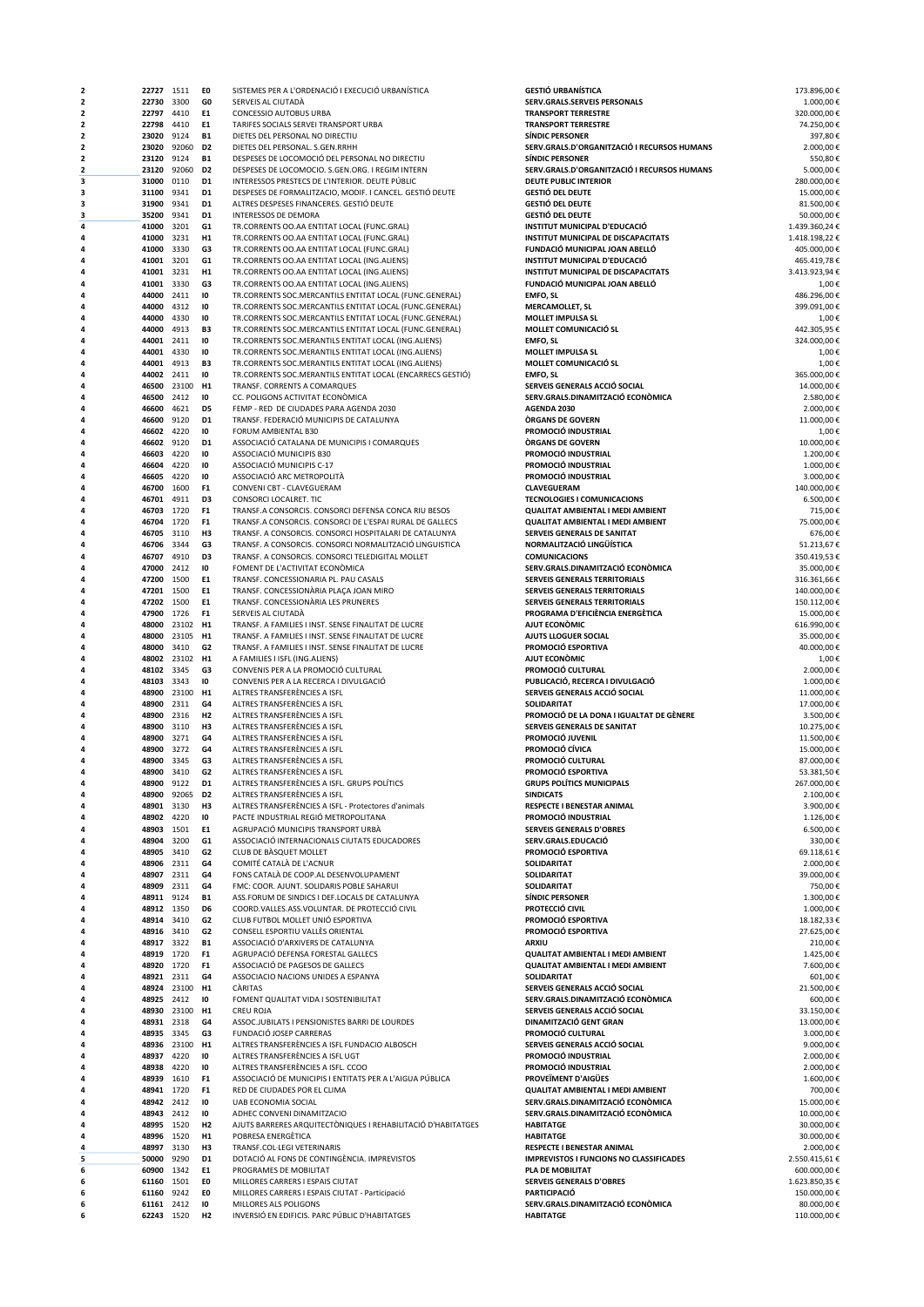| 2                       | 22727 1511               |               | EO                               | SISTEMES PER A L'ORDENACIÓ I EXECUCIÓ URBANÍSTICA                                                       | <b>GESTIÓ URBANÍSTICA</b>                                             | 173.896,00€               |
|-------------------------|--------------------------|---------------|----------------------------------|---------------------------------------------------------------------------------------------------------|-----------------------------------------------------------------------|---------------------------|
| $\overline{\mathbf{2}}$ | 22730 3300               |               | GO                               | SERVEIS AL CIUTADÀ                                                                                      | SERV.GRALS.SERVEIS PERSONALS                                          | 1.000,00€                 |
| $\overline{2}$          | 22797 4410               |               | E1                               | CONCESSIO AUTOBUS URBA                                                                                  | <b>TRANSPORT TERRESTRE</b>                                            | 320.000,00€               |
| 2                       | 22798 4410               |               | E1                               | TARIFES SOCIALS SERVEI TRANSPORT URBA                                                                   | <b>TRANSPORT TERRESTRE</b>                                            | 74.250,00€                |
| 2<br>2                  | 23020<br>23020           | 9124<br>92060 | <b>B1</b><br>D <sub>2</sub>      | DIETES DEL PERSONAL NO DIRECTIU<br>DIETES DEL PERSONAL. S.GEN.RRHH                                      | <b>SÍNDIC PERSONER</b><br>SERV.GRALS.D'ORGANITZACIÓ I RECURSOS HUMANS | 397,80€<br>2.000,00€      |
| 2                       | 23120                    | 9124          | <b>B1</b>                        | DESPESES DE LOCOMOCIÓ DEL PERSONAL NO DIRECTIU                                                          | <b>SÍNDIC PERSONER</b>                                                | 550,80€                   |
| 2                       | 23120                    | 92060         | D <sub>2</sub>                   | DESPESES DE LOCOMOCIO. S.GEN.ORG. I REGIM INTERN                                                        | SERV.GRALS.D'ORGANITZACIÓ I RECURSOS HUMANS                           | 5.000,00€                 |
| з                       | 31000                    | 0110          | D1                               | INTERESSOS PRESTECS DE L'INTERIOR. DEUTE PÚBLIC                                                         | <b>DEUTE PUBLIC INTERIOR</b>                                          | 280.000,00€               |
| з                       | 31100 9341               |               | D <sub>1</sub>                   | DESPESES DE FORMALITZACIO, MODIF. I CANCEL. GESTIÓ DEUTE                                                | <b>GESTIÓ DEL DEUTE</b>                                               | 15.000,00€                |
| з                       | 31900                    | 9341          | D <sub>1</sub>                   | ALTRES DESPESES FINANCERES. GESTIÓ DEUTE                                                                | <b>GESTIÓ DEL DEUTE</b>                                               | 81.500,00€                |
| 3                       | 35200                    | 9341          | D <sub>1</sub>                   | INTERESSOS DE DEMORA                                                                                    | <b>GESTIÓ DEL DEUTE</b>                                               | 50.000,00€                |
| 4                       | 41000                    | 3201          | G1                               | TR.CORRENTS OO.AA ENTITAT LOCAL (FUNC.GRAL)                                                             | INSTITUT MUNICIPAL D'EDUCACIÓ                                         | 1.439.360,24€             |
| 4                       | 41000                    | 3231          | H1                               | TR.CORRENTS OO.AA ENTITAT LOCAL (FUNC.GRAL)                                                             | INSTITUT MUNICIPAL DE DISCAPACITATS                                   | 1.418.198.22€             |
| 4                       | 41000                    | 3330          | G3                               | TR.CORRENTS OO.AA ENTITAT LOCAL (FUNC.GRAL)                                                             | FUNDACIÓ MUNICIPAL JOAN ABELLÓ                                        | 405.000,00€               |
| 4                       | 41001                    | 3201          | G1                               | TR.CORRENTS OO.AA ENTITAT LOCAL (ING.ALIENS)                                                            | INSTITUT MUNICIPAL D'EDUCACIÓ                                         | 465.419,78€               |
| Δ                       | 41001 3231               |               | H1                               | TR.CORRENTS OO.AA ENTITAT LOCAL (ING.ALIENS)                                                            | INSTITUT MUNICIPAL DE DISCAPACITATS                                   | 3.413.923,94€             |
| 4                       | 41001<br>44000           | 3330<br>2411  | G3<br>10                         | TR.CORRENTS OO.AA ENTITAT LOCAL (ING.ALIENS)<br>TR.CORRENTS SOC.MERCANTILS ENTITAT LOCAL (FUNC.GENERAL) | FUNDACIÓ MUNICIPAL JOAN ABELLÓ<br><b>EMFO, SL</b>                     | 1,00€<br>486.296.00€      |
| 4                       | 44000                    | 4312          | 10                               | TR.CORRENTS SOC.MERCANTILS ENTITAT LOCAL (FUNC.GENERAL)                                                 | <b>MERCAMOLLET, SL</b>                                                | 399.091,00€               |
| 4                       | 44000                    | 4330          | 10                               | TR.CORRENTS SOC.MERCANTILS ENTITAT LOCAL (FUNC.GENERAL)                                                 | MOLLET IMPULSA SL                                                     | 1,00€                     |
|                         | 44000                    | 4913          | B3                               | TR.CORRENTS SOC.MERCANTILS ENTITAT LOCAL (FUNC.GENERAL)                                                 | MOLLET COMUNICACIÓ SL                                                 | 442.305,95€               |
| 4                       | 44001                    | 2411          | 10                               | TR.CORRENTS SOC.MERANTILS ENTITAT LOCAL (ING.ALIENS)                                                    | <b>EMFO, SL</b>                                                       | 324.000,00€               |
| 4                       | 44001                    | 4330          | 10                               | TR.CORRENTS SOC.MERANTILS ENTITAT LOCAL (ING.ALIENS)                                                    | <b>MOLLET IMPULSA SL</b>                                              | 1,00€                     |
| 4                       | 44001                    | 4913          | B3                               | TR.CORRENTS SOC.MERANTILS ENTITAT LOCAL (ING.ALIENS)                                                    | MOLLET COMUNICACIÓ SL                                                 | 1,00€                     |
| Δ                       | 44002 2411               |               | 10                               | TR.CORRENTS SOC.MERANTILS ENTITAT LOCAL (ENCARRECS GESTIÓ)                                              | <b>EMFO, SL</b>                                                       | 365.000,00€               |
| 4                       | 46500                    | 23100         | H1                               | TRANSF. CORRENTS A COMARQUES                                                                            | SERVEIS GENERALS ACCIÓ SOCIAL                                         | 14.000,00€                |
|                         | 46500                    | 2412          | 10                               | CC. POLIGONS ACTIVITAT ECONÓMICA                                                                        | SERV.GRALS.DINAMITZACIÓ ECONÒMICA                                     | 2.580,00€                 |
|                         | 46600                    | 4621          | D5                               | FEMP - RED DE CIUDADES PARA AGENDA 2030                                                                 | AGENDA 2030                                                           | 2.000,00€                 |
| 4                       | 46600                    | 9120          | D1                               | TRANSF, FEDERACIÓ MUNICIPIS DE CATALUNYA                                                                | <b>ORGANS DE GOVERN</b>                                               | 11.000,00€                |
|                         | 46602 4220               |               | 10                               | FORUM AMBIENTAL B30                                                                                     | PROMOCIÓ INDUSTRIAL                                                   | 1,00€                     |
| 4                       | 46602                    | 9120          | D1                               | ASSOCIACIÓ CATALANA DE MUNICIPIS I COMARQUES                                                            | <b>ORGANS DE GOVERN</b>                                               | 10.000,00€                |
| 4<br>4                  | 46603                    | 4220<br>4220  | 10<br>10                         | ASSOCIACIÓ MUNICIPIS B30<br>ASSOCIACIÓ MUNICIPIS C-17                                                   | PROMOCIÓ INDUSTRIAL<br>PROMOCIÓ INDUSTRIAL                            | 1.200,00€<br>1.000,00€    |
| Δ                       | 46604<br>46605           | 4220          | 10                               | ASSOCIACIÓ ARC METROPOLITÀ                                                                              | PROMOCIÓ INDUSTRIAL                                                   | 3.000.00€                 |
| 4                       | 46700                    | 1600          | F <sub>1</sub>                   | CONVENI CBT - CLAVEGUERAM                                                                               | <b>CLAVEGUERAM</b>                                                    | 140.000,00€               |
|                         | 46701                    | 4911          | D <sub>3</sub>                   | CONSORCI LOCALRET. TIC                                                                                  | <b>TECNOLOGIES I COMUNICACIONS</b>                                    | 6.500,00€                 |
|                         | 46703 1720               |               | F <sub>1</sub>                   | TRANSF.A CONSORCIS. CONSORCI DEFENSA CONCA RIU BESOS                                                    | QUALITAT AMBIENTAL I MEDI AMBIENT                                     | 715,00€                   |
| 4                       | 46704                    | 1720          | F <sub>1</sub>                   | TRANSF.A CONSORCIS. CONSORCI DE L'ESPAI RURAL DE GALLECS                                                | <b>QUALITAT AMBIENTAL I MEDI AMBIENT</b>                              | 75.000,00€                |
| 4                       | 46705                    | 3110          | H <sub>3</sub>                   | TRANSF. A CONSORCIS. CONSORCI HOSPITALARI DE CATALUNYA                                                  | SERVEIS GENERALS DE SANITAT                                           | 676,00€                   |
| 4                       | 46706                    | 3344          | G3                               | TRANSF. A CONSORCIS. CONSORCI NORMALITZACIÓ LINGUISTICA                                                 | NORMALITZACIÓ LINGÜÍSTICA                                             | 51.213,67€                |
| Δ                       | 46707                    | 4910          | D <sub>3</sub>                   | TRANSF. A CONSORCIS. CONSORCI TELEDIGITAL MOLLET                                                        | <b>COMUNICACIONS</b>                                                  | 350.419,53€               |
| 4                       | 47000                    | 2412          | 10                               | FOMENT DE L'ACTIVITAT ECONÒMICA                                                                         | SERV.GRALS.DINAMITZACIÓ ECONÒMICA                                     | 35.000,00€                |
| 4                       | 47200                    | 1500          | E1                               | TRANSF. CONCESSIONARIA PL. PAU CASALS                                                                   | SERVEIS GENERALS TERRITORIALS                                         | 316.361,66€               |
| Δ                       | 47201 1500               |               | E1                               | TRANSF. CONCESSIONÀRIA PLAÇA JOAN MIRO                                                                  | SERVEIS GENERALS TERRITORIALS                                         | 140.000,00€               |
|                         | 47202                    | 1500          | E1                               | TRANSF. CONCESSIONARIA LES PRUNERES                                                                     | <b>SERVEIS GENERALS TERRITORIALS</b>                                  | 150.112,00€               |
|                         | 47900                    | 1726          | F <sub>1</sub>                   | SERVEIS AL CIUTADÀ                                                                                      | PROGRAMA D'EFICIÈNCIA ENERGÈTICA                                      | 15.000,00€                |
| 4                       | 48000                    | 23102         | H1                               | TRANSF. A FAMILIES I INST. SENSE FINALITAT DE LUCRE                                                     | AJUT ECONOMIC                                                         | 616.990,00€               |
| 4                       | 48000                    | 23105         | H <sub>1</sub>                   | TRANSF. A FAMILIES I INST. SENSE FINALITAT DE LUCRE                                                     | AJUTS LLOGUER SOCIAL                                                  | 35.000,00€                |
| 4                       | 48000                    | 3410          | G <sub>2</sub>                   | TRANSF. A FAMILIES I INST. SENSE FINALITAT DE LUCRE                                                     | PROMOCIÓ ESPORTIVA                                                    | 40.000,00€                |
| Δ                       |                          | 48002 23102   | H <sub>1</sub>                   | A FAMILIES I ISFL (ING.ALIENS)                                                                          | AJUT ECONOMIC                                                         | 1,00€                     |
| 4                       | 48102 3345               |               | G3                               | CONVENIS PER A LA PROMOCIÓ CULTURAL                                                                     | PROMOCIÓ CULTURAL                                                     | 2.000,00€                 |
| 4                       | 48103 3343               |               | 10                               | CONVENIS PER A LA RECERCA I DIVULGACIÓ                                                                  | PUBLICACIÓ, RECERCA I DIVULGACIÓ                                      | 1.000,00€                 |
| 4                       | 48900                    | 23100         | H1                               | ALTRES TRANSFERÈNCIES A ISFL                                                                            | SERVEIS GENERALS ACCIÓ SOCIAL                                         | 11.000,00€                |
|                         | 48900                    | 2311          | G4                               | ALTRES TRANSFERÈNCIES A ISFL                                                                            | <b>SOLIDARITAT</b><br>PROMOCIÓ DE LA DONA I IGUALTAT DE GÈNERE        | 17.000,00€<br>3.500.00€   |
| 4                       | 48900                    | 2316          | H2<br>H3                         | ALTRES TRANSFERÈNCIES A ISFL                                                                            | SERVEIS GENERALS DE SANITAT                                           | 10.275,00€                |
| 4                       | 48900<br>48900           | 3110<br>3271  | G4                               | ALTRES TRANSFERÈNCIES A ISFL<br>ALTRES TRANSFERÈNCIES A ISFL                                            | PROMOCIÓ JUVENIL                                                      | 11.500,00€                |
| Δ                       | 48900                    | 3272          | G4                               | ALTRES TRANSFERÈNCIES A ISFL                                                                            | PROMOCIÓ CÍVICA                                                       | 15.000,00€                |
| Δ                       | 48900                    | 3345          | G3                               | ALTRES TRANSFERÈNCIES A ISFL                                                                            | PROMOCIÓ CULTURAL                                                     | 87.000,00€                |
| 4                       | 48900 3410               |               | G <sub>2</sub>                   | ALTRES TRANSFERÈNCIES A ISFL                                                                            | PROMOCIÓ ESPORTIVA                                                    | 53.381,50€                |
|                         | 48900                    | 9122          | D1                               | ALTRES TRANSFERÈNCIES A ISFL. GRUPS POLÍTICS                                                            | <b>GRUPS POLITICS MUNICIPALS</b>                                      | 267.000,00€               |
|                         |                          | 48900 92065   | D2                               | ALTRES TRANSFERÈNCIES A ISFL                                                                            | <b>SINDICATS</b>                                                      | 2.100,00€                 |
|                         | 48901 3130               |               | H3                               | ALTRES TRANSFERÈNCIES A ISFL - Protectores d'animals                                                    | <b>RESPECTE I BENESTAR ANIMAL</b>                                     | 3.900,00€                 |
|                         | 48902 4220               |               | 10                               | PACTE INDUSTRIAL REGIÓ METROPOLITANA                                                                    | PROMOCIÓ INDUSTRIAL                                                   | 1.126,00€                 |
| 4                       | 48903                    | 1501          | E1                               | AGRUPACIÓ MUNICIPIS TRANSPORT URBÀ                                                                      | <b>SERVEIS GENERALS D'OBRES</b>                                       | 6.500,00€                 |
| 4                       | 48904                    | 3200          | G1                               | ASSOCIACIÓ INTERNACIONALS CIUTATS EDUCADORES                                                            | SERV.GRALS.EDUCACIÓ                                                   | 330,00€                   |
|                         | 48905                    | 3410          | G <sub>2</sub>                   | CLUB DE BÀSQUET MOLLET                                                                                  | PROMOCIÓ ESPORTIVA                                                    | 69.118,61€                |
|                         | 48906 2311               |               | G4                               | COMITÉ CATALÀ DE L'ACNUR                                                                                | SOLIDARITAT                                                           | 2.000,00€                 |
|                         | 48907                    | 2311          | G4                               | FONS CATALÀ DE COOP.AL DESENVOLUPAMENT                                                                  | SOLIDARITAT                                                           | 39.000,00€                |
|                         | 48909                    | 2311          | G4                               | FMC: COOR. AJUNT. SOLIDARIS POBLE SAHARUI                                                               | SOLIDARITAT                                                           | 750,00€                   |
|                         | 48911 9124               |               | <b>B1</b>                        | ASS.FORUM DE SINDICS I DEF.LOCALS DE CATALUNYA                                                          | <b>SÍNDIC PERSONER</b>                                                | 1.300,00€                 |
|                         | 48912 1350               |               | D6                               | COORD. VALLES, ASS. VOLUNTAR. DE PROTECCIÓ CIVIL                                                        | PROTECCIÓ CIVIL                                                       | 1.000,00€                 |
| 4                       | 48914 3410               |               | G <sub>2</sub><br>G <sub>2</sub> | CLUB FUTBOL MOLLET UNIÓ ESPORTIVA<br>CONSELL ESPORTIU VALLÈS ORIENTAL                                   | PROMOCIÓ ESPORTIVA<br>PROMOCIÓ ESPORTIVA                              | 18.182,33€                |
| Δ                       | 48916 3410<br>48917 3322 |               | <b>B1</b>                        | ASSOCIACIÓ D'ARXIVERS DE CATALUNYA                                                                      | ARXIU                                                                 | 27.625,00€<br>210,00€     |
|                         | 48919 1720               |               | F <sub>1</sub>                   | AGRUPACIÓ DEFENSA FORESTAL GALLECS                                                                      | QUALITAT AMBIENTAL I MEDI AMBIENT                                     | 1.425,00€                 |
|                         | 48920 1720               |               | F <sub>1</sub>                   | ASSOCIACIÓ DE PAGESOS DE GALLECS                                                                        | <b>QUALITAT AMBIENTAL I MEDI AMBIENT</b>                              | 7.600,00€                 |
|                         | 48921 2311               |               | G4                               | ASSOCIACIO NACIONS UNIDES A ESPANYA                                                                     | <b>SOLIDARITAT</b>                                                    | 601,00€                   |
|                         | 48924 23100              |               | H1                               | CÀRITAS                                                                                                 | SERVEIS GENERALS ACCIÓ SOCIAL                                         | 21.500,00€                |
|                         | 48925 2412               |               | 10                               | FOMENT QUALITAT VIDA I SOSTENIBILITAT                                                                   | SERV.GRALS.DINAMITZACIÓ ECONÒMICA                                     | 600,00€                   |
|                         | 48930                    | 23100         | H <sub>1</sub>                   | <b>CREU ROJA</b>                                                                                        | SERVEIS GENERALS ACCIÓ SOCIAL                                         | 33.150,00€                |
|                         | 48931 2318               |               | G4                               | ASSOC.JUBILATS I PENSIONISTES BARRI DE LOURDES                                                          | DINAMITZACIÓ GENT GRAN                                                | 13.000,00€                |
| 4                       | 48935 3345               |               | G3                               | FUNDACIÓ JOSEP CARRERAS                                                                                 | PROMOCIÓ CULTURAL                                                     | 3.000,00€                 |
| Δ                       | 48936 23100              |               | H <sub>1</sub>                   | ALTRES TRANSFERÈNCIES A ISFL FUNDACIO ALBOSCH                                                           | SERVEIS GENERALS ACCIÓ SOCIAL                                         | 9.000,00€                 |
|                         | 48937 4220               |               | 10                               | ALTRES TRANSFERÈNCIES A ISFL UGT                                                                        | PROMOCIÓ INDUSTRIAL                                                   | 2.000,00€                 |
|                         | 48938                    | 4220          | 10                               | ALTRES TRANSFERÈNCIES A ISFL. CCOO                                                                      | PROMOCIÓ INDUSTRIAL                                                   | 2.000,00€                 |
|                         | 48939 1610               |               | F <sub>1</sub>                   | ASSOCIACIÓ DE MUNICIPIS I ENTITATS PER A L'AIGUA PÚBLICA                                                | PROVEÏMENT D'AIGÜES                                                   | 1.600,00€                 |
|                         | 48941 1720               |               | F <sub>1</sub>                   | RED DE CIUDADES POR EL CLIMA                                                                            | QUALITAT AMBIENTAL I MEDI AMBIENT                                     | 700,00€                   |
|                         | 48942 2412               |               | 10                               | UAB ECONOMIA SOCIAL                                                                                     | SERV.GRALS.DINAMITZACIÓ ECONÒMICA                                     | 15.000,00€                |
|                         | 48943 2412               |               | 10                               | ADHEC CONVENI DINAMITZACIO                                                                              | SERV.GRALS.DINAMITZACIÓ ECONÒMICA                                     | 10.000,00€                |
|                         | 48995 1520               |               | H2                               | AJUTS BARRERES ARQUITECTÒNIQUES I REHABILITACIÓ D'HABITATGES                                            | <b>HABITATGE</b>                                                      | 30.000,00€                |
| 4                       | 48996 1520               |               | H <sub>1</sub>                   | POBRESA ENERGÈTICA                                                                                      | <b>HABITATGE</b>                                                      | 30.000,00€                |
| 4                       | 48997                    | 3130          | H3                               | TRANSF.COL·LEGI VETERINARIS                                                                             | RESPECTE I BENESTAR ANIMAL                                            | 2.000,00€                 |
| 5                       | 50000                    | 9290          | D1                               | DOTACIÓ AL FONS DE CONTINGÈNCIA. IMPREVISTOS                                                            | <b>IMPREVISTOS I FUNCIONS NO CLASSIFICADES</b>                        | 2.550.415,61€             |
| 6                       | 60900 1342               |               | E1<br>EO                         | PROGRAMES DE MOBILITAT                                                                                  | PLA DE MOBILITAT<br><b>SERVEIS GENERALS D'OBRES</b>                   | 600.000,00€               |
| 6<br>6                  | 61160                    | 1501<br>9242  | E0                               | MILLORES CARRERS I ESPAIS CIUTAT                                                                        | <b>PARTICIPACIÓ</b>                                                   | 1.623.850,35€             |
| 6                       | 61160<br>61161 2412      |               | 10                               | MILLORES CARRERS I ESPAIS CIUTAT - Participació<br>MILLORES ALS POLIGONS                                | SERV.GRALS.DINAMITZACIÓ ECONÒMICA                                     | 150.000,00€<br>80.000,00€ |
| 6                       | 62243 1520               |               | H2                               | INVERSIÓ EN EDIFICIS. PARC PÚBLIC D'HABITATGES                                                          | <b>HABITATGE</b>                                                      | 110.000,00€               |
|                         |                          |               |                                  |                                                                                                         |                                                                       |                           |

| ESTIÓ URBANÍSTICA                                                         | 173.896,00                 |
|---------------------------------------------------------------------------|----------------------------|
| ERV.GRALS.SERVEIS PERSONALS<br><b>RANSPORT TERRESTRE</b>                  | 1.000,00<br>320.000,00     |
| <b>RANSPORT TERRESTRE</b>                                                 | 74.250,00                  |
| <b>INDIC PERSONER</b><br>ERV.GRALS.D'ORGANITZACIÓ I RECURSOS HUMANS       | 397,80<br>2.000,00         |
| ÍNDIC PERSONER                                                            | 550,80                     |
| ERV.GRALS.D'ORGANITZACIÓ I RECURSOS HUMANS<br><b>EUTE PUBLIC INTERIOR</b> | 5.000,00                   |
| ESTIÓ DEL DEUTE                                                           | 280.000,00<br>15.000,00    |
| ESTIÓ DEL DEUTE                                                           | 81.500,00                  |
| ESTIÓ DEL DEUTE<br>ISTITUT MUNICIPAL D'EDUCACIÓ                           | 50.000,00<br>1.439.360,24  |
| ISTITUT MUNICIPAL DE DISCAPACITATS                                        | 1.418.198,22               |
| UNDACIÓ MUNICIPAL JOAN ABELLÓ                                             | 405.000,00                 |
| ISTITUT MUNICIPAL D'EDUCACIÓ<br><b>ISTITUT MUNICIPAL DE DISCAPACITATS</b> | 465.419,78<br>3.413.923,94 |
| UNDACIÓ MUNICIPAL JOAN ABELLÓ                                             | 1,00                       |
| MFO, SL<br>IERCAMOLLET, SL                                                | 486.296,00<br>399.091,00   |
| IOLLET IMPULSA SL                                                         | 1,00                       |
| IOLLET COMUNICACIÓ SL                                                     | 442.305,95                 |
| MFO, SL<br><b>IOLLET IMPULSA SL</b>                                       | 324.000,00<br>1,00         |
| IOLLET COMUNICACIÓ SL                                                     | 1,00                       |
| MFO, SL<br>ERVEIS GENERALS ACCIÓ SOCIAL                                   | 365.000,00<br>14.000,00    |
| ERV.GRALS.DINAMITZACIÓ ECONÒMICA                                          | 2.580.00                   |
| GENDA 2030<br><b>RGANS DE GOVERN</b>                                      | 2.000,00<br>11.000,00      |
| ROMOCIÓ INDUSTRIAL                                                        | $1,00*$                    |
| <b>RGANS DE GOVERN</b>                                                    | 10.000,00                  |
| ROMOCIÓ INDUSTRIAL<br>ROMOCIÓ INDUSTRIAL                                  | 1.200,00<br>1.000,00       |
| ROMOCIÓ INDUSTRIAL                                                        | 3.000,00                   |
| LAVEGUERAM<br><b>ECNOLOGIES I COMUNICACIONS</b>                           | 140.000,00<br>6.500,00     |
| UALITAT AMBIENTAL I MEDI AMBIENT                                          | 715,00                     |
| UALITAT AMBIENTAL I MEDI AMBIENT                                          | 75.000,00                  |
| ERVEIS GENERALS DE SANITAT<br>ORMALITZACIÓ LINGÜÍSTICA                    | 676,00<br>51.213,67        |
| <b>OMUNICACIONS</b>                                                       | 350.419,53                 |
| ERV.GRALS.DINAMITZACIÓ ECONÒMICA<br>ERVEIS GENERALS TERRITORIALS          | 35.000,00<br>316.361,66    |
| ERVEIS GENERALS TERRITORIALS                                              | 140.000,00                 |
| ERVEIS GENERALS TERRITORIALS                                              | 150.112,00                 |
| ROGRAMA D'EFICIÈNCIA ENERGÈTICA<br>JUT ECONÒMIC                           | 15.000,00<br>616.990,00    |
| JUTS LLOGUER SOCIAL                                                       | 35.000,00                  |
| ROMOCIÓ ESPORTIVA<br>JUT ECONÒMIC                                         | 40.000,00<br>1,00          |
| ROMOCIÓ CULTURAL                                                          | 2.000,00                   |
| UBLICACIÓ, RECERCA I DIVULGACIÓ<br>ERVEIS GENERALS ACCIÓ SOCIAL           | 1.000,00                   |
| OLIDARITAT                                                                | 11.000,00<br>17.000,00     |
| ROMOCIÓ DE LA DONA I IGUALTAT DE GÈNERE                                   | 3.500,00                   |
| ERVEIS GENERALS DE SANITAT<br>ROMOCIÓ JUVENIL                             | 10.275,00<br>11.500,00     |
| ROMOCIÓ CÍVICA                                                            | 15.000,00                  |
| ROMOCIÓ CULTURAL<br>ROMOCIÓ ESPORTIVA                                     | 87.000,00<br>53.381.50     |
| <b>RUPS POLÍTICS MUNICIPALS</b>                                           | 267.000,00                 |
| <b>INDICATS</b>                                                           | 2.100,00                   |
| ESPECTE I BENESTAR ANIMAL<br>ROMOCIÓ INDUSTRIAL                           | 3.900,00<br>1.126,00       |
| <b>ERVEIS GENERALS D'OBRES</b>                                            | 6.500,00                   |
| ERV.GRALS.EDUCACIÓ<br>ROMOCIÓ ESPORTIVA                                   | 330,00<br>69.118,61        |
| OLIDARITAT                                                                | 2.000,00                   |
| OLIDARITAT                                                                | 39.000,00                  |
| OLIDARITAT<br>ÍNDIC PERSONER                                              | 750,00<br>1.300,00         |
| ROTECCIÓ CIVIL                                                            | 1.000,00                   |
| ROMOCIÓ ESPORTIVA<br>ROMOCIÓ ESPORTIVA                                    | 18.182,33<br>27.625,00     |
| RXIU                                                                      | 210,00                     |
| UALITAT AMBIENTAL I MEDI AMBIENT<br>UALITAT AMBIENTAL I MEDI AMBIENT      | 1.425,00<br>7.600,00       |
| OLIDARITAT                                                                | 601,00                     |
| ERVEIS GENERALS ACCIÓ SOCIAL                                              | 21.500,00                  |
| ERV.GRALS.DINAMITZACIÓ ECONÒMICA<br>ERVEIS GENERALS ACCIÓ SOCIAL          | 600,00<br>33.150,00        |
| INAMITZACIÓ GENT GRAN                                                     | 13.000,00                  |
| ROMOCIÓ CULTURAL<br>ERVEIS GENERALS ACCIÓ SOCIAL                          | 3.000,00<br>9.000,00       |
| ROMOCIÓ INDUSTRIAL                                                        | 2.000,00                   |
| ROMOCIÓ INDUSTRIAL                                                        | 2.000,00                   |
| ROVEÏMENT D'AIGÜES<br>UALITAT AMBIENTAL I MEDI AMBIENT                    | 1.600,00<br>700,00         |
| ERV.GRALS.DINAMITZACIÓ ECONÒMICA                                          | 15.000,00                  |
| ERV.GRALS.DINAMITZACIÓ ECONÒMICA<br><b>ABITATGE</b>                       | 10.000,00<br>30.000,00     |
| <b>ABITATGE</b>                                                           | 30.000,00                  |
| ESPECTE I BENESTAR ANIMAL                                                 | 2.000,00                   |
| <b>APREVISTOS I FUNCIONS NO CLASSIFICADES</b><br>LA DE MOBILITAT          | 2.550.415,61<br>600.000,00 |
| <b>ERVEIS GENERALS D'OBRES</b>                                            | 1.623.850,35               |
| ARTICIPACIÓ<br>ERV.GRALS.DINAMITZACIÓ ECONÒMICA                           | 150.000,00<br>80.000,00    |
| <b>ABITATGE</b>                                                           | 110.000,00                 |